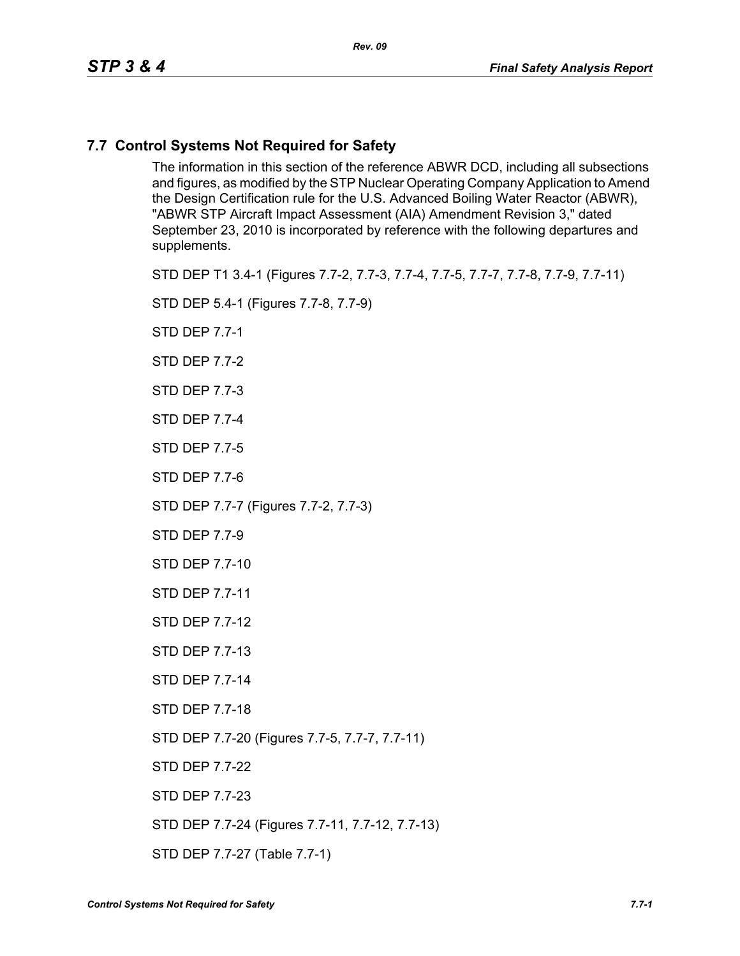#### **7.7 Control Systems Not Required for Safety**

The information in this section of the reference ABWR DCD, including all subsections and figures, as modified by the STP Nuclear Operating Company Application to Amend the Design Certification rule for the U.S. Advanced Boiling Water Reactor (ABWR), "ABWR STP Aircraft Impact Assessment (AIA) Amendment Revision 3," dated September 23, 2010 is incorporated by reference with the following departures and supplements.

STD DEP T1 3.4-1 (Figures 7.7-2, 7.7-3, 7.7-4, 7.7-5, 7.7-7, 7.7-8, 7.7-9, 7.7-11)

STD DEP 5.4-1 (Figures 7.7-8, 7.7-9)

STD DEP 7.7-1

STD DEP 7.7-2

STD DEP 7.7-3

STD DEP 7.7-4

STD DEP 7.7-5

STD DEP 7.7-6

STD DEP 7.7-7 (Figures 7.7-2, 7.7-3)

STD DEP 7.7-9

STD DEP 7.7-10

STD DEP 7.7-11

STD DEP 7.7-12

STD DEP 7.7-13

STD DEP 7.7-14

STD DEP 7.7-18

STD DEP 7.7-20 (Figures 7.7-5, 7.7-7, 7.7-11)

STD DEP 7.7-22

STD DEP 7.7-23

STD DEP 7.7-24 (Figures 7.7-11, 7.7-12, 7.7-13)

STD DEP 7.7-27 (Table 7.7-1)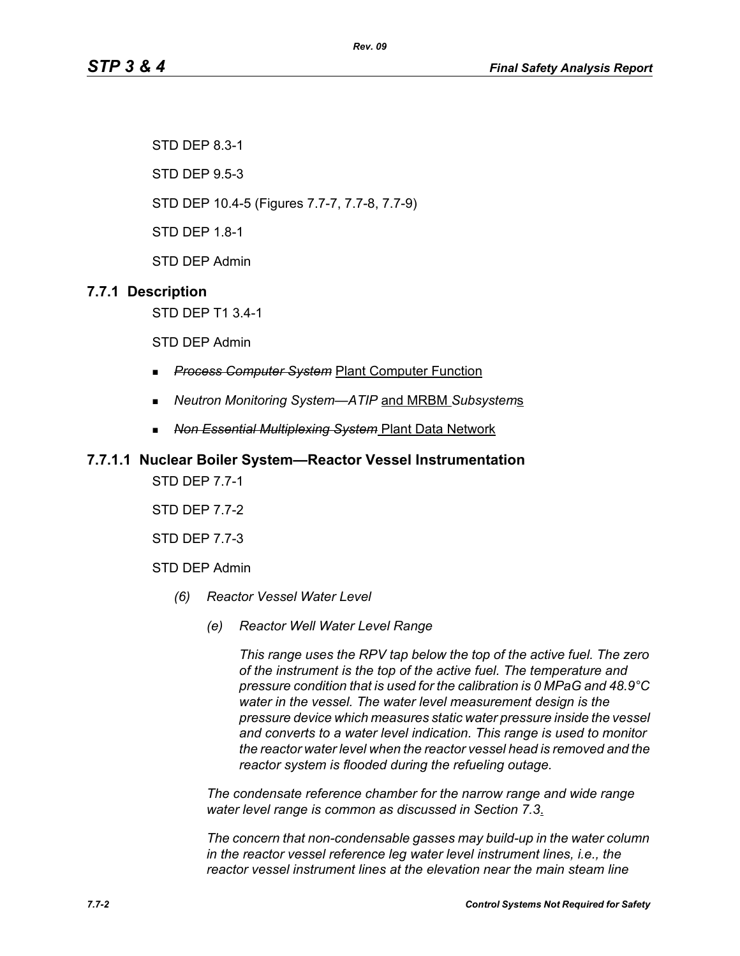STD DEP 8.3-1

STD DEP 9.5-3

STD DEP 10.4-5 (Figures 7.7-7, 7.7-8, 7.7-9)

STD DEP 1.8-1

STD DEP Admin

# **7.7.1 Description**

STD DEP T1 3.4-1

STD DEP Admin

- *Process Computer System* Plant Computer Function
- *Neutron Monitoring System—ATIP* and MRBM *Subsystem*s

*Rev. 09*

*Non Essential Multiplexing System* Plant Data Network

#### **7.7.1.1 Nuclear Boiler System—Reactor Vessel Instrumentation**

STD DEP 7.7-1

STD DEP 7.7-2

STD DEP 7.7-3

STD DEP Admin

- *(6) Reactor Vessel Water Level*
	- *(e) Reactor Well Water Level Range*

*This range uses the RPV tap below the top of the active fuel. The zero of the instrument is the top of the active fuel. The temperature and pressure condition that is used for the calibration is 0 MPaG and 48.9°C water in the vessel. The water level measurement design is the pressure device which measures static water pressure inside the vessel and converts to a water level indication. This range is used to monitor the reactor water level when the reactor vessel head is removed and the reactor system is flooded during the refueling outage.*

*The condensate reference chamber for the narrow range and wide range water level range is common as discussed in Section 7.3*.

*The concern that non-condensable gasses may build-up in the water column in the reactor vessel reference leg water level instrument lines, i.e., the reactor vessel instrument lines at the elevation near the main steam line*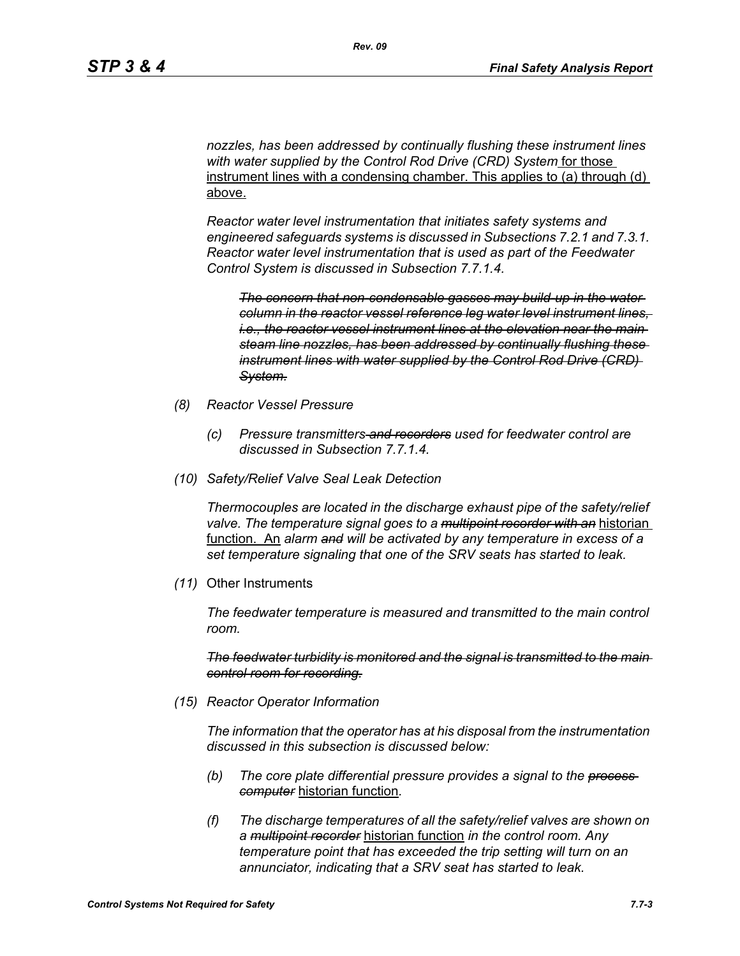*nozzles, has been addressed by continually flushing these instrument lines with water supplied by the Control Rod Drive (CRD) System* for those instrument lines with a condensing chamber. This applies to (a) through (d) above.

*Reactor water level instrumentation that initiates safety systems and engineered safeguards systems is discussed in Subsections 7.2.1 and 7.3.1. Reactor water level instrumentation that is used as part of the Feedwater Control System is discussed in Subsection 7.7.1.4.*

*The concern that non-condensable gasses may build-up in the water column in the reactor vessel reference leg water level instrument lines, i.e., the reactor vessel instrument lines at the elevation near the main steam line nozzles, has been addressed by continually flushing these instrument lines with water supplied by the Control Rod Drive (CRD) System.*

- *(8) Reactor Vessel Pressure*
	- *(c) Pressure transmitters and recorders used for feedwater control are discussed in Subsection 7.7.1.4.*
- *(10) Safety/Relief Valve Seal Leak Detection*

*Thermocouples are located in the discharge exhaust pipe of the safety/relief valve. The temperature signal goes to a multipoint recorder with an* historian function. An *alarm and will be activated by any temperature in excess of a set temperature signaling that one of the SRV seats has started to leak.*

*(11)* Other Instruments

*The feedwater temperature is measured and transmitted to the main control room.*

*The feedwater turbidity is monitored and the signal is transmitted to the main control room for recording.*

*(15) Reactor Operator Information*

*The information that the operator has at his disposal from the instrumentation discussed in this subsection is discussed below:*

- *(b) The core plate differential pressure provides a signal to the process computer* historian function*.*
- *(f) The discharge temperatures of all the safety/relief valves are shown on a multipoint recorder* historian function *in the control room. Any temperature point that has exceeded the trip setting will turn on an annunciator, indicating that a SRV seat has started to leak.*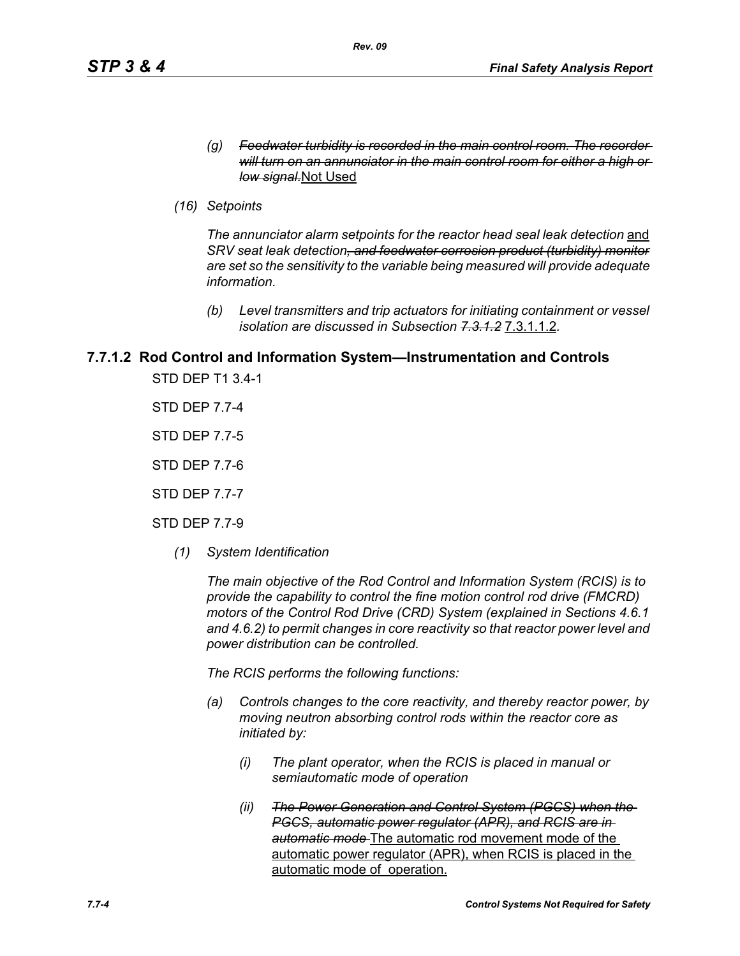- *(g) Feedwater turbidity is recorded in the main control room. The recorder will turn on an annunciator in the main control room for either a high or low signal.*Not Used
- *(16) Setpoints*

The annunciator alarm setpoints for the reactor head seal leak detection and *SRV seat leak detection, and feedwater corrosion product (turbidity) monitor are set so the sensitivity to the variable being measured will provide adequate information.*

*(b) Level transmitters and trip actuators for initiating containment or vessel isolation are discussed in Subsection 7.3.1.2* 7.3.1.1.2*.*

# **7.7.1.2 Rod Control and Information System—Instrumentation and Controls**

STD DEP T1 3.4-1

STD DEP 7.7-4

STD DEP 7.7-5

STD DEP 7.7-6

STD DEP 7.7-7

STD DEP 7.7-9

*(1) System Identification*

*The main objective of the Rod Control and Information System (RCIS) is to provide the capability to control the fine motion control rod drive (FMCRD) motors of the Control Rod Drive (CRD) System (explained in Sections 4.6.1 and 4.6.2) to permit changes in core reactivity so that reactor power level and power distribution can be controlled.* 

*The RCIS performs the following functions:*

- *(a) Controls changes to the core reactivity, and thereby reactor power, by moving neutron absorbing control rods within the reactor core as initiated by:*
	- *(i) The plant operator, when the RCIS is placed in manual or semiautomatic mode of operation*
	- *(ii) The Power Generation and Control System (PGCS) when the PGCS, automatic power regulator (APR), and RCIS are in automatic mode* The automatic rod movement mode of the automatic power regulator (APR), when RCIS is placed in the automatic mode of operation.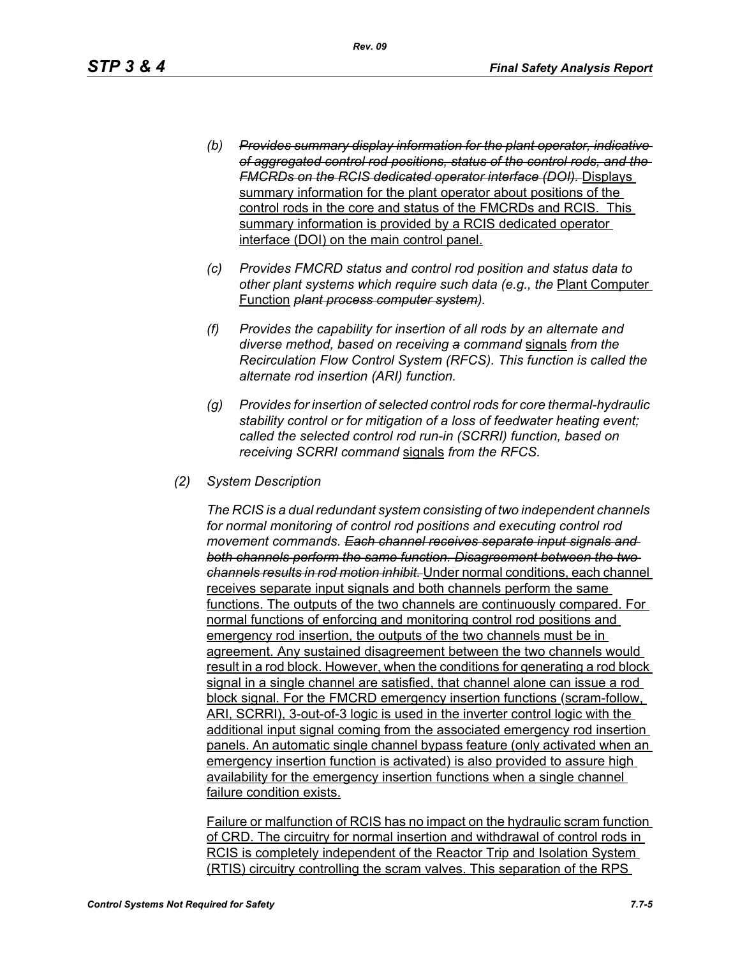- *(b) Provides summary display information for the plant operator, indicative of aggregated control rod positions, status of the control rods, and the FMCRDs on the RCIS dedicated operator interface (DOI).* Displays summary information for the plant operator about positions of the control rods in the core and status of the FMCRDs and RCIS. This summary information is provided by a RCIS dedicated operator interface (DOI) on the main control panel.
- *(c) Provides FMCRD status and control rod position and status data to other plant systems which require such data (e.g., the* Plant Computer Function *plant process computer system).*
- *(f) Provides the capability for insertion of all rods by an alternate and diverse method, based on receiving a command* signals *from the Recirculation Flow Control System (RFCS). This function is called the alternate rod insertion (ARI) function.*
- *(g) Provides for insertion of selected control rods for core thermal-hydraulic stability control or for mitigation of a loss of feedwater heating event; called the selected control rod run-in (SCRRI) function, based on receiving SCRRI command* signals *from the RFCS.*
- *(2) System Description*

*The RCIS is a dual redundant system consisting of two independent channels for normal monitoring of control rod positions and executing control rod movement commands. Each channel receives separate input signals and both channels perform the same function. Disagreement between the two channels results in rod motion inhibit.* Under normal conditions, each channel receives separate input signals and both channels perform the same functions. The outputs of the two channels are continuously compared. For normal functions of enforcing and monitoring control rod positions and emergency rod insertion, the outputs of the two channels must be in agreement. Any sustained disagreement between the two channels would result in a rod block. However, when the conditions for generating a rod block signal in a single channel are satisfied, that channel alone can issue a rod block signal. For the FMCRD emergency insertion functions (scram-follow, ARI, SCRRI), 3-out-of-3 logic is used in the inverter control logic with the additional input signal coming from the associated emergency rod insertion panels. An automatic single channel bypass feature (only activated when an emergency insertion function is activated) is also provided to assure high availability for the emergency insertion functions when a single channel failure condition exists.

Failure or malfunction of RCIS has no impact on the hydraulic scram function of CRD. The circuitry for normal insertion and withdrawal of control rods in RCIS is completely independent of the Reactor Trip and Isolation System (RTIS) circuitry controlling the scram valves. This separation of the RPS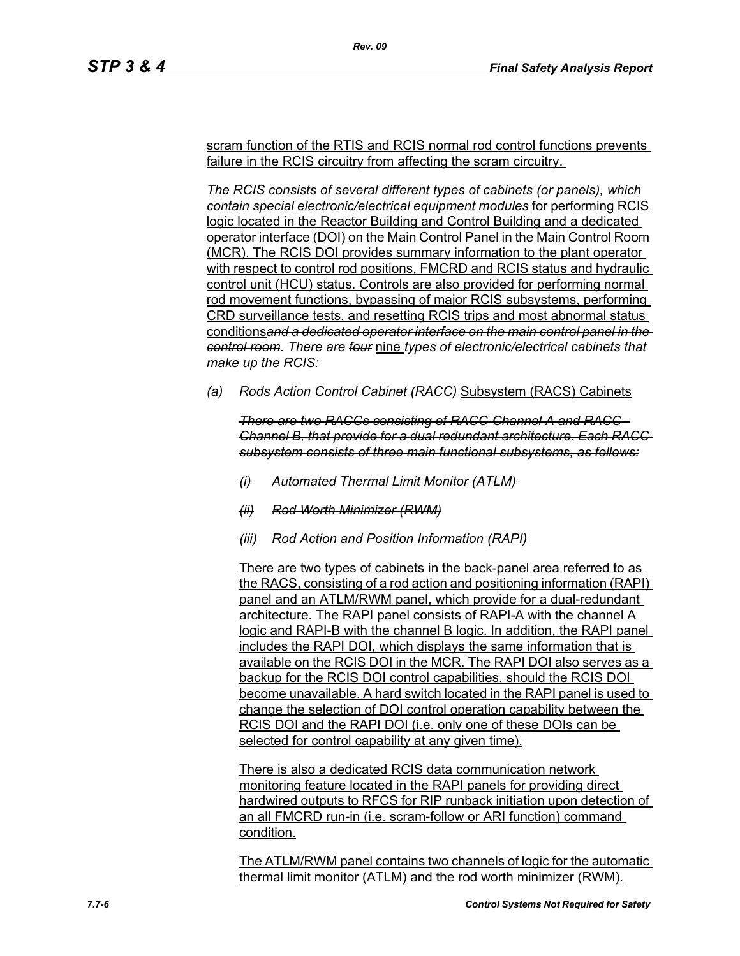scram function of the RTIS and RCIS normal rod control functions prevents failure in the RCIS circuitry from affecting the scram circuitry.

*Rev. 09*

*The RCIS consists of several different types of cabinets (or panels), which contain special electronic/electrical equipment modules* for performing RCIS logic located in the Reactor Building and Control Building and a dedicated operator interface (DOI) on the Main Control Panel in the Main Control Room (MCR). The RCIS DOI provides summary information to the plant operator with respect to control rod positions, FMCRD and RCIS status and hydraulic control unit (HCU) status. Controls are also provided for performing normal rod movement functions, bypassing of major RCIS subsystems, performing CRD surveillance tests, and resetting RCIS trips and most abnormal status conditions*and a dedicated operator interface on the main control panel in the control room. There are four* nine *types of electronic/electrical cabinets that make up the RCIS:*

*(a) Rods Action Control Cabinet (RACC)* Subsystem (RACS) Cabinets

*There are two RACCs consisting of RACC-Channel A and RACC-Channel B, that provide for a dual redundant architecture. Each RACC subsystem consists of three main functional subsystems, as follows:*

- *(i) Automated Thermal Limit Monitor (ATLM)*
- *(ii) Rod Worth Minimizer (RWM)*
- *(iii) Rod Action and Position Information (RAPI)*

There are two types of cabinets in the back-panel area referred to as the RACS, consisting of a rod action and positioning information (RAPI) panel and an ATLM/RWM panel, which provide for a dual-redundant architecture. The RAPI panel consists of RAPI-A with the channel A logic and RAPI-B with the channel B logic. In addition, the RAPI panel includes the RAPI DOI, which displays the same information that is available on the RCIS DOI in the MCR. The RAPI DOI also serves as a backup for the RCIS DOI control capabilities, should the RCIS DOI become unavailable. A hard switch located in the RAPI panel is used to change the selection of DOI control operation capability between the RCIS DOI and the RAPI DOI (i.e. only one of these DOIs can be selected for control capability at any given time).

There is also a dedicated RCIS data communication network monitoring feature located in the RAPI panels for providing direct hardwired outputs to RFCS for RIP runback initiation upon detection of an all FMCRD run-in (i.e. scram-follow or ARI function) command condition.

The ATLM/RWM panel contains two channels of logic for the automatic thermal limit monitor (ATLM) and the rod worth minimizer (RWM).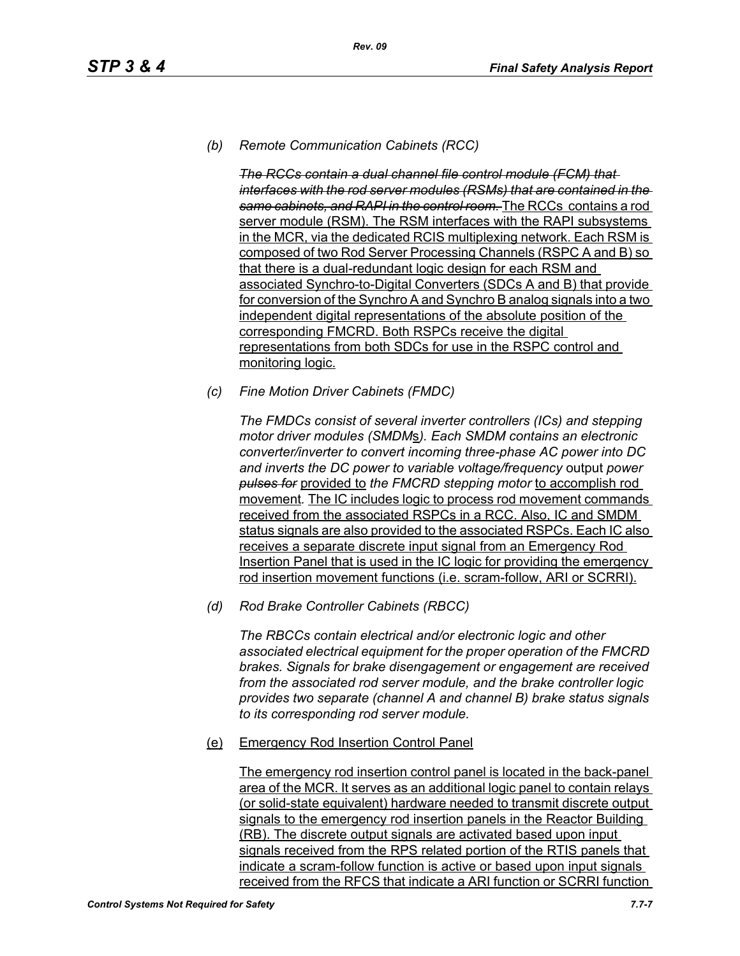# *(b) Remote Communication Cabinets (RCC)*

*The RCCs contain a dual channel file control module (FCM) that interfaces with the rod server modules (RSMs) that are contained in the same cabinets, and RAPI in the control room.* The RCCs contains a rod server module (RSM). The RSM interfaces with the RAPI subsystems in the MCR, via the dedicated RCIS multiplexing network. Each RSM is composed of two Rod Server Processing Channels (RSPC A and B) so that there is a dual-redundant logic design for each RSM and associated Synchro-to-Digital Converters (SDCs A and B) that provide for conversion of the Synchro A and Synchro B analog signals into a two independent digital representations of the absolute position of the corresponding FMCRD. Both RSPCs receive the digital representations from both SDCs for use in the RSPC control and monitoring logic.

*(c) Fine Motion Driver Cabinets (FMDC)* 

*The FMDCs consist of several inverter controllers (ICs) and stepping motor driver modules (SMDM*s*). Each SMDM contains an electronic converter/inverter to convert incoming three-phase AC power into DC and inverts the DC power to variable voltage/frequency* output *power pulses for* provided to *the FMCRD stepping motor* to accomplish rod movement*.* The IC includes logic to process rod movement commands received from the associated RSPCs in a RCC. Also, IC and SMDM status signals are also provided to the associated RSPCs. Each IC also receives a separate discrete input signal from an Emergency Rod Insertion Panel that is used in the IC logic for providing the emergency rod insertion movement functions (i.e. scram-follow, ARI or SCRRI).

*(d) Rod Brake Controller Cabinets (RBCC)*

*The RBCCs contain electrical and/or electronic logic and other associated electrical equipment for the proper operation of the FMCRD brakes. Signals for brake disengagement or engagement are received from the associated rod server module, and the brake controller logic provides two separate (channel A and channel B) brake status signals to its corresponding rod server module.*

(e) Emergency Rod Insertion Control Panel

The emergency rod insertion control panel is located in the back-panel area of the MCR. It serves as an additional logic panel to contain relays (or solid-state equivalent) hardware needed to transmit discrete output signals to the emergency rod insertion panels in the Reactor Building (RB). The discrete output signals are activated based upon input signals received from the RPS related portion of the RTIS panels that indicate a scram-follow function is active or based upon input signals received from the RFCS that indicate a ARI function or SCRRI function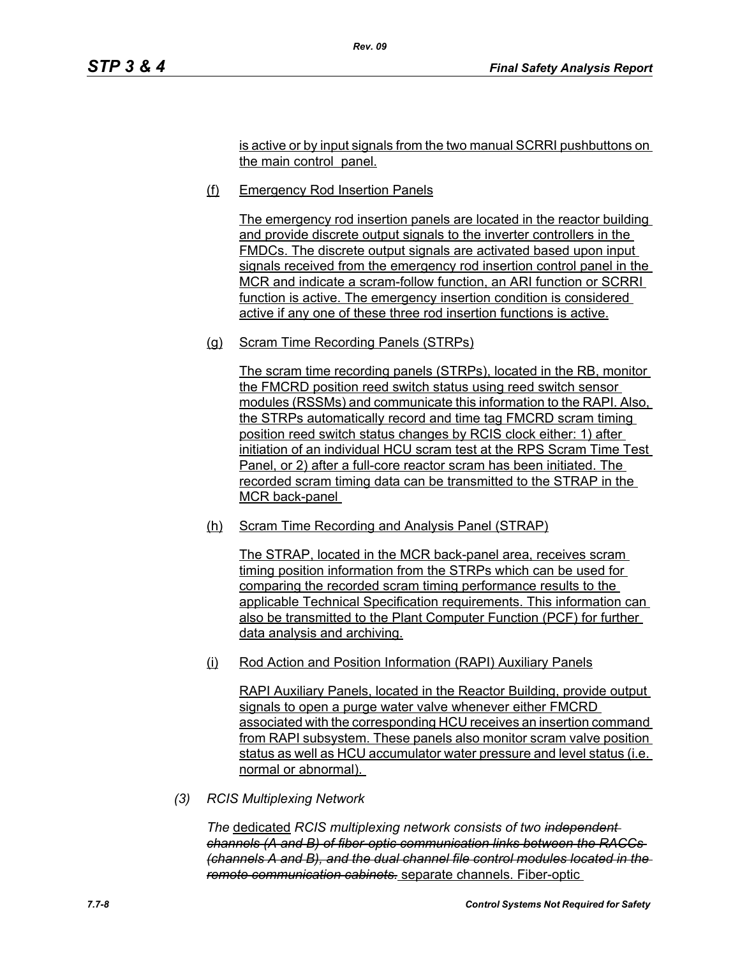is active or by input signals from the two manual SCRRI pushbuttons on the main control panel.

(f) Emergency Rod Insertion Panels

*Rev. 09*

The emergency rod insertion panels are located in the reactor building and provide discrete output signals to the inverter controllers in the FMDCs. The discrete output signals are activated based upon input signals received from the emergency rod insertion control panel in the MCR and indicate a scram-follow function, an ARI function or SCRRI function is active. The emergency insertion condition is considered active if any one of these three rod insertion functions is active.

(g) Scram Time Recording Panels (STRPs)

The scram time recording panels (STRPs), located in the RB, monitor the FMCRD position reed switch status using reed switch sensor modules (RSSMs) and communicate this information to the RAPI. Also, the STRPs automatically record and time tag FMCRD scram timing position reed switch status changes by RCIS clock either: 1) after initiation of an individual HCU scram test at the RPS Scram Time Test Panel, or 2) after a full-core reactor scram has been initiated. The recorded scram timing data can be transmitted to the STRAP in the MCR back-panel

(h) Scram Time Recording and Analysis Panel (STRAP)

The STRAP, located in the MCR back-panel area, receives scram timing position information from the STRPs which can be used for comparing the recorded scram timing performance results to the applicable Technical Specification requirements. This information can also be transmitted to the Plant Computer Function (PCF) for further data analysis and archiving.

(i) Rod Action and Position Information (RAPI) Auxiliary Panels

RAPI Auxiliary Panels, located in the Reactor Building, provide output signals to open a purge water valve whenever either FMCRD associated with the corresponding HCU receives an insertion command from RAPI subsystem. These panels also monitor scram valve position status as well as HCU accumulator water pressure and level status (i.e. normal or abnormal).

*(3) RCIS Multiplexing Network*

*The* dedicated *RCIS multiplexing network consists of two independent channels (A and B) of fiber-optic communication links between the RACCs (channels A and B), and the dual channel file control modules located in the remote communication cabinets.* separate channels. Fiber-optic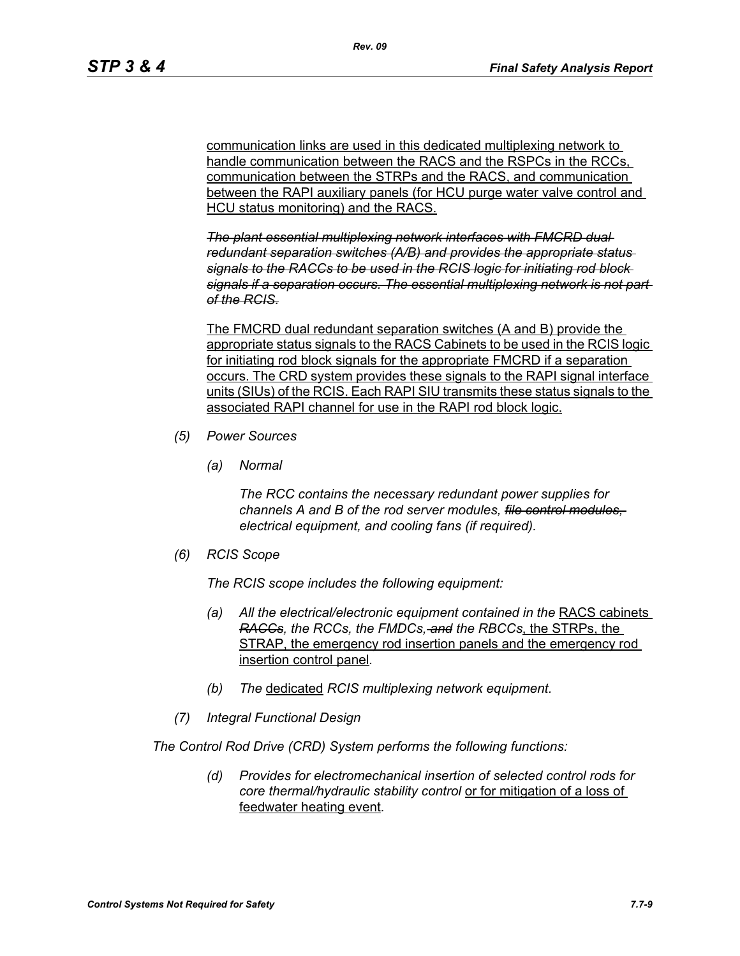communication links are used in this dedicated multiplexing network to handle communication between the RACS and the RSPCs in the RCCs. communication between the STRPs and the RACS, and communication between the RAPI auxiliary panels (for HCU purge water valve control and HCU status monitoring) and the RACS.

*The plant essential multiplexing network interfaces with FMCRD dual redundant separation switches (A/B) and provides the appropriate status signals to the RACCs to be used in the RCIS logic for initiating rod block signals if a separation occurs. The essential multiplexing network is not part of the RCIS.*

The FMCRD dual redundant separation switches (A and B) provide the appropriate status signals to the RACS Cabinets to be used in the RCIS logic for initiating rod block signals for the appropriate FMCRD if a separation occurs. The CRD system provides these signals to the RAPI signal interface units (SIUs) of the RCIS. Each RAPI SIU transmits these status signals to the associated RAPI channel for use in the RAPI rod block logic.

- *(5) Power Sources*
	- *(a) Normal*

*The RCC contains the necessary redundant power supplies for channels A and B of the rod server modules, file control modules, electrical equipment, and cooling fans (if required).*

*(6) RCIS Scope*

*The RCIS scope includes the following equipment:*

- *(a) All the electrical/electronic equipment contained in the* RACS cabinets *RACCs, the RCCs, the FMDCs, and the RBCCs*, the STRPs, the STRAP, the emergency rod insertion panels and the emergency rod insertion control panel*.*
- *(b) The* dedicated *RCIS multiplexing network equipment.*
- *(7) Integral Functional Design*

*The Control Rod Drive (CRD) System performs the following functions:*

*(d) Provides for electromechanical insertion of selected control rods for core thermal/hydraulic stability control* or for mitigation of a loss of feedwater heating event*.*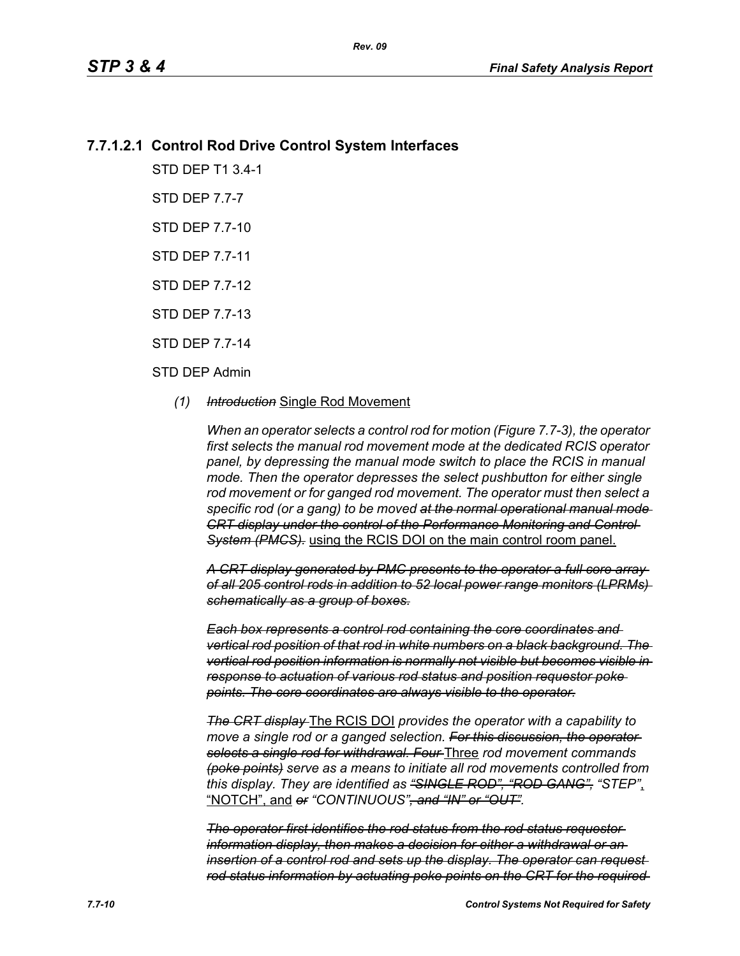# **7.7.1.2.1 Control Rod Drive Control System Interfaces**

STD DEP T1 3.4-1

STD DEP 7.7-7

STD DEP 7.7-10

STD DEP 7.7-11

STD DEP 7.7-12

STD DEP 7.7-13

STD DEP 7.7-14

#### STD DEP Admin

#### *(1) Introduction* Single Rod Movement

*When an operator selects a control rod for motion (Figure 7.7-3), the operator first selects the manual rod movement mode at the dedicated RCIS operator panel, by depressing the manual mode switch to place the RCIS in manual mode. Then the operator depresses the select pushbutton for either single rod movement or for ganged rod movement. The operator must then select a specific rod (or a gang) to be moved at the normal operational manual mode CRT display under the control of the Performance Monitoring and Control System (PMCS).* using the RCIS DOI on the main control room panel.

*A CRT display generated by PMC presents to the operator a full core array of all 205 control rods in addition to 52 local power range monitors (LPRMs) schematically as a group of boxes.*

*Each box represents a control rod containing the core coordinates and vertical rod position of that rod in white numbers on a black background. The vertical rod position information is normally not visible but becomes visible in response to actuation of various rod status and position requestor poke points. The core coordinates are always visible to the operator.*

*The CRT display* The RCIS DOI *provides the operator with a capability to*  move a single rod or a ganged selection. For this discussion, the operator*selects a single rod for withdrawal. Four* Three *rod movement commands (poke points) serve as a means to initiate all rod movements controlled from this display. They are identified as "SINGLE ROD", "ROD GANG", "STEP"*, "NOTCH", and *or "CONTINUOUS", and "IN" or "OUT".*

*The operator first identifies the rod status from the rod status requestor information display, then makes a decision for either a withdrawal or an insertion of a control rod and sets up the display. The operator can request rod status information by actuating poke points on the CRT for the required*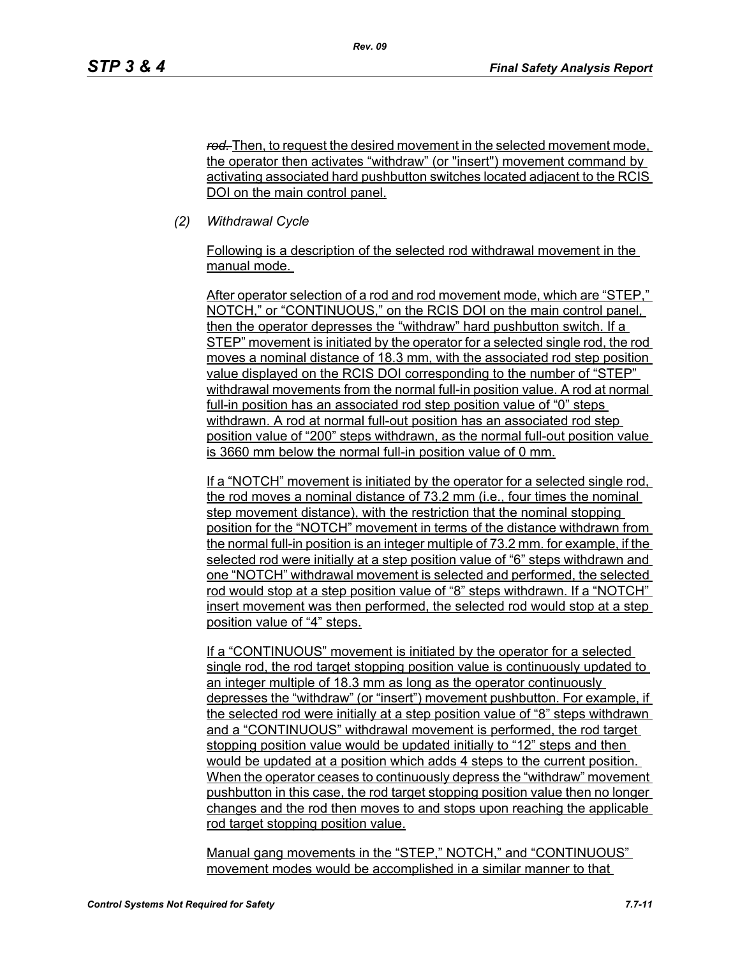*rod.* Then, to request the desired movement in the selected movement mode, the operator then activates "withdraw" (or "insert") movement command by activating associated hard pushbutton switches located adjacent to the RCIS DOI on the main control panel.

*(2) Withdrawal Cycle* 

Following is a description of the selected rod withdrawal movement in the manual mode.

After operator selection of a rod and rod movement mode, which are "STEP," NOTCH," or "CONTINUOUS," on the RCIS DOI on the main control panel, then the operator depresses the "withdraw" hard pushbutton switch. If a STEP" movement is initiated by the operator for a selected single rod, the rod moves a nominal distance of 18.3 mm, with the associated rod step position value displayed on the RCIS DOI corresponding to the number of "STEP" withdrawal movements from the normal full-in position value. A rod at normal full-in position has an associated rod step position value of "0" steps withdrawn. A rod at normal full-out position has an associated rod step position value of "200" steps withdrawn, as the normal full-out position value is 3660 mm below the normal full-in position value of 0 mm.

If a "NOTCH" movement is initiated by the operator for a selected single rod, the rod moves a nominal distance of 73.2 mm (i.e., four times the nominal step movement distance), with the restriction that the nominal stopping position for the "NOTCH" movement in terms of the distance withdrawn from the normal full-in position is an integer multiple of 73.2 mm. for example, if the selected rod were initially at a step position value of "6" steps withdrawn and one "NOTCH" withdrawal movement is selected and performed, the selected rod would stop at a step position value of "8" steps withdrawn. If a "NOTCH" insert movement was then performed, the selected rod would stop at a step position value of "4" steps.

If a "CONTINUOUS" movement is initiated by the operator for a selected single rod, the rod target stopping position value is continuously updated to an integer multiple of 18.3 mm as long as the operator continuously depresses the "withdraw" (or "insert") movement pushbutton. For example, if the selected rod were initially at a step position value of "8" steps withdrawn and a "CONTINUOUS" withdrawal movement is performed, the rod target stopping position value would be updated initially to "12" steps and then would be updated at a position which adds 4 steps to the current position. When the operator ceases to continuously depress the "withdraw" movement pushbutton in this case, the rod target stopping position value then no longer changes and the rod then moves to and stops upon reaching the applicable rod target stopping position value.

Manual gang movements in the "STEP," NOTCH," and "CONTINUOUS" movement modes would be accomplished in a similar manner to that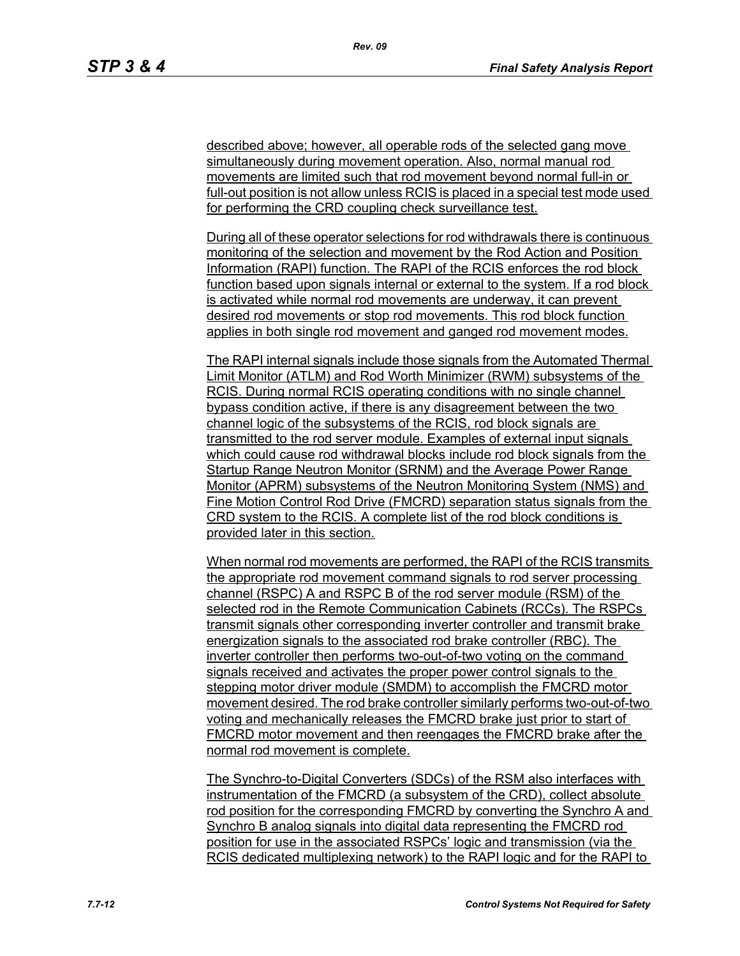described above; however, all operable rods of the selected gang move simultaneously during movement operation. Also, normal manual rod movements are limited such that rod movement beyond normal full-in or full-out position is not allow unless RCIS is placed in a special test mode used for performing the CRD coupling check surveillance test.

During all of these operator selections for rod withdrawals there is continuous monitoring of the selection and movement by the Rod Action and Position Information (RAPI) function. The RAPI of the RCIS enforces the rod block function based upon signals internal or external to the system. If a rod block is activated while normal rod movements are underway, it can prevent desired rod movements or stop rod movements. This rod block function applies in both single rod movement and ganged rod movement modes.

The RAPI internal signals include those signals from the Automated Thermal Limit Monitor (ATLM) and Rod Worth Minimizer (RWM) subsystems of the RCIS. During normal RCIS operating conditions with no single channel bypass condition active, if there is any disagreement between the two channel logic of the subsystems of the RCIS, rod block signals are transmitted to the rod server module. Examples of external input signals which could cause rod withdrawal blocks include rod block signals from the Startup Range Neutron Monitor (SRNM) and the Average Power Range Monitor (APRM) subsystems of the Neutron Monitoring System (NMS) and Fine Motion Control Rod Drive (FMCRD) separation status signals from the CRD system to the RCIS. A complete list of the rod block conditions is provided later in this section.

When normal rod movements are performed, the RAPI of the RCIS transmits the appropriate rod movement command signals to rod server processing channel (RSPC) A and RSPC B of the rod server module (RSM) of the selected rod in the Remote Communication Cabinets (RCCs). The RSPCs transmit signals other corresponding inverter controller and transmit brake energization signals to the associated rod brake controller (RBC). The inverter controller then performs two-out-of-two voting on the command signals received and activates the proper power control signals to the stepping motor driver module (SMDM) to accomplish the FMCRD motor movement desired. The rod brake controller similarly performs two-out-of-two voting and mechanically releases the FMCRD brake just prior to start of FMCRD motor movement and then reengages the FMCRD brake after the normal rod movement is complete.

The Synchro-to-Digital Converters (SDCs) of the RSM also interfaces with instrumentation of the FMCRD (a subsystem of the CRD), collect absolute rod position for the corresponding FMCRD by converting the Synchro A and Synchro B analog signals into digital data representing the FMCRD rod position for use in the associated RSPCs' logic and transmission (via the RCIS dedicated multiplexing network) to the RAPI logic and for the RAPI to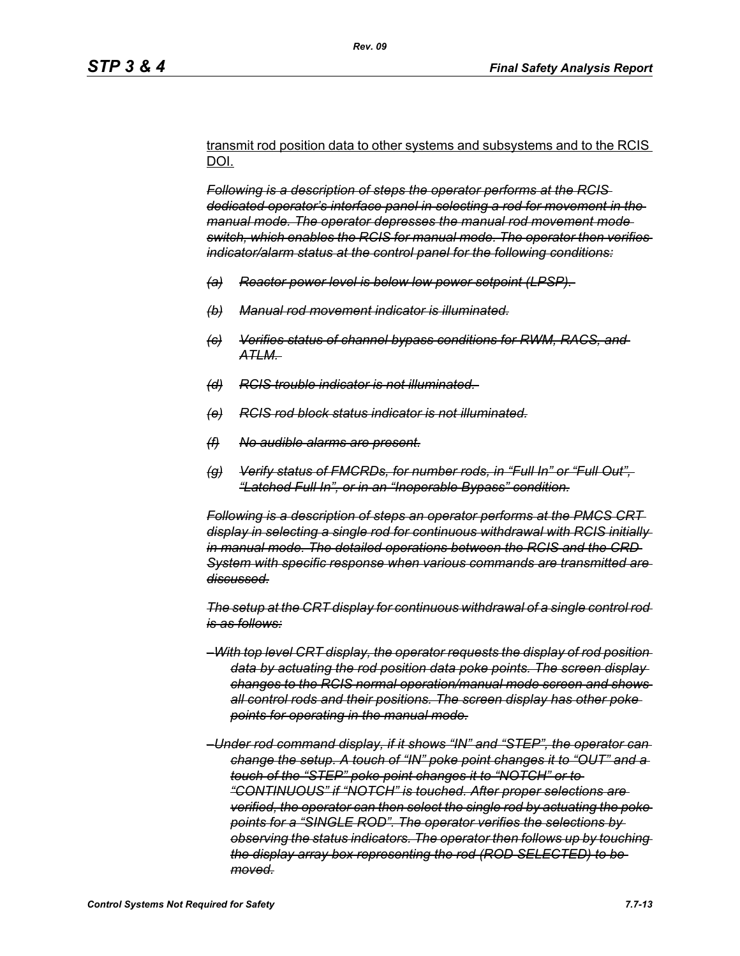transmit rod position data to other systems and subsystems and to the RCIS DOI.

*Following is a description of steps the operator performs at the RCIS dedicated operator's interface panel in selecting a rod for movement in the manual mode. The operator depresses the manual rod movement mode switch, which enables the RCIS for manual mode. The operator then verifies indicator/alarm status at the control panel for the following conditions:*

- *(a) Reactor power level is below low power setpoint (LPSP).*
- *(b) Manual rod movement indicator is illuminated.*
- *(c) Verifies status of channel bypass conditions for RWM, RACS, and ATLM.*
- *(d) RCIS trouble indicator is not illuminated.*
- *(e) RCIS rod block status indicator is not illuminated.*
- *(f) No audible alarms are present.*
- *(g) Verify status of FMCRDs, for number rods, in "Full In" or "Full Out", "Latched Full In", or in an "Inoperable Bypass" condition.*

*Following is a description of steps an operator performs at the PMCS CRT display in selecting a single rod for continuous withdrawal with RCIS initially in manual mode. The detailed operations between the RCIS and the CRD System with specific response when various commands are transmitted are discussed.*

*The setup at the CRT display for continuous withdrawal of a single control rod is as follows:*

- *–With top level CRT display, the operator requests the display of rod position data by actuating the rod position data poke points. The screen display changes to the RCIS normal operation/manual mode screen and shows all control rods and their positions. The screen display has other poke points for operating in the manual mode.*
- *–Under rod command display, if it shows "IN" and "STEP", the operator can change the setup. A touch of "IN" poke point changes it to "OUT" and a touch of the "STEP" poke point changes it to "NOTCH" or to "CONTINUOUS" if "NOTCH" is touched. After proper selections are verified, the operator can then select the single rod by actuating the poke points for a "SINGLE ROD". The operator verifies the selections by observing the status indicators. The operator then follows up by touching the display array box representing the rod (ROD SELECTED) to be moved.*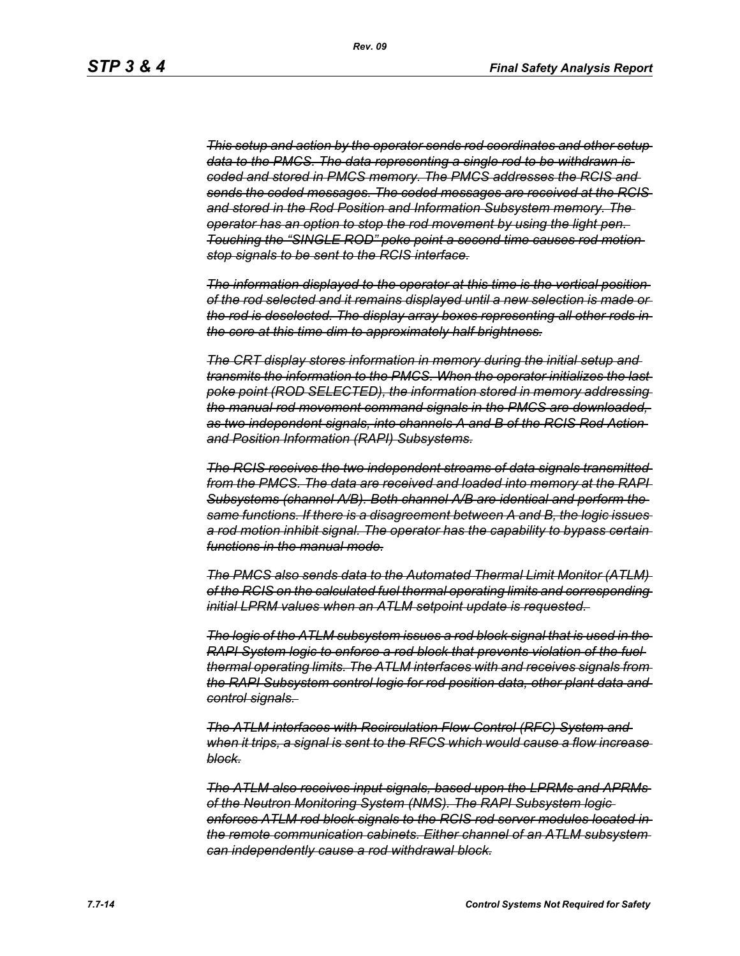*This setup and action by the operator sends rod coordinates and other setup data to the PMCS. The data representing a single rod to be withdrawn is coded and stored in PMCS memory. The PMCS addresses the RCIS and sends the coded messages. The coded messages are received at the RCIS and stored in the Rod Position and Information Subsystem memory. The operator has an option to stop the rod movement by using the light pen. Touching the "SINGLE ROD" poke point a second time causes rod motion stop signals to be sent to the RCIS interface.*

*The information displayed to the operator at this time is the vertical position of the rod selected and it remains displayed until a new selection is made or the rod is deselected. The display array boxes representing all other rods in the core at this time dim to approximately half brightness.*

*The CRT display stores information in memory during the initial setup and transmits the information to the PMCS. When the operator initializes the last poke point (ROD SELECTED), the information stored in memory addressing the manual rod movement command signals in the PMCS are downloaded, as two independent signals, into channels A and B of the RCIS Rod Action and Position Information (RAPI) Subsystems.*

*The RCIS receives the two independent streams of data signals transmitted from the PMCS. The data are received and loaded into memory at the RAPI Subsystems (channel A/B). Both channel A/B are identical and perform the same functions. If there is a disagreement between A and B, the logic issues a rod motion inhibit signal. The operator has the capability to bypass certain functions in the manual mode.*

*The PMCS also sends data to the Automated Thermal Limit Monitor (ATLM) of the RCIS on the calculated fuel thermal operating limits and corresponding initial LPRM values when an ATLM setpoint update is requested.* 

*The logic of the ATLM subsystem issues a rod block signal that is used in the RAPI System logic to enforce a rod block that prevents violation of the fuel thermal operating limits. The ATLM interfaces with and receives signals from the RAPI Subsystem control logic for rod position data, other plant data and control signals.* 

*The ATLM interfaces with Recirculation Flow Control (RFC) System and when it trips, a signal is sent to the RFCS which would cause a flow increase block.*

*The ATLM also receives input signals, based upon the LPRMs and APRMs of the Neutron Monitoring System (NMS). The RAPI Subsystem logic enforces ATLM rod block signals to the RCIS rod server modules located in the remote communication cabinets. Either channel of an ATLM subsystem can independently cause a rod withdrawal block.*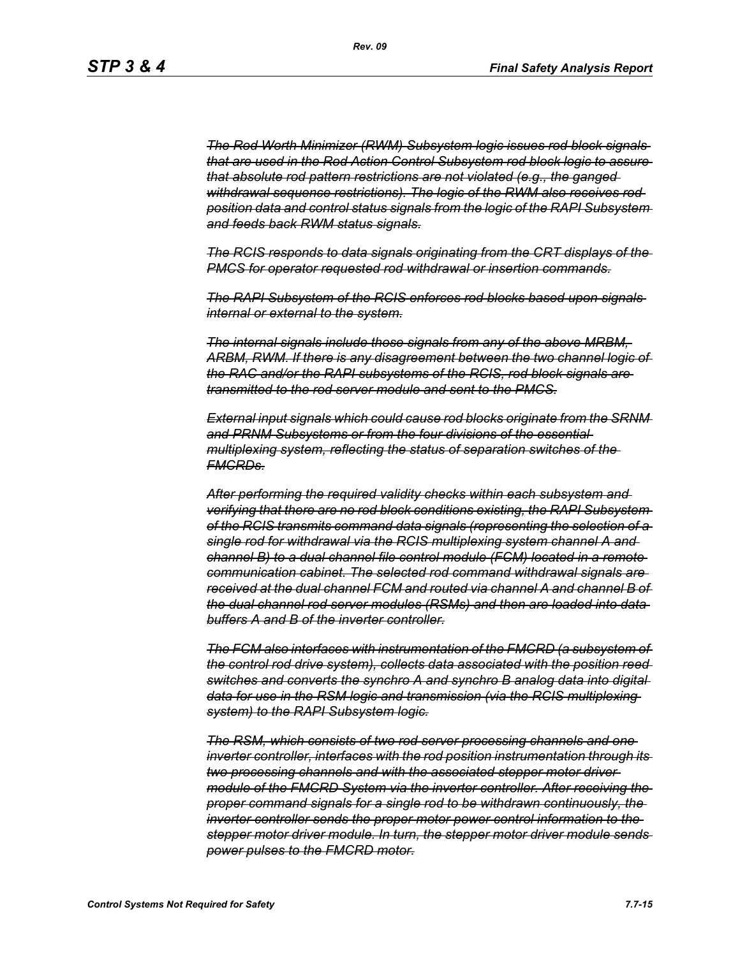*The Rod Worth Minimizer (RWM) Subsystem logic issues rod block signals that are used in the Rod Action Control Subsystem rod block logic to assure that absolute rod pattern restrictions are not violated (e.g., the ganged withdrawal sequence restrictions). The logic of the RWM also receives rod position data and control status signals from the logic of the RAPI Subsystem and feeds back RWM status signals.*

*The RCIS responds to data signals originating from the CRT displays of the PMCS for operator requested rod withdrawal or insertion commands.*

*The RAPI Subsystem of the RCIS enforces rod blocks based upon signals internal or external to the system.*

*The internal signals include those signals from any of the above MRBM, ARBM, RWM. If there is any disagreement between the two channel logic of the RAC and/or the RAPI subsystems of the RCIS, rod block signals are transmitted to the rod server module and sent to the PMCS.*

*External input signals which could cause rod blocks originate from the SRNM and PRNM Subsystems or from the four divisions of the essential multiplexing system, reflecting the status of separation switches of the FMCRDs.*

*After performing the required validity checks within each subsystem and verifying that there are no rod block conditions existing, the RAPI Subsystem of the RCIS transmits command data signals (representing the selection of a single rod for withdrawal via the RCIS multiplexing system channel A and channel B) to a dual channel file control module (FCM) located in a remote communication cabinet. The selected rod command withdrawal signals are received at the dual channel FCM and routed via channel A and channel B of the dual channel rod server modules (RSMs) and then are loaded into data buffers A and B of the inverter controller.*

*The FCM also interfaces with instrumentation of the FMCRD (a subsystem of the control rod drive system), collects data associated with the position reed switches and converts the synchro A and synchro B analog data into digital data for use in the RSM logic and transmission (via the RCIS multiplexing system) to the RAPI Subsystem logic.*

*The RSM, which consists of two rod server processing channels and one inverter controller, interfaces with the rod position instrumentation through its two processing channels and with the associated stepper motor driver module of the FMCRD System via the inverter controller. After receiving the proper command signals for a single rod to be withdrawn continuously, the inverter controller sends the proper motor power control information to the stepper motor driver module. In turn, the stepper motor driver module sends power pulses to the FMCRD motor.*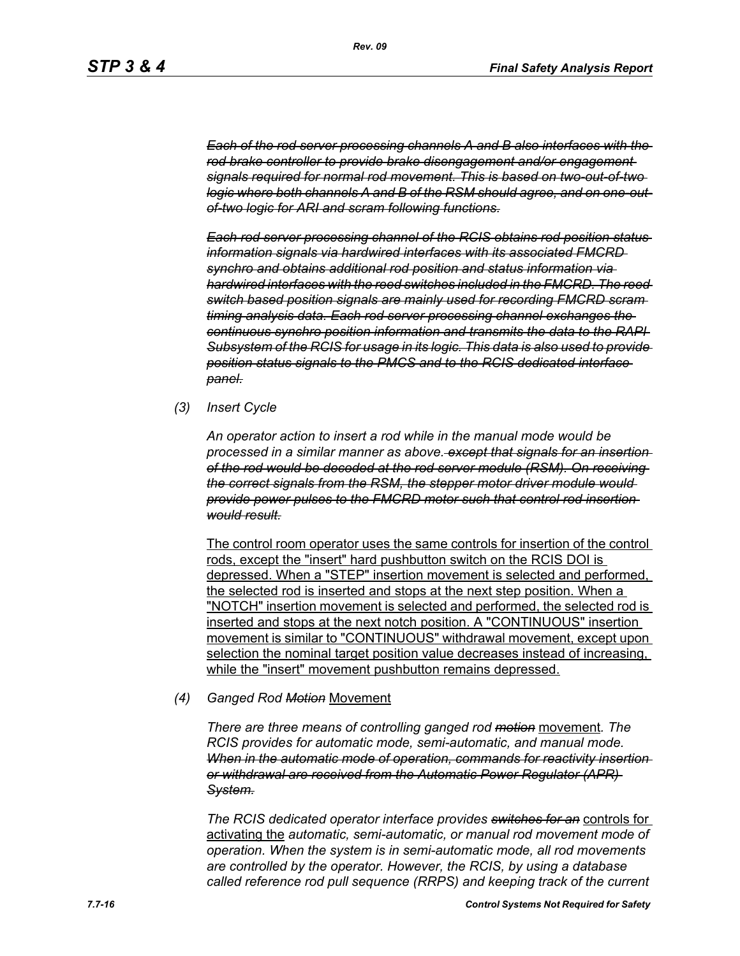*Each of the rod server processing channels A and B also interfaces with the rod brake controller to provide brake disengagement and/or engagement signals required for normal rod movement. This is based on two-out-of-two logic where both channels A and B of the RSM should agree, and on one-outof-two logic for ARI and scram following functions.*

*Each rod server processing channel of the RCIS obtains rod position status information signals via hardwired interfaces with its associated FMCRD synchro and obtains additional rod position and status information via hardwired interfaces with the reed switches included in the FMCRD. The reed switch based position signals are mainly used for recording FMCRD scram timing analysis data. Each rod server processing channel exchanges the continuous synchro position information and transmits the data to the RAPI Subsystem of the RCIS for usage in its logic. This data is also used to provide position status signals to the PMCS and to the RCIS dedicated interface panel.*

*(3) Insert Cycle*

*An operator action to insert a rod while in the manual mode would be processed in a similar manner as above. except that signals for an insertion of the rod would be decoded at the rod server module (RSM). On receiving the correct signals from the RSM, the stepper motor driver module would provide power pulses to the FMCRD motor such that control rod insertion would result.*

The control room operator uses the same controls for insertion of the control rods, except the "insert" hard pushbutton switch on the RCIS DOI is depressed. When a "STEP" insertion movement is selected and performed, the selected rod is inserted and stops at the next step position. When a "NOTCH" insertion movement is selected and performed, the selected rod is inserted and stops at the next notch position. A "CONTINUOUS" insertion movement is similar to "CONTINUOUS" withdrawal movement, except upon selection the nominal target position value decreases instead of increasing, while the "insert" movement pushbutton remains depressed.

#### *(4) Ganged Rod Motion* Movement

*There are three means of controlling ganged rod motion* movement*. The RCIS provides for automatic mode, semi-automatic, and manual mode. When in the automatic mode of operation, commands for reactivity insertion or withdrawal are received from the Automatic Power Regulator (APR) System.*

*The RCIS dedicated operator interface provides switches for an* controls for activating the *automatic, semi-automatic, or manual rod movement mode of operation. When the system is in semi-automatic mode, all rod movements are controlled by the operator. However, the RCIS, by using a database called reference rod pull sequence (RRPS) and keeping track of the current*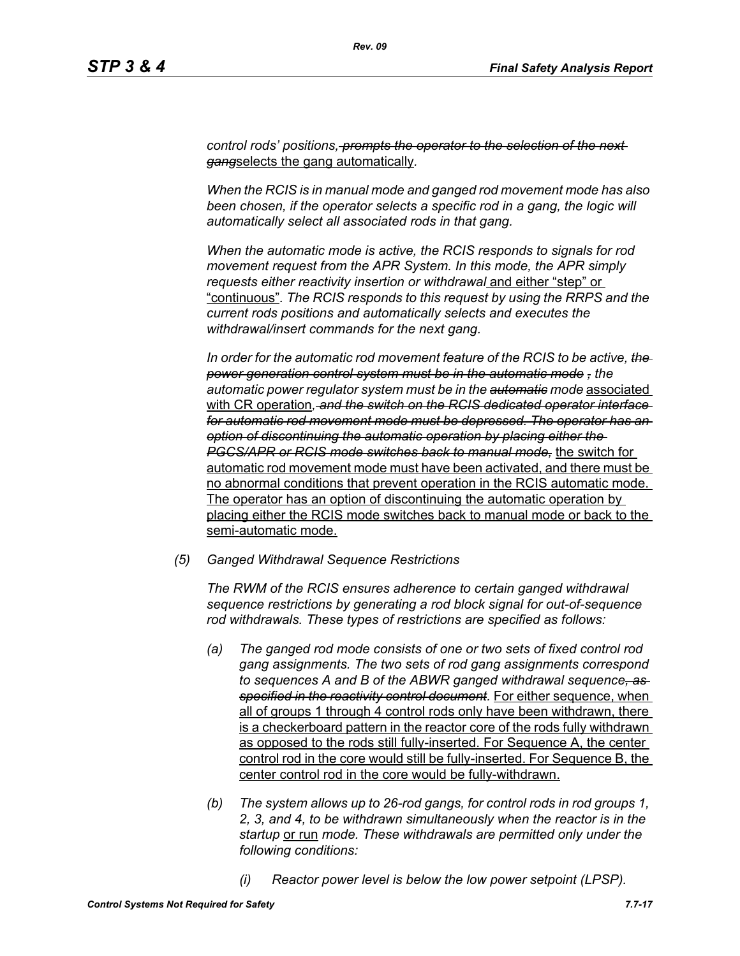*control rods' positions, prompts the operator to the selection of the next gang*selects the gang automatically*.*

*When the RCIS is in manual mode and ganged rod movement mode has also*  been chosen, if the operator selects a specific rod in a gang, the logic will *automatically select all associated rods in that gang.*

*When the automatic mode is active, the RCIS responds to signals for rod movement request from the APR System. In this mode, the APR simply requests either reactivity insertion or withdrawal* and either "step" or "continuous"*. The RCIS responds to this request by using the RRPS and the current rods positions and automatically selects and executes the withdrawal/insert commands for the next gang.*

*In order for the automatic rod movement feature of the RCIS to be active, the power generation control system must be in the automatic mode , the automatic power regulator system must be in the automatic mode* associated with CR operation*, and the switch on the RCIS dedicated operator interface for automatic rod movement mode must be depressed. The operator has an option of discontinuing the automatic operation by placing either the PGCS/APR or RCIS mode switches back to manual mode,* the switch for automatic rod movement mode must have been activated, and there must be no abnormal conditions that prevent operation in the RCIS automatic mode. The operator has an option of discontinuing the automatic operation by placing either the RCIS mode switches back to manual mode or back to the semi-automatic mode.

*(5) Ganged Withdrawal Sequence Restrictions*

*The RWM of the RCIS ensures adherence to certain ganged withdrawal sequence restrictions by generating a rod block signal for out-of-sequence rod withdrawals. These types of restrictions are specified as follows:*

- *(a) The ganged rod mode consists of one or two sets of fixed control rod gang assignments. The two sets of rod gang assignments correspond to sequences A and B of the ABWR ganged withdrawal sequence, as specified in the reactivity control document.* For either sequence, when all of groups 1 through 4 control rods only have been withdrawn, there is a checkerboard pattern in the reactor core of the rods fully withdrawn as opposed to the rods still fully-inserted. For Sequence A, the center control rod in the core would still be fully-inserted. For Sequence B, the center control rod in the core would be fully-withdrawn.
- *(b) The system allows up to 26-rod gangs, for control rods in rod groups 1, 2, 3, and 4, to be withdrawn simultaneously when the reactor is in the startup* or run *mode. These withdrawals are permitted only under the following conditions:*
	- *(i) Reactor power level is below the low power setpoint (LPSP).*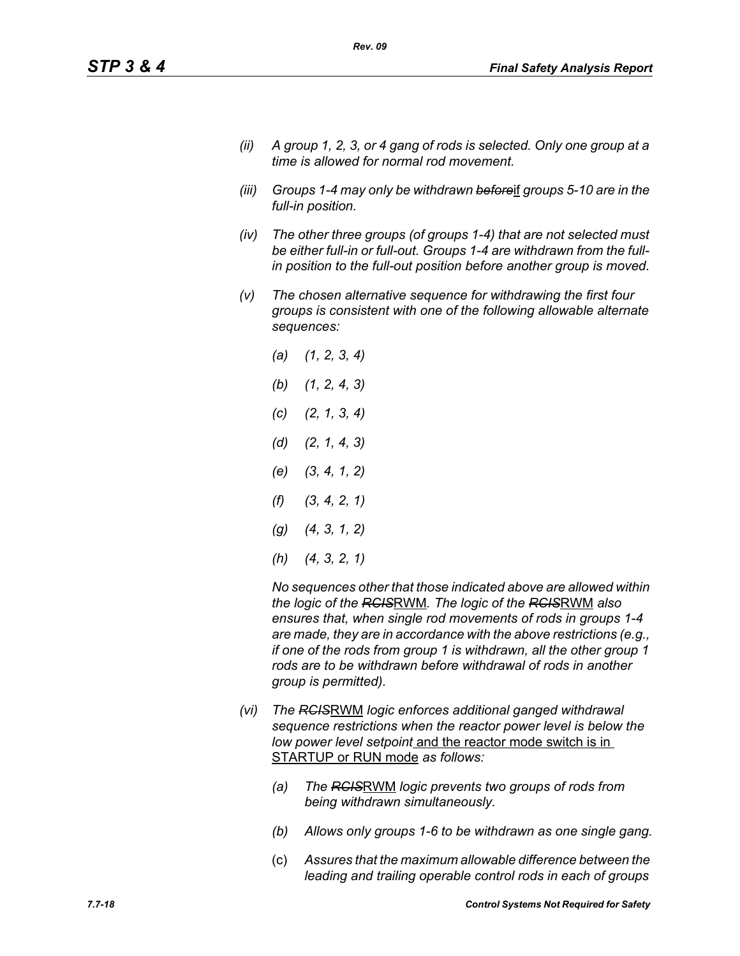- *(ii) A group 1, 2, 3, or 4 gang of rods is selected. Only one group at a time is allowed for normal rod movement.*
- *(iii) Groups 1-4 may only be withdrawn before*if *groups 5-10 are in the full-in position.*
- *(iv) The other three groups (of groups 1-4) that are not selected must be either full-in or full-out. Groups 1-4 are withdrawn from the fullin position to the full-out position before another group is moved.*
- *(v) The chosen alternative sequence for withdrawing the first four groups is consistent with one of the following allowable alternate sequences:*
	- *(a) (1, 2, 3, 4) (b) (1, 2, 4, 3) (c) (2, 1, 3, 4) (d) (2, 1, 4, 3) (e) (3, 4, 1, 2) (f) (3, 4, 2, 1) (g) (4, 3, 1, 2) (h) (4, 3, 2, 1)*

*No sequences other that those indicated above are allowed within the logic of the RCIS*RWM*. The logic of the RCIS*RWM *also ensures that, when single rod movements of rods in groups 1-4 are made, they are in accordance with the above restrictions (e.g., if one of the rods from group 1 is withdrawn, all the other group 1 rods are to be withdrawn before withdrawal of rods in another group is permitted).*

- *(vi) The RCIS*RWM *logic enforces additional ganged withdrawal sequence restrictions when the reactor power level is below the low power level setpoint* and the reactor mode switch is in STARTUP or RUN mode *as follows:*
	- *(a) The RCIS*RWM *logic prevents two groups of rods from being withdrawn simultaneously.*
	- *(b) Allows only groups 1-6 to be withdrawn as one single gang.*
	- (c) *Assures that the maximum allowable difference between the leading and trailing operable control rods in each of groups*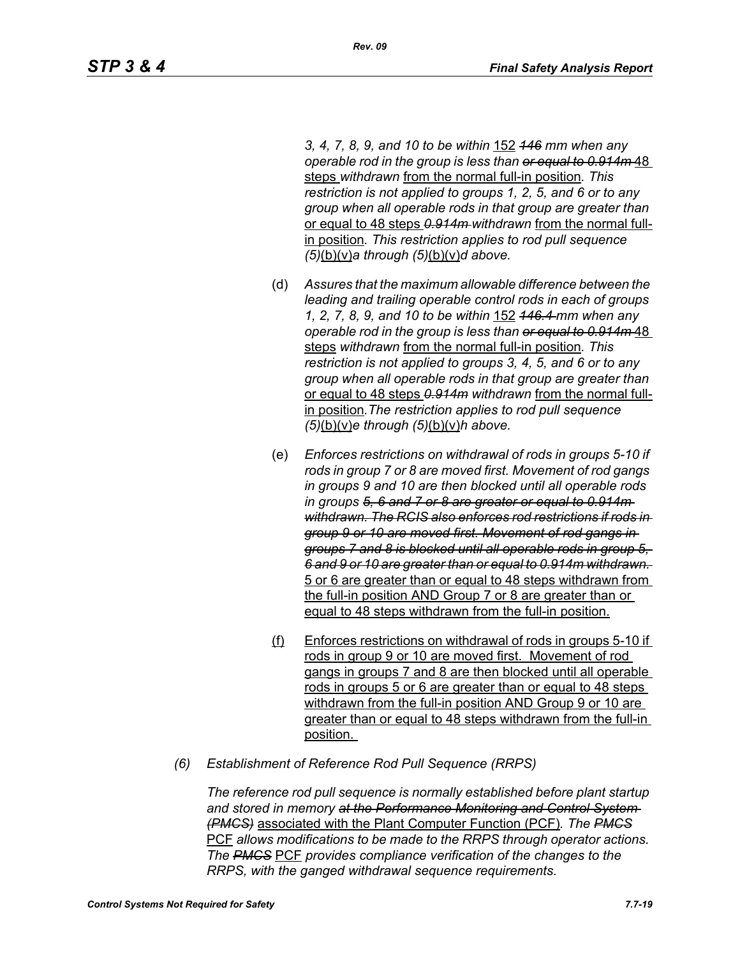*3, 4, 7, 8, 9, and 10 to be within* 152 *146 mm when any operable rod in the group is less than or equal to 0.914m* 48 steps *withdrawn* from the normal full-in position*. This restriction is not applied to groups 1, 2, 5, and 6 or to any group when all operable rods in that group are greater than*  or equal to 48 steps *0.914m withdrawn* from the normal fullin position*. This restriction applies to rod pull sequence (5)*(b)(v)*a through (5)*(b)(v)*d above.*

- (d) *Assures that the maximum allowable difference between the leading and trailing operable control rods in each of groups 1, 2, 7, 8, 9, and 10 to be within* 152 *146.4 mm when any operable rod in the group is less than or equal to 0.914m* 48 steps *withdrawn* from the normal full-in position*. This restriction is not applied to groups 3, 4, 5, and 6 or to any group when all operable rods in that group are greater than*  or equal to 48 steps *0.914m withdrawn* from the normal fullin position*.The restriction applies to rod pull sequence (5)*(b)(v)*e through (5)*(b)(v)*h above.*
- (e) *Enforces restrictions on withdrawal of rods in groups 5-10 if rods in group 7 or 8 are moved first. Movement of rod gangs in groups 9 and 10 are then blocked until all operable rods in groups 5, 6 and 7 or 8 are greater or equal to 0.914m withdrawn. The RCIS also enforces rod restrictions if rods in group 9 or 10 are moved first. Movement of rod gangs in groups 7 and 8 is blocked until all operable rods in group 5, 6 and 9 or 10 are greater than or equal to 0.914m withdrawn.*  5 or 6 are greater than or equal to 48 steps withdrawn from the full-in position AND Group 7 or 8 are greater than or equal to 48 steps withdrawn from the full-in position.
- (f) Enforces restrictions on withdrawal of rods in groups 5-10 if rods in group 9 or 10 are moved first. Movement of rod gangs in groups 7 and 8 are then blocked until all operable rods in groups 5 or 6 are greater than or equal to 48 steps withdrawn from the full-in position AND Group 9 or 10 are greater than or equal to 48 steps withdrawn from the full-in position.
- *(6) Establishment of Reference Rod Pull Sequence (RRPS)*

*The reference rod pull sequence is normally established before plant startup and stored in memory at the Performance Monitoring and Control System (PMCS)* associated with the Plant Computer Function (PCF)*. The PMCS* PCF *allows modifications to be made to the RRPS through operator actions. The PMCS* PCF *provides compliance verification of the changes to the RRPS, with the ganged withdrawal sequence requirements.*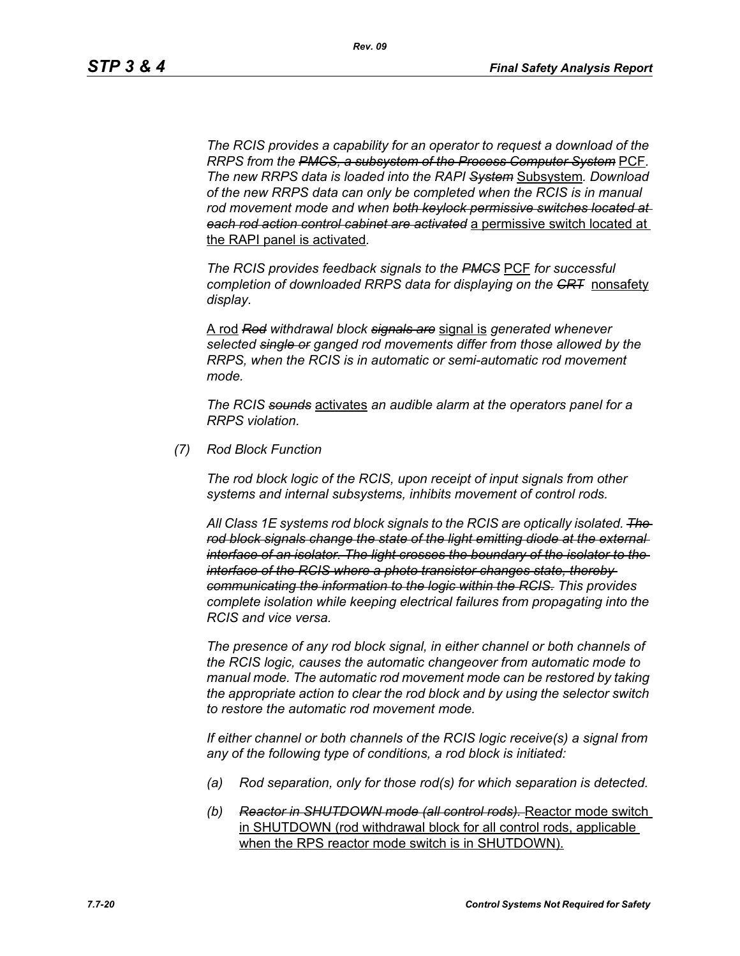*The RCIS provides a capability for an operator to request a download of the RRPS from the PMCS, a subsystem of the Process Computer System* PCF*. The new RRPS data is loaded into the RAPI System* Subsystem*. Download of the new RRPS data can only be completed when the RCIS is in manual rod movement mode and when both keylock permissive switches located at each rod action control cabinet are activated* a permissive switch located at the RAPI panel is activated*.*

*The RCIS provides feedback signals to the PMCS* PCF *for successful completion of downloaded RRPS data for displaying on the CRT* nonsafety *display.*

A rod *Rod withdrawal block signals are* signal is *generated whenever selected single or ganged rod movements differ from those allowed by the RRPS, when the RCIS is in automatic or semi-automatic rod movement mode.*

*The RCIS sounds* activates *an audible alarm at the operators panel for a RRPS violation.*

*(7) Rod Block Function*

*The rod block logic of the RCIS, upon receipt of input signals from other systems and internal subsystems, inhibits movement of control rods.*

*All Class 1E systems rod block signals to the RCIS are optically isolated. The rod block signals change the state of the light emitting diode at the external interface of an isolator. The light crosses the boundary of the isolator to the interface of the RCIS where a photo transistor changes state, thereby communicating the information to the logic within the RCIS. This provides complete isolation while keeping electrical failures from propagating into the RCIS and vice versa.*

*The presence of any rod block signal, in either channel or both channels of the RCIS logic, causes the automatic changeover from automatic mode to manual mode. The automatic rod movement mode can be restored by taking the appropriate action to clear the rod block and by using the selector switch to restore the automatic rod movement mode.*

*If either channel or both channels of the RCIS logic receive(s) a signal from any of the following type of conditions, a rod block is initiated:*

- *(a) Rod separation, only for those rod(s) for which separation is detected.*
- *(b) Reactor in SHUTDOWN mode (all control rods).* Reactor mode switch in SHUTDOWN (rod withdrawal block for all control rods, applicable when the RPS reactor mode switch is in SHUTDOWN).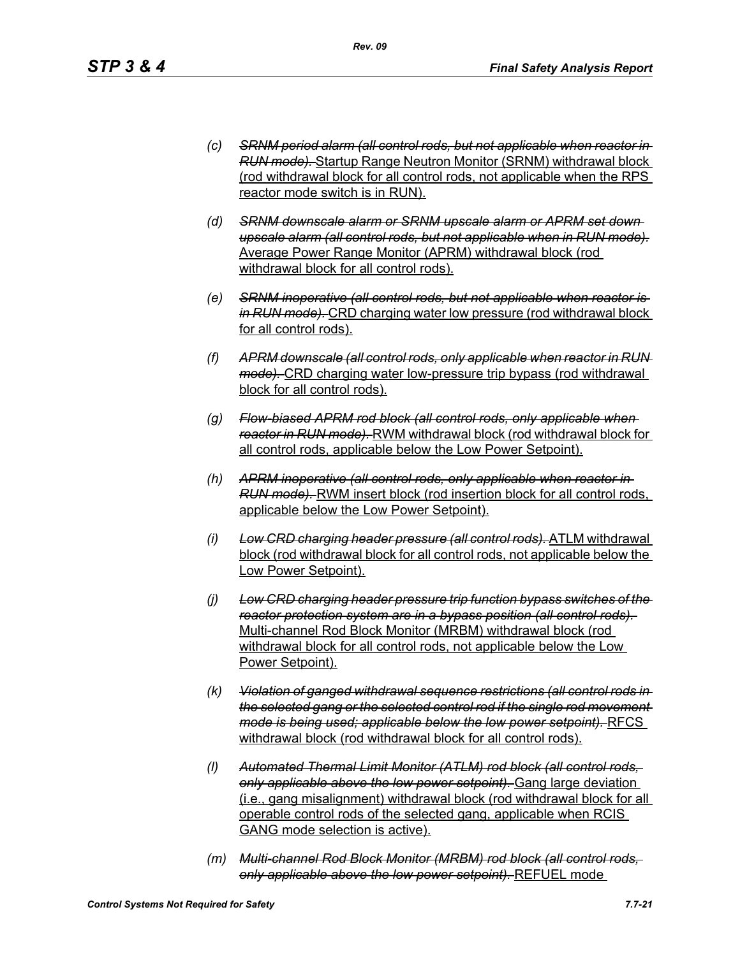- *(c) SRNM period alarm (all control rods, but not applicable when reactor in RUN mode).* Startup Range Neutron Monitor (SRNM) withdrawal block (rod withdrawal block for all control rods, not applicable when the RPS reactor mode switch is in RUN).
- *(d) SRNM downscale alarm or SRNM upscale alarm or APRM set down upscale alarm (all control rods, but not applicable when in RUN mode).* Average Power Range Monitor (APRM) withdrawal block (rod withdrawal block for all control rods).
- *(e) SRNM inoperative (all control rods, but not applicable when reactor is in RUN mode).* CRD charging water low pressure (rod withdrawal block for all control rods).
- *(f) APRM downscale (all control rods, only applicable when reactor in RUN mode).* CRD charging water low-pressure trip bypass (rod withdrawal block for all control rods).
- *(g) Flow-biased APRM rod block (all control rods, only applicable when reactor in RUN mode).* RWM withdrawal block (rod withdrawal block for all control rods, applicable below the Low Power Setpoint).
- *(h) APRM inoperative (all control rods, only applicable when reactor in RUN mode).* RWM insert block (rod insertion block for all control rods, applicable below the Low Power Setpoint).
- *(i) Low CRD charging header pressure (all control rods).* ATLM withdrawal block (rod withdrawal block for all control rods, not applicable below the Low Power Setpoint).
- *(j) Low CRD charging header pressure trip function bypass switches of the reactor protection system are in a bypass position (all control rods).*  Multi-channel Rod Block Monitor (MRBM) withdrawal block (rod withdrawal block for all control rods, not applicable below the Low Power Setpoint).
- *(k) Violation of ganged withdrawal sequence restrictions (all control rods in the selected gang or the selected control rod if the single rod movement mode is being used; applicable below the low power setpoint).* RFCS withdrawal block (rod withdrawal block for all control rods).
- *(l) Automated Thermal Limit Monitor (ATLM) rod block (all control rods, only applicable above the low power setpoint).* Gang large deviation (i.e., gang misalignment) withdrawal block (rod withdrawal block for all operable control rods of the selected gang, applicable when RCIS GANG mode selection is active).
- *(m) Multi-channel Rod Block Monitor (MRBM) rod block (all control rods, only applicable above the low power setpoint).* REFUEL mode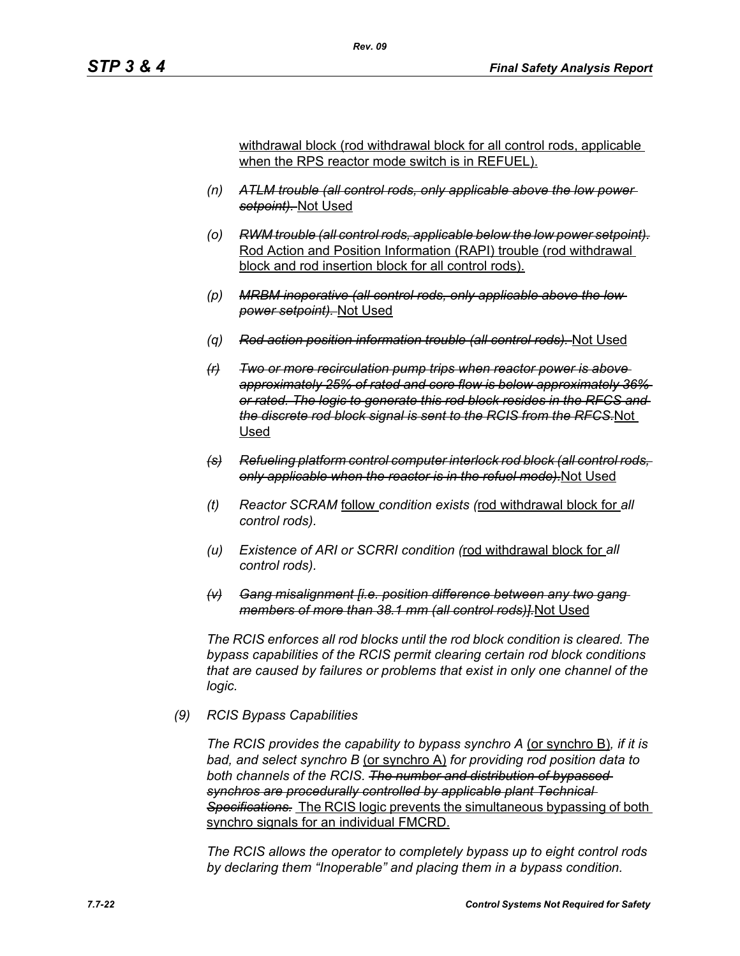withdrawal block (rod withdrawal block for all control rods, applicable when the RPS reactor mode switch is in REFUEL).

- *(n) ATLM trouble (all control rods, only applicable above the low power setpoint).* Not Used
- *(o) RWM trouble (all control rods, applicable below the low power setpoint).* Rod Action and Position Information (RAPI) trouble (rod withdrawal block and rod insertion block for all control rods).
- *(p) MRBM inoperative (all control rods, only applicable above the low power setpoint).* Not Used
- *(q) Rod action position information trouble (all control rods).* Not Used
- *(r) Two or more recirculation pump trips when reactor power is above approximately 25% of rated and core flow is below approximately 36% or rated. The logic to generate this rod block resides in the RFCS and the discrete rod block signal is sent to the RCIS from the RFCS.*Not Used
- *(s) Refueling platform control computer interlock rod block (all control rods, only applicable when the reactor is in the refuel mode).*Not Used
- *(t) Reactor SCRAM* follow *condition exists (*rod withdrawal block for *all control rods).*
- *(u) Existence of ARI or SCRRI condition (*rod withdrawal block for *all control rods).*
- *(v) Gang misalignment [i.e. position difference between any two gang members of more than 38.1 mm (all control rods)].*Not Used

*The RCIS enforces all rod blocks until the rod block condition is cleared. The bypass capabilities of the RCIS permit clearing certain rod block conditions that are caused by failures or problems that exist in only one channel of the logic.*

#### *(9) RCIS Bypass Capabilities*

*The RCIS provides the capability to bypass synchro A* (or synchro B)*, if it is bad, and select synchro B* (or synchro A) *for providing rod position data to both channels of the RCIS. The number and distribution of bypassed synchros are procedurally controlled by applicable plant Technical Specifications.* The RCIS logic prevents the simultaneous bypassing of both synchro signals for an individual FMCRD.

*The RCIS allows the operator to completely bypass up to eight control rods by declaring them "Inoperable" and placing them in a bypass condition.*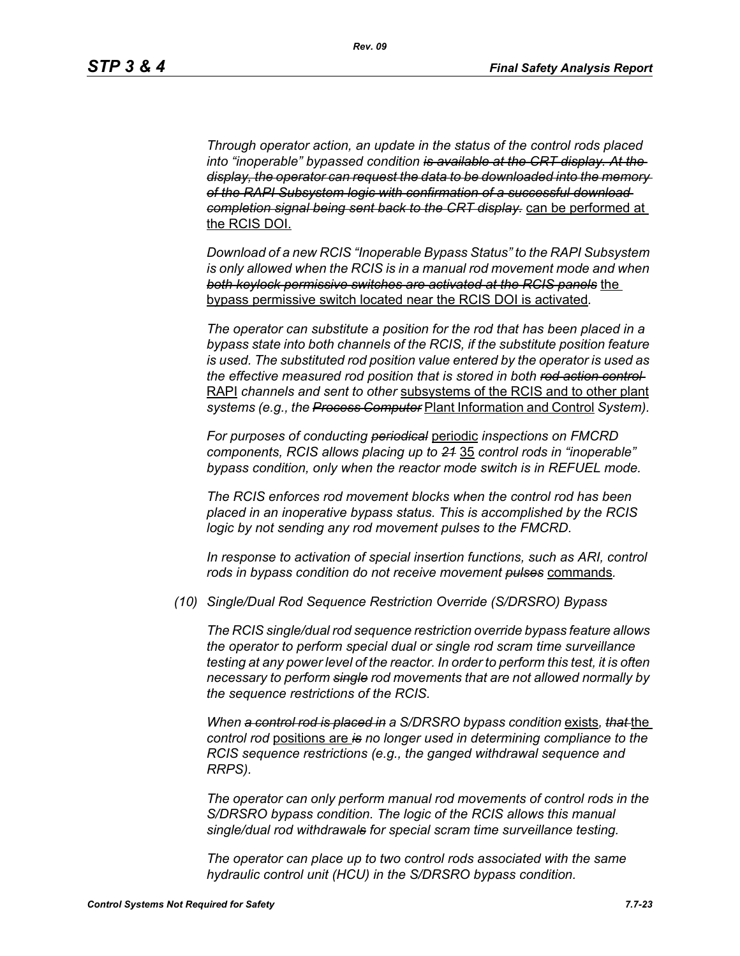*Through operator action, an update in the status of the control rods placed into "inoperable" bypassed condition is available at the CRT display. At the display, the operator can request the data to be downloaded into the memory of the RAPI Subsystem logic with confirmation of a successful download completion signal being sent back to the CRT display.* can be performed at the RCIS DOI.

*Download of a new RCIS "Inoperable Bypass Status" to the RAPI Subsystem is only allowed when the RCIS is in a manual rod movement mode and when both keylock permissive switches are activated at the RCIS panels* the bypass permissive switch located near the RCIS DOI is activated*.*

*The operator can substitute a position for the rod that has been placed in a bypass state into both channels of the RCIS, if the substitute position feature is used. The substituted rod position value entered by the operator is used as the effective measured rod position that is stored in both rod action control*  RAPI *channels and sent to other* subsystems of the RCIS and to other plant *systems (e.g., the Process Computer* Plant Information and Control *System).*

*For purposes of conducting periodical* periodic *inspections on FMCRD components, RCIS allows placing up to 21* 35 *control rods in "inoperable" bypass condition, only when the reactor mode switch is in REFUEL mode.*

*The RCIS enforces rod movement blocks when the control rod has been placed in an inoperative bypass status. This is accomplished by the RCIS logic by not sending any rod movement pulses to the FMCRD.*

*In response to activation of special insertion functions, such as ARI, control rods in bypass condition do not receive movement pulses* commands*.*

*(10) Single/Dual Rod Sequence Restriction Override (S/DRSRO) Bypass*

*The RCIS single/dual rod sequence restriction override bypass feature allows the operator to perform special dual or single rod scram time surveillance testing at any power level of the reactor. In order to perform this test, it is often necessary to perform single rod movements that are not allowed normally by the sequence restrictions of the RCIS.*

*When a control rod is placed in a S/DRSRO bypass condition* exists*, that* the *control rod* positions are *is no longer used in determining compliance to the RCIS sequence restrictions (e.g., the ganged withdrawal sequence and RRPS).*

*The operator can only perform manual rod movements of control rods in the S/DRSRO bypass condition. The logic of the RCIS allows this manual single/dual rod withdrawals for special scram time surveillance testing.*

*The operator can place up to two control rods associated with the same hydraulic control unit (HCU) in the S/DRSRO bypass condition.*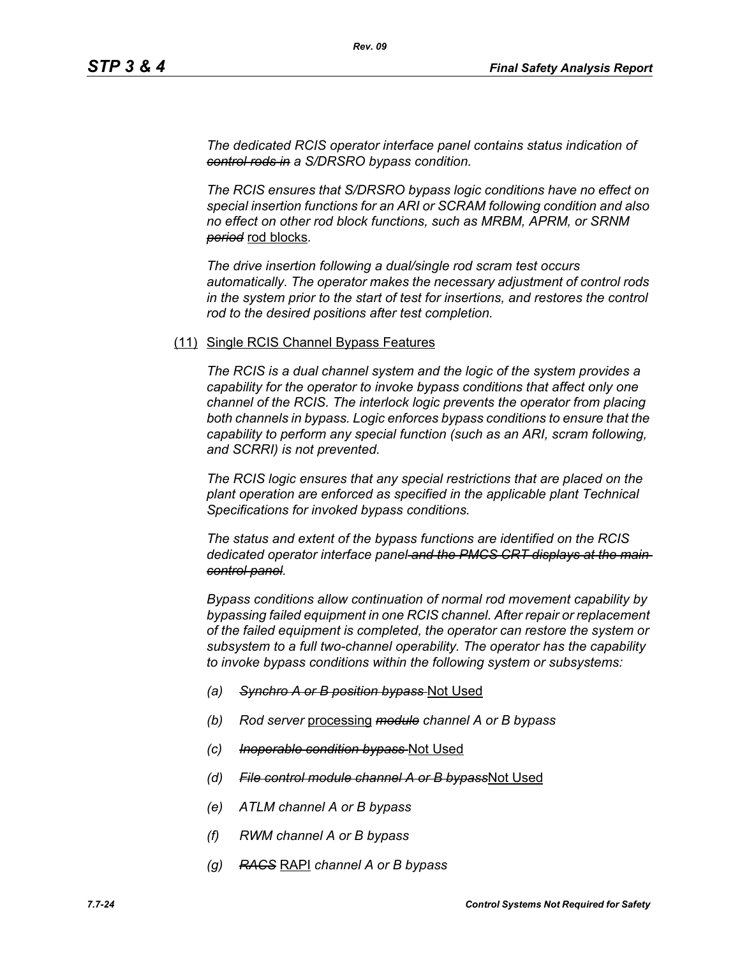*The dedicated RCIS operator interface panel contains status indication of control rods in a S/DRSRO bypass condition.*

*The RCIS ensures that S/DRSRO bypass logic conditions have no effect on special insertion functions for an ARI or SCRAM following condition and also no effect on other rod block functions, such as MRBM, APRM, or SRNM period* rod blocks*.*

*The drive insertion following a dual/single rod scram test occurs automatically. The operator makes the necessary adjustment of control rods in the system prior to the start of test for insertions, and restores the control rod to the desired positions after test completion.*

#### (11) Single RCIS Channel Bypass Features

*The RCIS is a dual channel system and the logic of the system provides a capability for the operator to invoke bypass conditions that affect only one channel of the RCIS. The interlock logic prevents the operator from placing both channels in bypass. Logic enforces bypass conditions to ensure that the capability to perform any special function (such as an ARI, scram following, and SCRRI) is not prevented.*

*The RCIS logic ensures that any special restrictions that are placed on the plant operation are enforced as specified in the applicable plant Technical Specifications for invoked bypass conditions.*

*The status and extent of the bypass functions are identified on the RCIS dedicated operator interface panel and the PMCS CRT displays at the main control panel.*

*Bypass conditions allow continuation of normal rod movement capability by bypassing failed equipment in one RCIS channel. After repair or replacement of the failed equipment is completed, the operator can restore the system or subsystem to a full two-channel operability. The operator has the capability to invoke bypass conditions within the following system or subsystems:*

- *(a) Synchro A or B position bypass* Not Used
- *(b) Rod server* processing *module channel A or B bypass*
- *(c) Inoperable condition bypass* Not Used
- *(d) File control module channel A or B bypass*Not Used
- *(e) ATLM channel A or B bypass*
- *(f) RWM channel A or B bypass*
- *(g) RACS* RAPI *channel A or B bypass*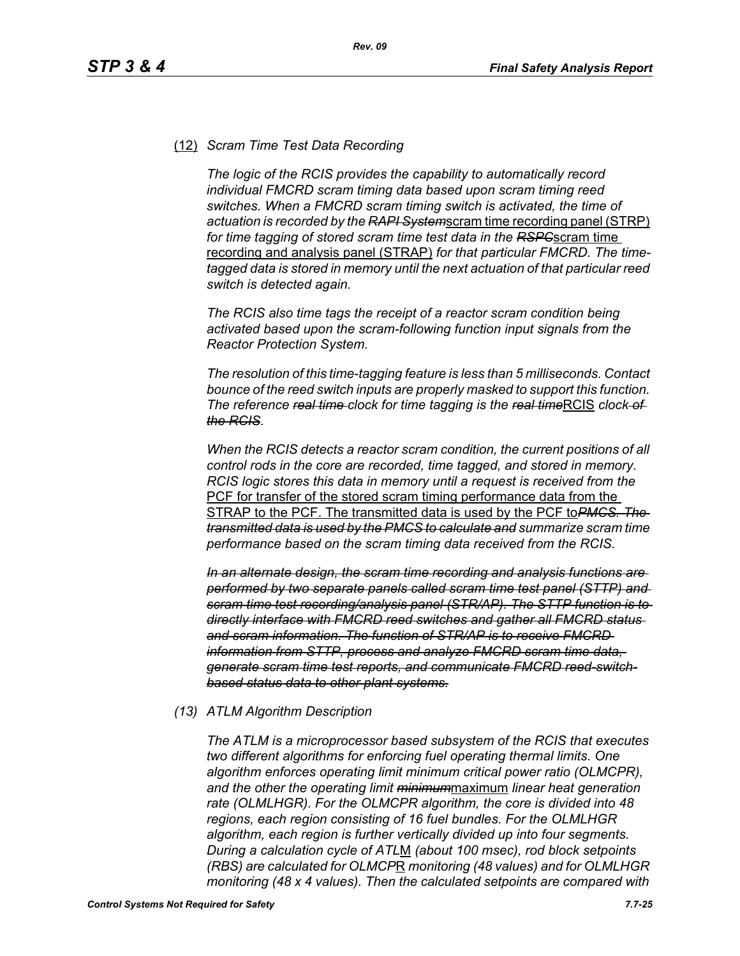## (12) *Scram Time Test Data Recording*

*The logic of the RCIS provides the capability to automatically record individual FMCRD scram timing data based upon scram timing reed switches. When a FMCRD scram timing switch is activated, the time of actuation is recorded by the RAPI System*scram time recording panel (STRP) *for time tagging of stored scram time test data in the RSPC*scram time recording and analysis panel (STRAP) *for that particular FMCRD. The timetagged data is stored in memory until the next actuation of that particular reed switch is detected again.*

*The RCIS also time tags the receipt of a reactor scram condition being activated based upon the scram-following function input signals from the Reactor Protection System.*

*The resolution of this time-tagging feature is less than 5 milliseconds. Contact bounce of the reed switch inputs are properly masked to support this function. The reference <del>real time</del> clock for time tagging is the real timeRCIS clock of the RCIS.*

*When the RCIS detects a reactor scram condition, the current positions of all control rods in the core are recorded, time tagged, and stored in memory. RCIS logic stores this data in memory until a request is received from the*  PCF for transfer of the stored scram timing performance data from the STRAP to the PCF. The transmitted data is used by the PCF to*PMCS. The transmitted data is used by the PMCS to calculate and summarize scram time performance based on the scram timing data received from the RCIS.*

*In an alternate design, the scram time recording and analysis functions are performed by two separate panels called scram time test panel (STTP) and scram time test recording/analysis panel (STR/AP). The STTP function is to directly interface with FMCRD reed switches and gather all FMCRD status and scram information. The function of STR/AP is to receive FMCRD information from STTP, process and analyze FMCRD scram time data, generate scram time test reports, and communicate FMCRD reed-switchbased status data to other plant systems.*

#### *(13) ATLM Algorithm Description*

*The ATLM is a microprocessor based subsystem of the RCIS that executes two different algorithms for enforcing fuel operating thermal limits. One algorithm enforces operating limit minimum critical power ratio (OLMCPR), and the other the operating limit minimum*maximum *linear heat generation rate (OLMLHGR). For the OLMCPR algorithm, the core is divided into 48 regions, each region consisting of 16 fuel bundles. For the OLMLHGR algorithm, each region is further vertically divided up into four segments. During a calculation cycle of ATL*M *(about 100 msec), rod block setpoints (RBS) are calculated for OLMCP*R *monitoring (48 values) and for OLMLHGR monitoring (48 x 4 values). Then the calculated setpoints are compared with*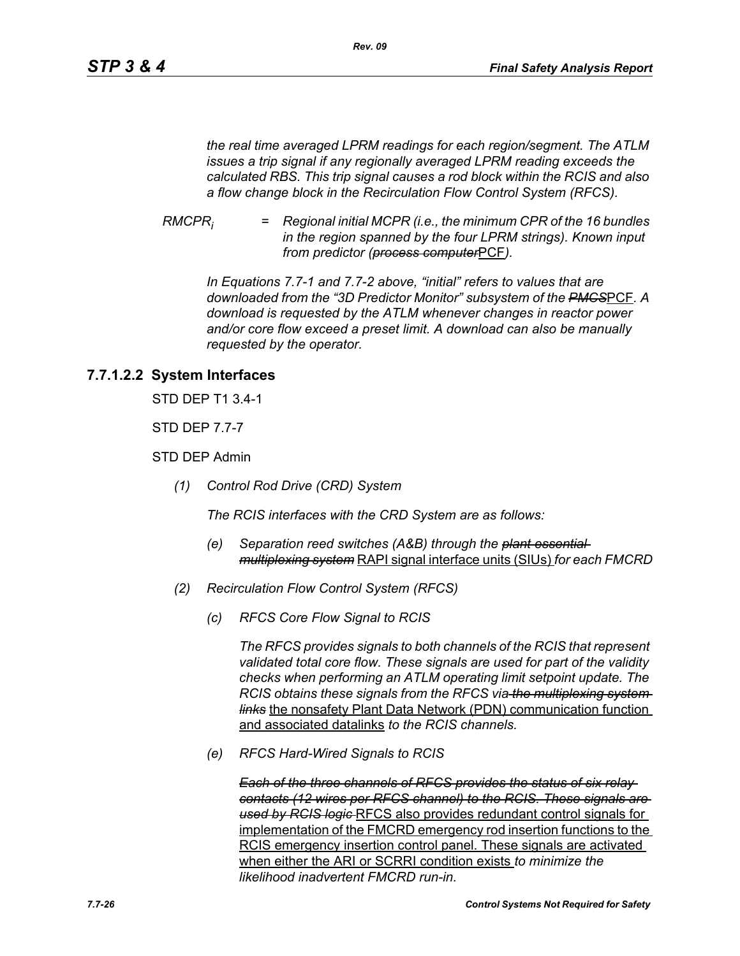*the real time averaged LPRM readings for each region/segment. The ATLM issues a trip signal if any regionally averaged LPRM reading exceeds the calculated RBS. This trip signal causes a rod block within the RCIS and also a flow change block in the Recirculation Flow Control System (RFCS).*

*RMCPRi = Regional initial MCPR (i.e., the minimum CPR of the 16 bundles in the region spanned by the four LPRM strings). Known input from predictor (process computer*PCF*).*

*In Equations 7.7-1 and 7.7-2 above, "initial" refers to values that are downloaded from the "3D Predictor Monitor" subsystem of the PMCS*PCF*. A download is requested by the ATLM whenever changes in reactor power and/or core flow exceed a preset limit. A download can also be manually requested by the operator.*

# **7.7.1.2.2 System Interfaces**

STD DEP T1 3.4-1

STD DEP 7.7-7

STD DEP Admin

*(1) Control Rod Drive (CRD) System*

*The RCIS interfaces with the CRD System are as follows:*

- *(e) Separation reed switches (A&B) through the plant essential multiplexing system* RAPI signal interface units (SIUs) *for each FMCRD*
- *(2) Recirculation Flow Control System (RFCS)*
	- *(c) RFCS Core Flow Signal to RCIS*

*The RFCS provides signals to both channels of the RCIS that represent validated total core flow. These signals are used for part of the validity checks when performing an ATLM operating limit setpoint update. The RCIS obtains these signals from the RFCS via the multiplexing system links* the nonsafety Plant Data Network (PDN) communication function and associated datalinks *to the RCIS channels.*

*(e) RFCS Hard-Wired Signals to RCIS*

*Each of the three channels of RFCS provides the status of six relay contacts (12 wires per RFCS channel) to the RCIS. These signals are used by RCIS logic* RFCS also provides redundant control signals for implementation of the FMCRD emergency rod insertion functions to the RCIS emergency insertion control panel. These signals are activated when either the ARI or SCRRI condition exists *to minimize the likelihood inadvertent FMCRD run-in.*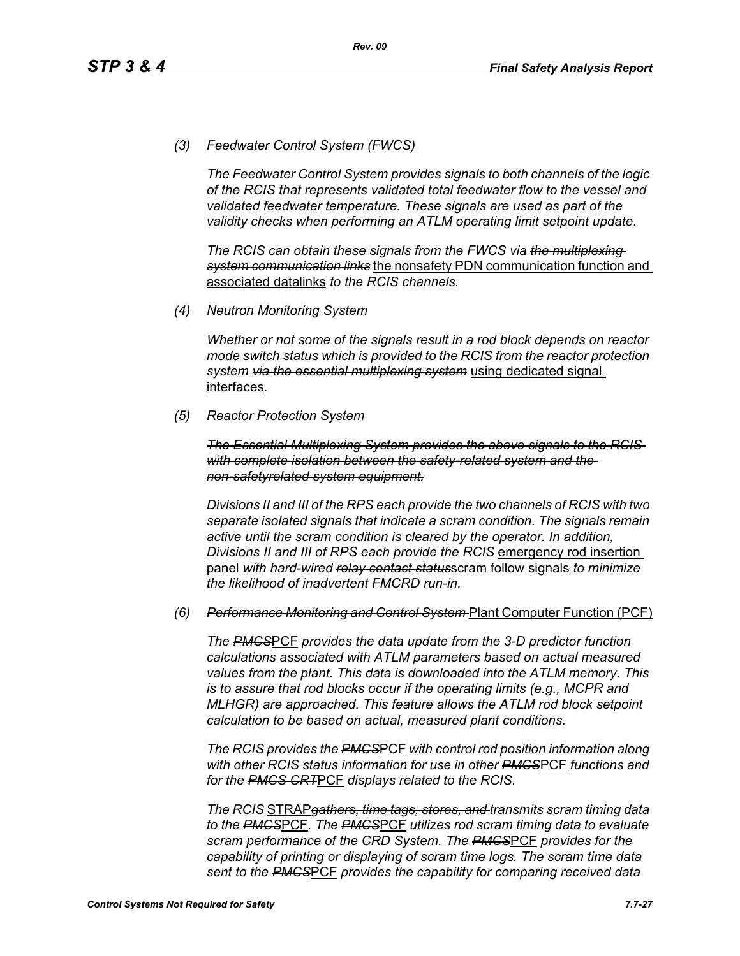*(3) Feedwater Control System (FWCS)*

*The Feedwater Control System provides signals to both channels of the logic of the RCIS that represents validated total feedwater flow to the vessel and validated feedwater temperature. These signals are used as part of the validity checks when performing an ATLM operating limit setpoint update.*

*The RCIS can obtain these signals from the FWCS via the multiplexing system communication links* the nonsafety PDN communication function and associated datalinks *to the RCIS channels.*

*(4) Neutron Monitoring System*

*Whether or not some of the signals result in a rod block depends on reactor mode switch status which is provided to the RCIS from the reactor protection system via the essential multiplexing system* using dedicated signal interfaces*.*

*(5) Reactor Protection System*

*The Essential Multiplexing System provides the above signals to the RCIS with complete isolation between the safety-related system and the non-safetyrelated system equipment.*

*Divisions II and III of the RPS each provide the two channels of RCIS with two separate isolated signals that indicate a scram condition. The signals remain active until the scram condition is cleared by the operator. In addition, Divisions II and III of RPS each provide the RCIS* emergency rod insertion panel *with hard-wired relay contact status*scram follow signals *to minimize the likelihood of inadvertent FMCRD run-in.*

#### *(6) Performance Monitoring and Control System* Plant Computer Function (PCF)

*The PMCS*PCF *provides the data update from the 3-D predictor function calculations associated with ATLM parameters based on actual measured values from the plant. This data is downloaded into the ATLM memory. This is to assure that rod blocks occur if the operating limits (e.g., MCPR and MLHGR) are approached. This feature allows the ATLM rod block setpoint calculation to be based on actual, measured plant conditions.*

*The RCIS provides the PMCS*PCF *with control rod position information along with other RCIS status information for use in other PMCS*PCF *functions and for the PMCS CRT*PCF *displays related to the RCIS.*

*The RCIS* STRAP*gathers, time tags, stores, and transmits scram timing data to the PMCS*PCF*. The PMCS*PCF *utilizes rod scram timing data to evaluate scram performance of the CRD System. The PMCS*PCF *provides for the capability of printing or displaying of scram time logs. The scram time data sent to the PMCS*PCF *provides the capability for comparing received data*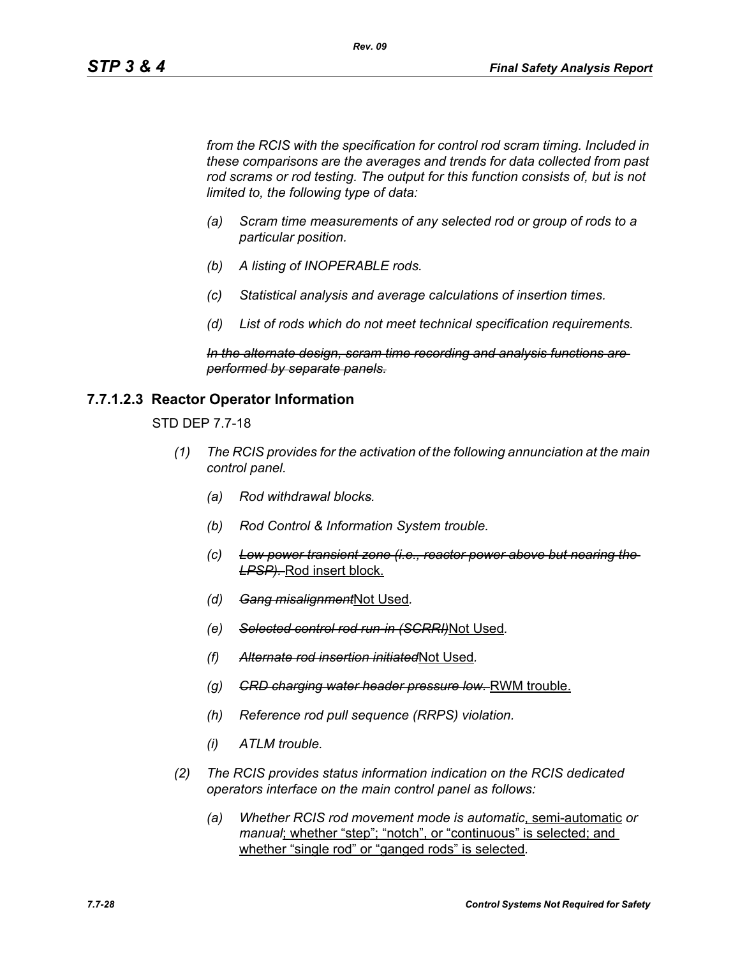*from the RCIS with the specification for control rod scram timing. Included in these comparisons are the averages and trends for data collected from past*  rod scrams or rod testing. The output for this function consists of, but is not *limited to, the following type of data:*

*Rev. 09*

- *(a) Scram time measurements of any selected rod or group of rods to a particular position.*
- *(b) A listing of INOPERABLE rods.*
- *(c) Statistical analysis and average calculations of insertion times.*
- *(d) List of rods which do not meet technical specification requirements.*

*In the alternate design, scram time recording and analysis functions are performed by separate panels.*

#### **7.7.1.2.3 Reactor Operator Information**

STD DEP 7.7-18

- *(1) The RCIS provides for the activation of the following annunciation at the main control panel.*
	- *(a) Rod withdrawal blocks.*
	- *(b) Rod Control & Information System trouble.*
	- *(c) Low power transient zone (i.e., reactor power above but nearing the LPSP).* Rod insert block.
	- *(d) Gang misalignment*Not Used*.*
	- *(e) Selected control rod run-in (SCRRI)*Not Used*.*
	- *(f) Alternate rod insertion initiated*Not Used*.*
	- *(g) CRD charging water header pressure low.* RWM trouble.
	- *(h) Reference rod pull sequence (RRPS) violation.*
	- *(i) ATLM trouble.*
- *(2) The RCIS provides status information indication on the RCIS dedicated operators interface on the main control panel as follows:*
	- *(a) Whether RCIS rod movement mode is automatic*, semi-automatic *or manual*; whether "step"; "notch", or "continuous" is selected; and whether "single rod" or "ganged rods" is selected*.*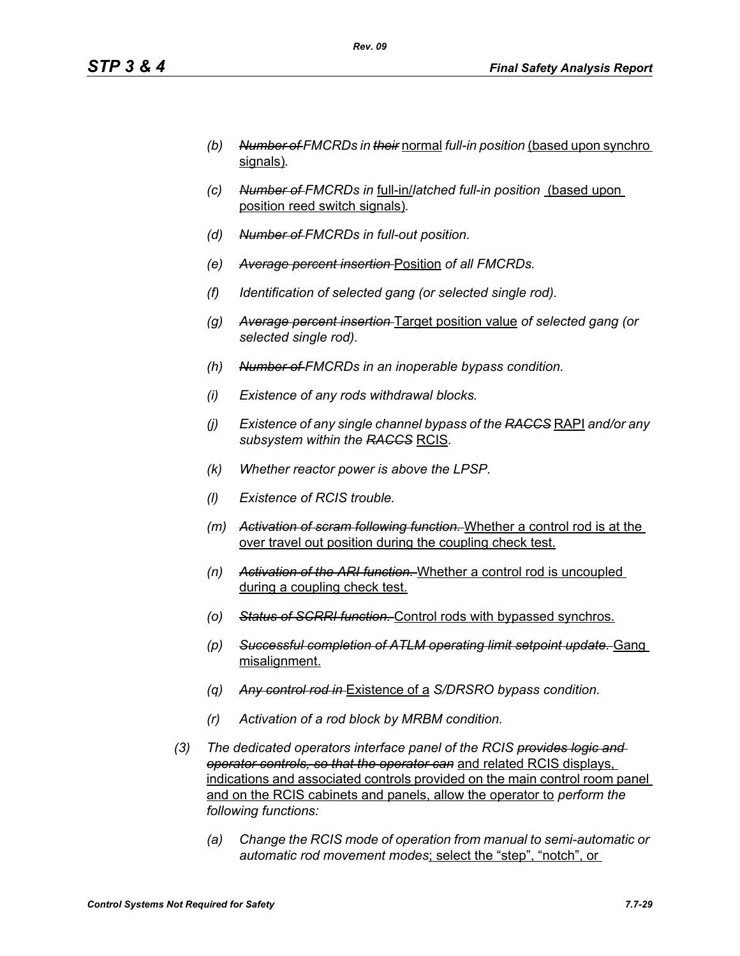- *(b) Number of FMCRDs in their* normal *full-in position* (based upon synchro signals)*.*
- *(c) Number of FMCRDs in* full-in/*latched full-in position* (based upon position reed switch signals)*.*
- *(d) Number of FMCRDs in full-out position.*
- *(e) Average percent insertion* Position *of all FMCRDs.*
- *(f) Identification of selected gang (or selected single rod).*
- *(g) Average percent insertion* Target position value *of selected gang (or selected single rod).*
- *(h) Number of FMCRDs in an inoperable bypass condition.*
- *(i) Existence of any rods withdrawal blocks.*
- *(j) Existence of any single channel bypass of the RACCS* RAPI *and/or any subsystem within the RACCS* RCIS*.*
- *(k) Whether reactor power is above the LPSP.*
- *(l) Existence of RCIS trouble.*
- *(m) Activation of scram following function.* Whether a control rod is at the over travel out position during the coupling check test.
- *(n) Activation of the ARI function.* Whether a control rod is uncoupled during a coupling check test.
- *(o) Status of SCRRI function.* Control rods with bypassed synchros.
- *(p) Successful completion of ATLM operating limit setpoint update.* Gang misalignment.
- *(q) Any control rod in* Existence of a *S/DRSRO bypass condition.*
- *(r) Activation of a rod block by MRBM condition.*
- *(3) The dedicated operators interface panel of the RCIS provides logic and operator controls, so that the operator can* and related RCIS displays, indications and associated controls provided on the main control room panel and on the RCIS cabinets and panels, allow the operator to *perform the following functions:*
	- *(a) Change the RCIS mode of operation from manual to semi-automatic or automatic rod movement modes*; select the "step", "notch", or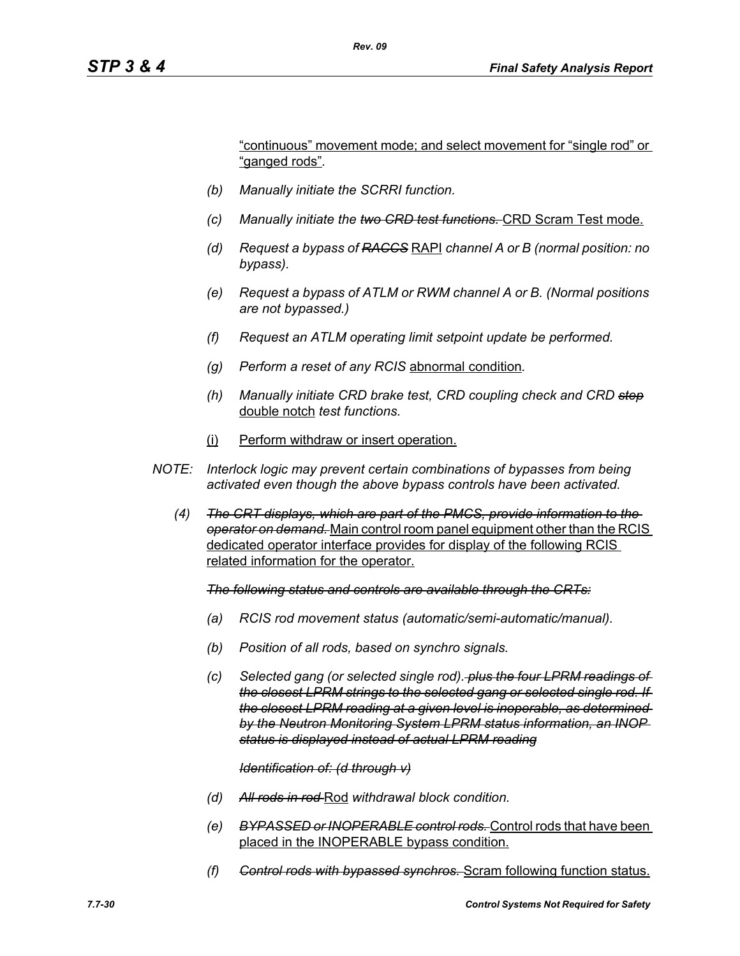"continuous" movement mode; and select movement for "single rod" or "ganged rods"*.*

- *(b) Manually initiate the SCRRI function.*
- *(c) Manually initiate the two CRD test functions.* CRD Scram Test mode.
- *(d) Request a bypass of RACCS* RAPI *channel A or B (normal position: no bypass).*
- *(e) Request a bypass of ATLM or RWM channel A or B. (Normal positions are not bypassed.)*
- *(f) Request an ATLM operating limit setpoint update be performed.*
- *(g) Perform a reset of any RCIS* abnormal condition*.*
- *(h) Manually initiate CRD brake test, CRD coupling check and CRD step* double notch *test functions.*
- (i) Perform withdraw or insert operation.
- *NOTE: Interlock logic may prevent certain combinations of bypasses from being activated even though the above bypass controls have been activated.*
	- *(4) The CRT displays, which are part of the PMCS, provide information to the operator on demand.* Main control room panel equipment other than the RCIS dedicated operator interface provides for display of the following RCIS related information for the operator.

*The following status and controls are available through the CRTs:*

- *(a) RCIS rod movement status (automatic/semi-automatic/manual).*
- *(b) Position of all rods, based on synchro signals.*
- *(c) Selected gang (or selected single rod). plus the four LPRM readings of the closest LPRM strings to the selected gang or selected single rod. If the closest LPRM reading at a given level is inoperable, as determined by the Neutron Monitoring System LPRM status information, an INOP status is displayed instead of actual LPRM reading*

#### *Identification of: (d through v)*

- *(d) All rods in rod* Rod *withdrawal block condition.*
- *(e) BYPASSED or INOPERABLE control rods.* Control rods that have been placed in the INOPERABLE bypass condition.
- *(f) Control rods with bypassed synchros.* Scram following function status.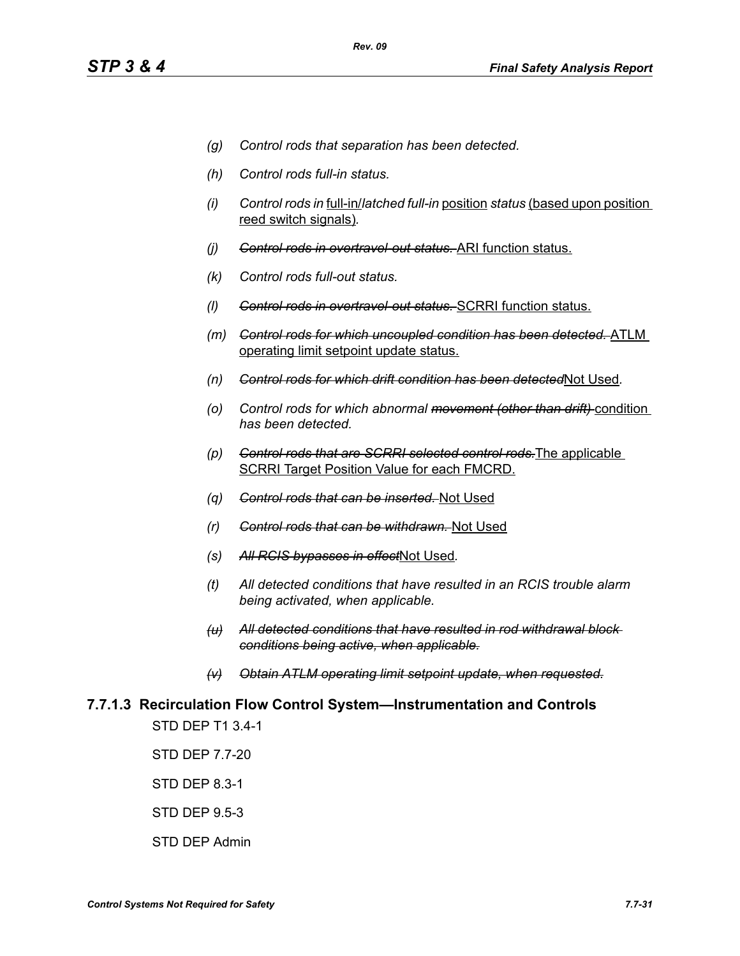- *(g) Control rods that separation has been detected.*
- *(h) Control rods full-in status.*
- *(i) Control rods in* full-in/*latched full-in* position *status* (based upon position reed switch signals)*.*
- *(j) Control rods in overtravel-out status.* ARI function status.
- *(k) Control rods full-out status.*
- *(l) Control rods in overtravel-out status.* SCRRI function status.
- *(m) Control rods for which uncoupled condition has been detected.* ATLM operating limit setpoint update status.
- *(n) Control rods for which drift condition has been detected*Not Used*.*
- *(o) Control rods for which abnormal movement (other than drift)* condition *has been detected.*
- *(p) Control rods that are SCRRI selected control rods.*The applicable SCRRI Target Position Value for each FMCRD.
- *(q) Control rods that can be inserted.* Not Used
- *(r) Control rods that can be withdrawn.* Not Used
- *(s) All RCIS bypasses in effect*Not Used*.*
- *(t) All detected conditions that have resulted in an RCIS trouble alarm being activated, when applicable.*
- *(u) All detected conditions that have resulted in rod withdrawal block conditions being active, when applicable.*
- *(v) Obtain ATLM operating limit setpoint update, when requested.*

# **7.7.1.3 Recirculation Flow Control System—Instrumentation and Controls**

STD DEP T1 3.4-1

STD DEP 7.7-20

STD DEP 8.3-1

STD DEP 9.5-3

STD DEP Admin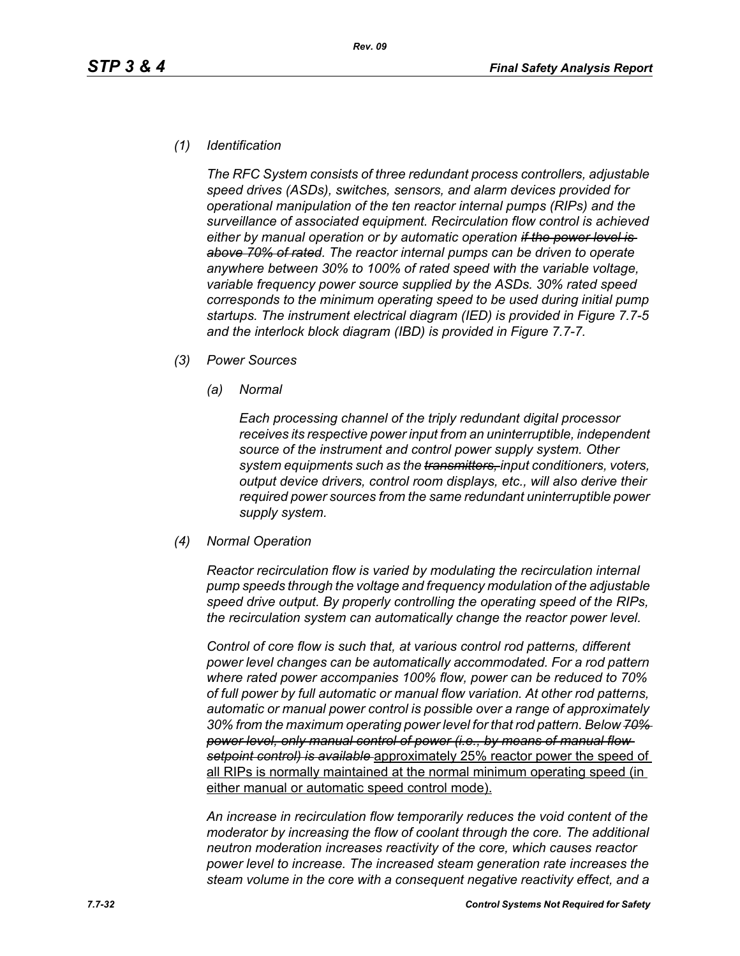#### *(1) Identification*

*The RFC System consists of three redundant process controllers, adjustable speed drives (ASDs), switches, sensors, and alarm devices provided for operational manipulation of the ten reactor internal pumps (RIPs) and the surveillance of associated equipment. Recirculation flow control is achieved either by manual operation or by automatic operation if the power level is above 70% of rated. The reactor internal pumps can be driven to operate anywhere between 30% to 100% of rated speed with the variable voltage, variable frequency power source supplied by the ASDs. 30% rated speed corresponds to the minimum operating speed to be used during initial pump startups. The instrument electrical diagram (IED) is provided in Figure 7.7-5 and the interlock block diagram (IBD) is provided in Figure 7.7-7.*

- *(3) Power Sources*
	- *(a) Normal*

*Each processing channel of the triply redundant digital processor receives its respective power input from an uninterruptible, independent source of the instrument and control power supply system. Other system equipments such as the transmitters, input conditioners, voters, output device drivers, control room displays, etc., will also derive their required power sources from the same redundant uninterruptible power supply system.*

*(4) Normal Operation*

*Reactor recirculation flow is varied by modulating the recirculation internal pump speeds through the voltage and frequency modulation of the adjustable speed drive output. By properly controlling the operating speed of the RIPs, the recirculation system can automatically change the reactor power level.*

*Control of core flow is such that, at various control rod patterns, different power level changes can be automatically accommodated. For a rod pattern where rated power accompanies 100% flow, power can be reduced to 70% of full power by full automatic or manual flow variation. At other rod patterns, automatic or manual power control is possible over a range of approximately 30% from the maximum operating power level for that rod pattern. Below 70% power level, only manual control of power (i.e., by means of manual flow setpoint control) is available* approximately 25% reactor power the speed of all RIPs is normally maintained at the normal minimum operating speed (in either manual or automatic speed control mode).

*An increase in recirculation flow temporarily reduces the void content of the moderator by increasing the flow of coolant through the core. The additional neutron moderation increases reactivity of the core, which causes reactor power level to increase. The increased steam generation rate increases the steam volume in the core with a consequent negative reactivity effect, and a*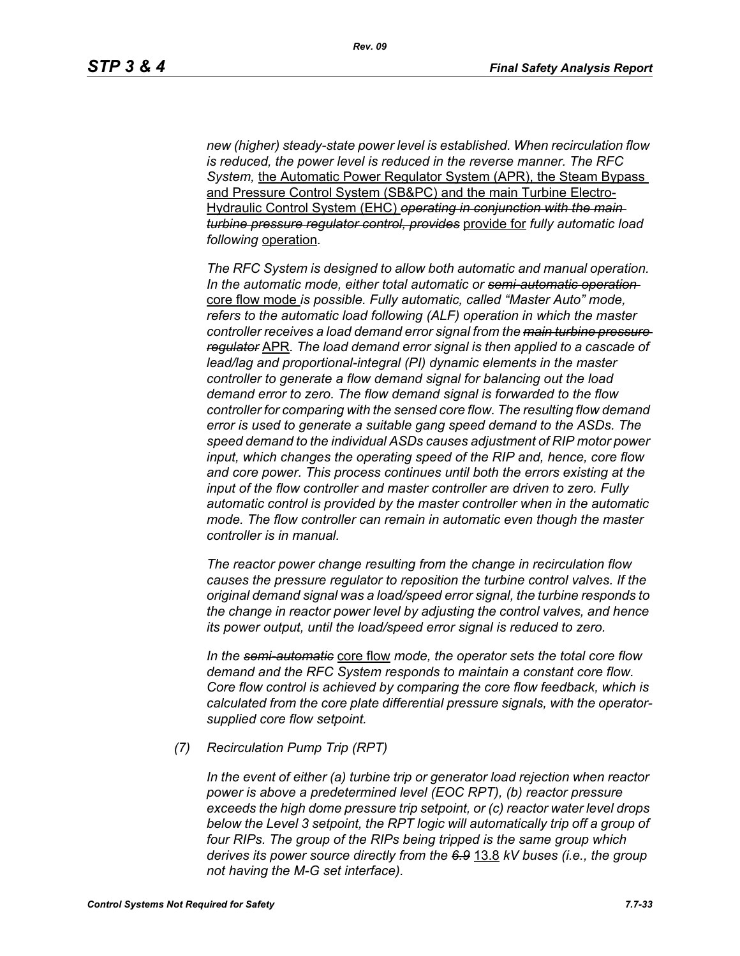*new (higher) steady-state power level is established. When recirculation flow is reduced, the power level is reduced in the reverse manner. The RFC System,* the Automatic Power Regulator System (APR), the Steam Bypass and Pressure Control System (SB&PC) and the main Turbine Electro-Hydraulic Control System (EHC) *operating in conjunction with the main turbine pressure regulator control, provides* provide for *fully automatic load following* operation*.* 

*The RFC System is designed to allow both automatic and manual operation. In the automatic mode, either total automatic or semi-automatic operation*  core flow mode *is possible. Fully automatic, called "Master Auto" mode, refers to the automatic load following (ALF) operation in which the master controller receives a load demand error signal from the main turbine pressure regulator* APR*. The load demand error signal is then applied to a cascade of lead/lag and proportional-integral (PI) dynamic elements in the master controller to generate a flow demand signal for balancing out the load demand error to zero. The flow demand signal is forwarded to the flow controller for comparing with the sensed core flow. The resulting flow demand error is used to generate a suitable gang speed demand to the ASDs. The speed demand to the individual ASDs causes adjustment of RIP motor power input, which changes the operating speed of the RIP and, hence, core flow and core power. This process continues until both the errors existing at the input of the flow controller and master controller are driven to zero. Fully automatic control is provided by the master controller when in the automatic mode. The flow controller can remain in automatic even though the master controller is in manual.*

*The reactor power change resulting from the change in recirculation flow causes the pressure regulator to reposition the turbine control valves. If the original demand signal was a load/speed error signal, the turbine responds to the change in reactor power level by adjusting the control valves, and hence its power output, until the load/speed error signal is reduced to zero.*

*In the semi-automatic* core flow *mode, the operator sets the total core flow demand and the RFC System responds to maintain a constant core flow. Core flow control is achieved by comparing the core flow feedback, which is calculated from the core plate differential pressure signals, with the operatorsupplied core flow setpoint.*

*(7) Recirculation Pump Trip (RPT)*

*In the event of either (a) turbine trip or generator load rejection when reactor power is above a predetermined level (EOC RPT), (b) reactor pressure exceeds the high dome pressure trip setpoint, or (c) reactor water level drops below the Level 3 setpoint, the RPT logic will automatically trip off a group of four RIPs. The group of the RIPs being tripped is the same group which derives its power source directly from the 6.9* 13.8 *kV buses (i.e., the group not having the M-G set interface).*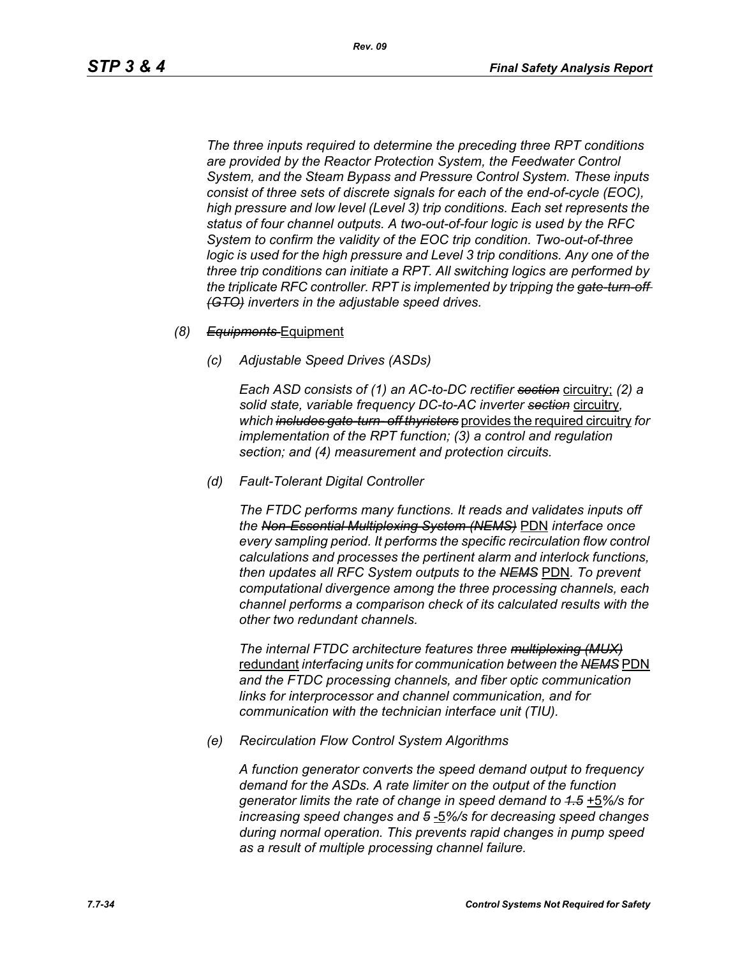*The three inputs required to determine the preceding three RPT conditions are provided by the Reactor Protection System, the Feedwater Control System, and the Steam Bypass and Pressure Control System. These inputs consist of three sets of discrete signals for each of the end-of-cycle (EOC), high pressure and low level (Level 3) trip conditions. Each set represents the status of four channel outputs. A two-out-of-four logic is used by the RFC System to confirm the validity of the EOC trip condition. Two-out-of-three logic is used for the high pressure and Level 3 trip conditions. Any one of the three trip conditions can initiate a RPT. All switching logics are performed by the triplicate RFC controller. RPT is implemented by tripping the gate-turn-off (GTO) inverters in the adjustable speed drives.*

- *(8) Equipments* Equipment
	- *(c) Adjustable Speed Drives (ASDs)*

*Each ASD consists of (1) an AC-to-DC rectifier section* circuitry; *(2) a solid state, variable frequency DC-to-AC inverter section* circuitry*, which includes gate-turn- off thyristers* provides the required circuitry *for implementation of the RPT function; (3) a control and regulation section; and (4) measurement and protection circuits.*

*(d) Fault-Tolerant Digital Controller*

*The FTDC performs many functions. It reads and validates inputs off the Non-Essential Multiplexing System (NEMS)* PDN *interface once every sampling period. It performs the specific recirculation flow control calculations and processes the pertinent alarm and interlock functions, then updates all RFC System outputs to the NEMS* PDN*. To prevent computational divergence among the three processing channels, each channel performs a comparison check of its calculated results with the other two redundant channels.*

*The internal FTDC architecture features three multiplexing (MUX)* redundant *interfacing units for communication between the NEMS* PDN *and the FTDC processing channels, and fiber optic communication links for interprocessor and channel communication, and for communication with the technician interface unit (TIU).*

*(e) Recirculation Flow Control System Algorithms*

*A function generator converts the speed demand output to frequency demand for the ASDs. A rate limiter on the output of the function generator limits the rate of change in speed demand to 1.5* +5*%/s for increasing speed changes and 5* -5*%/s for decreasing speed changes during normal operation. This prevents rapid changes in pump speed as a result of multiple processing channel failure.*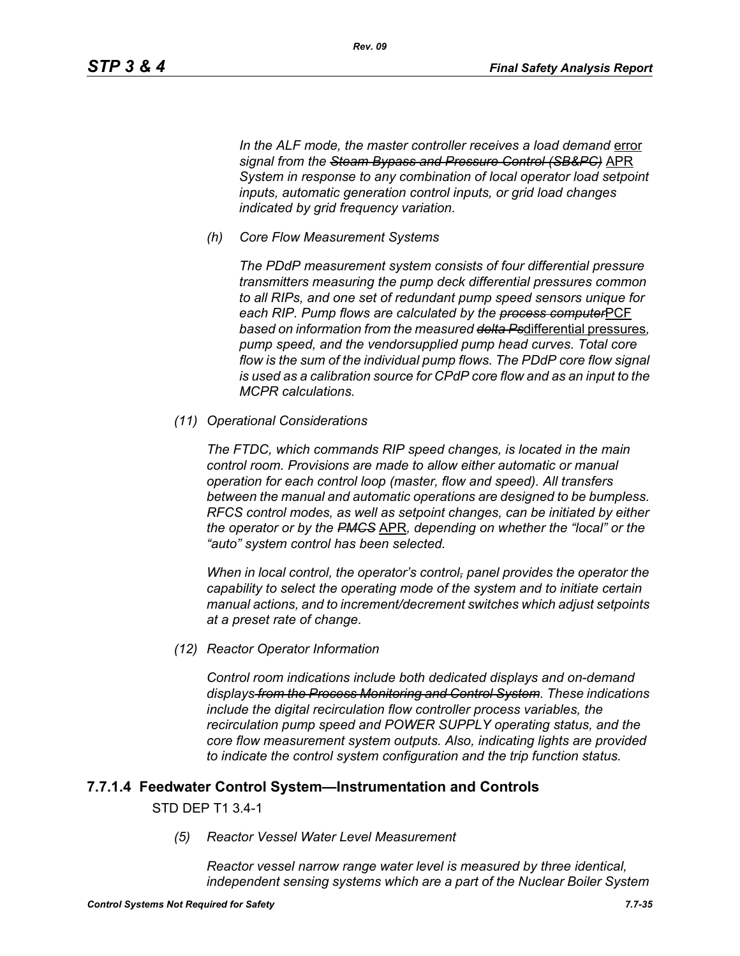In the ALF mode, the master controller receives a load demand error *signal from the Steam Bypass and Pressure Control (SB&PC)* APR *System in response to any combination of local operator load setpoint inputs, automatic generation control inputs, or grid load changes indicated by grid frequency variation.*

*(h) Core Flow Measurement Systems*

*Rev. 09*

*The PDdP measurement system consists of four differential pressure transmitters measuring the pump deck differential pressures common to all RIPs, and one set of redundant pump speed sensors unique for each RIP. Pump flows are calculated by the process computer*PCF *based on information from the measured delta Ps*differential pressures*, pump speed, and the vendorsupplied pump head curves. Total core flow is the sum of the individual pump flows. The PDdP core flow signal is used as a calibration source for CPdP core flow and as an input to the MCPR calculations.*

*(11) Operational Considerations*

*The FTDC, which commands RIP speed changes, is located in the main control room. Provisions are made to allow either automatic or manual operation for each control loop (master, flow and speed). All transfers between the manual and automatic operations are designed to be bumpless. RFCS control modes, as well as setpoint changes, can be initiated by either the operator or by the PMCS* APR*, depending on whether the "local" or the "auto" system control has been selected.*

*When in local control, the operator's control, panel provides the operator the capability to select the operating mode of the system and to initiate certain manual actions, and to increment/decrement switches which adjust setpoints at a preset rate of change.*

*(12) Reactor Operator Information*

*Control room indications include both dedicated displays and on-demand displays from the Process Monitoring and Control System. These indications include the digital recirculation flow controller process variables, the recirculation pump speed and POWER SUPPLY operating status, and the core flow measurement system outputs. Also, indicating lights are provided to indicate the control system configuration and the trip function status.*

#### **7.7.1.4 Feedwater Control System—Instrumentation and Controls**

#### STD DEP T1 3.4-1

*(5) Reactor Vessel Water Level Measurement* 

*Reactor vessel narrow range water level is measured by three identical, independent sensing systems which are a part of the Nuclear Boiler System*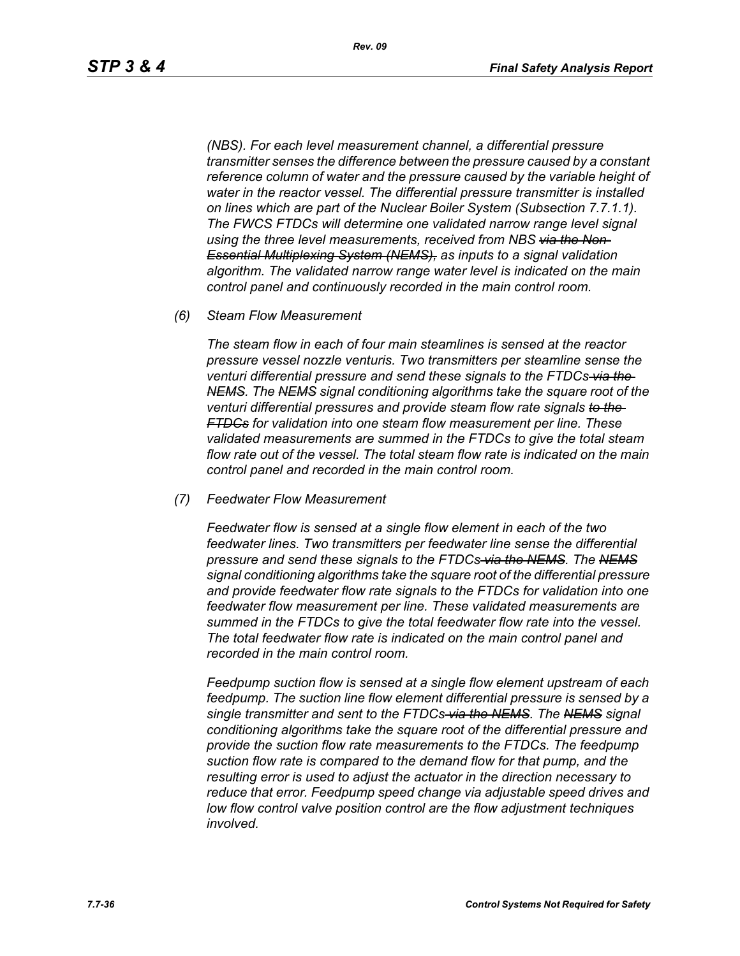*(NBS). For each level measurement channel, a differential pressure transmitter senses the difference between the pressure caused by a constant reference column of water and the pressure caused by the variable height of water in the reactor vessel. The differential pressure transmitter is installed on lines which are part of the Nuclear Boiler System (Subsection 7.7.1.1). The FWCS FTDCs will determine one validated narrow range level signal using the three level measurements, received from NBS via the Non-Essential Multiplexing System (NEMS), as inputs to a signal validation algorithm. The validated narrow range water level is indicated on the main control panel and continuously recorded in the main control room.*

*(6) Steam Flow Measurement*

*The steam flow in each of four main steamlines is sensed at the reactor pressure vessel nozzle venturis. Two transmitters per steamline sense the venturi differential pressure and send these signals to the FTDCs via the NEMS. The NEMS signal conditioning algorithms take the square root of the venturi differential pressures and provide steam flow rate signals to the FTDCs for validation into one steam flow measurement per line. These validated measurements are summed in the FTDCs to give the total steam flow rate out of the vessel. The total steam flow rate is indicated on the main control panel and recorded in the main control room.*

*(7) Feedwater Flow Measurement*

*Feedwater flow is sensed at a single flow element in each of the two feedwater lines. Two transmitters per feedwater line sense the differential pressure and send these signals to the FTDCs via the NEMS. The NEMS signal conditioning algorithms take the square root of the differential pressure and provide feedwater flow rate signals to the FTDCs for validation into one feedwater flow measurement per line. These validated measurements are summed in the FTDCs to give the total feedwater flow rate into the vessel. The total feedwater flow rate is indicated on the main control panel and recorded in the main control room.*

*Feedpump suction flow is sensed at a single flow element upstream of each feedpump. The suction line flow element differential pressure is sensed by a single transmitter and sent to the FTDCs via the NEMS. The NEMS signal conditioning algorithms take the square root of the differential pressure and provide the suction flow rate measurements to the FTDCs. The feedpump suction flow rate is compared to the demand flow for that pump, and the resulting error is used to adjust the actuator in the direction necessary to reduce that error. Feedpump speed change via adjustable speed drives and low flow control valve position control are the flow adjustment techniques involved.*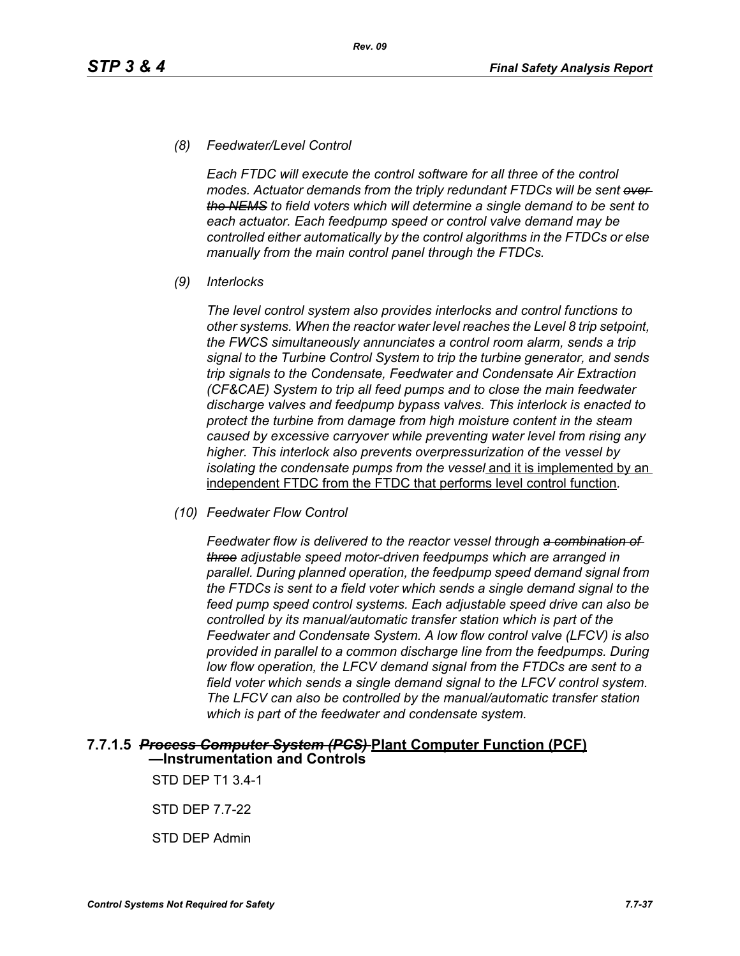#### *(8) Feedwater/Level Control*

*Each FTDC will execute the control software for all three of the control modes. Actuator demands from the triply redundant FTDCs will be sent over the NEMS to field voters which will determine a single demand to be sent to each actuator. Each feedpump speed or control valve demand may be controlled either automatically by the control algorithms in the FTDCs or else manually from the main control panel through the FTDCs.*

*(9) Interlocks*

*The level control system also provides interlocks and control functions to other systems. When the reactor water level reaches the Level 8 trip setpoint, the FWCS simultaneously annunciates a control room alarm, sends a trip signal to the Turbine Control System to trip the turbine generator, and sends trip signals to the Condensate, Feedwater and Condensate Air Extraction (CF&CAE) System to trip all feed pumps and to close the main feedwater discharge valves and feedpump bypass valves. This interlock is enacted to protect the turbine from damage from high moisture content in the steam caused by excessive carryover while preventing water level from rising any higher. This interlock also prevents overpressurization of the vessel by isolating the condensate pumps from the vessel* and it is implemented by an independent FTDC from the FTDC that performs level control function*.*

*(10) Feedwater Flow Control*

*Feedwater flow is delivered to the reactor vessel through a combination of three adjustable speed motor-driven feedpumps which are arranged in parallel. During planned operation, the feedpump speed demand signal from the FTDCs is sent to a field voter which sends a single demand signal to the feed pump speed control systems. Each adjustable speed drive can also be controlled by its manual/automatic transfer station which is part of the Feedwater and Condensate System. A low flow control valve (LFCV) is also provided in parallel to a common discharge line from the feedpumps. During low flow operation, the LFCV demand signal from the FTDCs are sent to a field voter which sends a single demand signal to the LFCV control system. The LFCV can also be controlled by the manual/automatic transfer station which is part of the feedwater and condensate system.*

#### **7.7.1.5** *Process Computer System (PCS)* **Plant Computer Function (PCF) —Instrumentation and Controls**

STD DEP T1 3.4-1

STD DEP 7.7-22

STD DEP Admin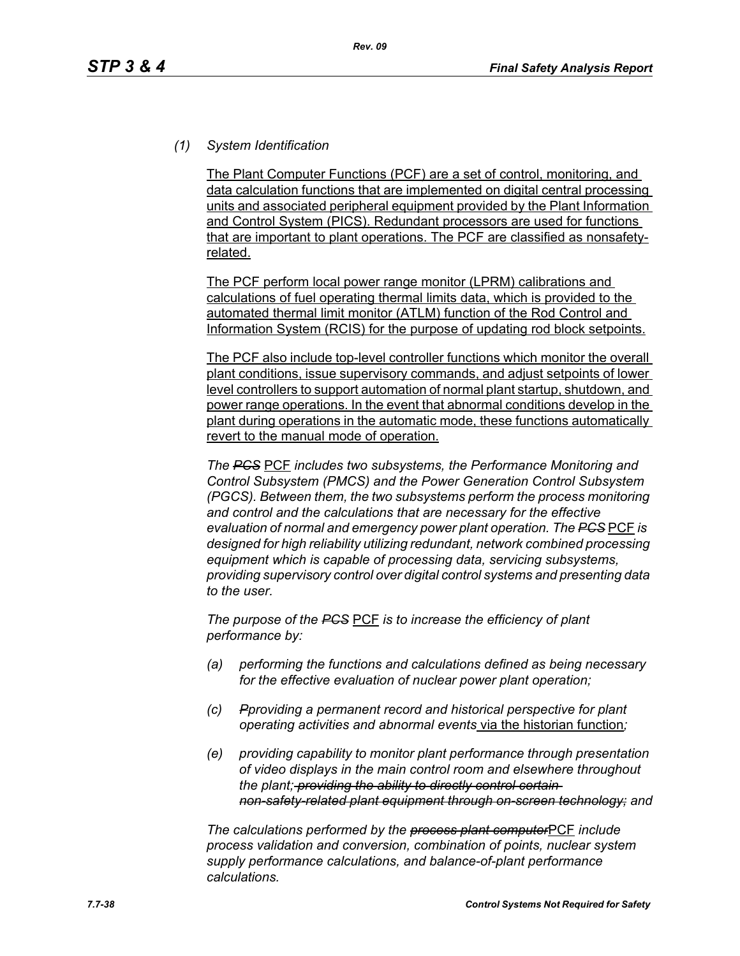# *(1) System Identification*

The Plant Computer Functions (PCF) are a set of control, monitoring, and data calculation functions that are implemented on digital central processing units and associated peripheral equipment provided by the Plant Information and Control System (PICS). Redundant processors are used for functions that are important to plant operations. The PCF are classified as nonsafetyrelated.

The PCF perform local power range monitor (LPRM) calibrations and calculations of fuel operating thermal limits data, which is provided to the automated thermal limit monitor (ATLM) function of the Rod Control and Information System (RCIS) for the purpose of updating rod block setpoints.

The PCF also include top-level controller functions which monitor the overall plant conditions, issue supervisory commands, and adjust setpoints of lower level controllers to support automation of normal plant startup, shutdown, and power range operations. In the event that abnormal conditions develop in the plant during operations in the automatic mode, these functions automatically revert to the manual mode of operation.

*The PCS* PCF *includes two subsystems, the Performance Monitoring and Control Subsystem (PMCS) and the Power Generation Control Subsystem (PGCS). Between them, the two subsystems perform the process monitoring and control and the calculations that are necessary for the effective evaluation of normal and emergency power plant operation. The PCS* PCF *is designed for high reliability utilizing redundant, network combined processing equipment which is capable of processing data, servicing subsystems, providing supervisory control over digital control systems and presenting data to the user.*

*The purpose of the PCS* PCF *is to increase the efficiency of plant performance by:*

- *(a) performing the functions and calculations defined as being necessary for the effective evaluation of nuclear power plant operation;*
- *(c) Pproviding a permanent record and historical perspective for plant operating activities and abnormal events* via the historian function*;*
- *(e) providing capability to monitor plant performance through presentation of video displays in the main control room and elsewhere throughout the plant; providing the ability to directly control certain non-safety-related plant equipment through on-screen technology; and*

*The calculations performed by the process plant computer*PCF *include process validation and conversion, combination of points, nuclear system supply performance calculations, and balance-of-plant performance calculations.*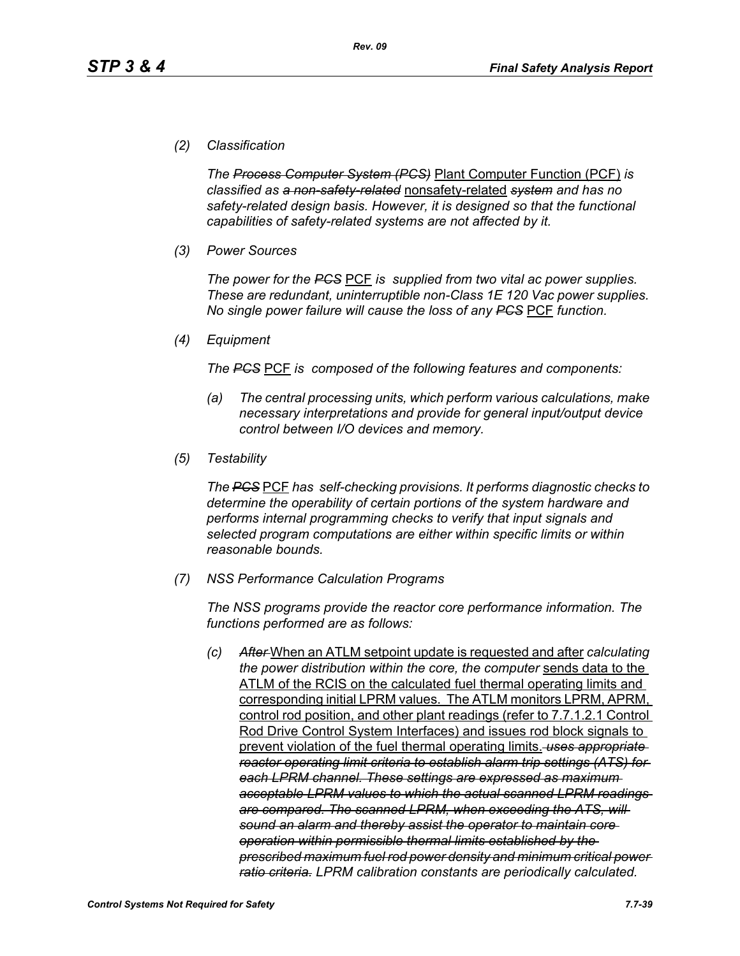## *(2) Classification*

*The Process Computer System (PCS)* Plant Computer Function (PCF) *is classified as a non-safety-related* nonsafety-related *system and has no safety-related design basis. However, it is designed so that the functional capabilities of safety-related systems are not affected by it.*

*(3) Power Sources*

*The power for the PCS* PCF *is supplied from two vital ac power supplies. These are redundant, uninterruptible non-Class 1E 120 Vac power supplies. No single power failure will cause the loss of any PCS* PCF *function.*

*(4) Equipment*

*The PCS* PCF *is composed of the following features and components:*

- *(a) The central processing units, which perform various calculations, make necessary interpretations and provide for general input/output device control between I/O devices and memory.*
- *(5) Testability*

*The PCS* PCF *has self-checking provisions. It performs diagnostic checks to determine the operability of certain portions of the system hardware and performs internal programming checks to verify that input signals and selected program computations are either within specific limits or within reasonable bounds.*

*(7) NSS Performance Calculation Programs*

*The NSS programs provide the reactor core performance information. The functions performed are as follows:*

*(c) After* When an ATLM setpoint update is requested and after *calculating the power distribution within the core, the computer* sends data to the ATLM of the RCIS on the calculated fuel thermal operating limits and corresponding initial LPRM values. The ATLM monitors LPRM, APRM, control rod position, and other plant readings (refer to 7.7.1.2.1 Control Rod Drive Control System Interfaces) and issues rod block signals to prevent violation of the fuel thermal operating limits. *uses appropriate reactor operating limit criteria to establish alarm trip settings (ATS) for each LPRM channel. These settings are expressed as maximum acceptable LPRM values to which the actual scanned LPRM readings are compared. The scanned LPRM, when exceeding the ATS, will sound an alarm and thereby assist the operator to maintain core operation within permissible thermal limits established by the prescribed maximum fuel rod power density and minimum critical power ratio criteria. LPRM calibration constants are periodically calculated.*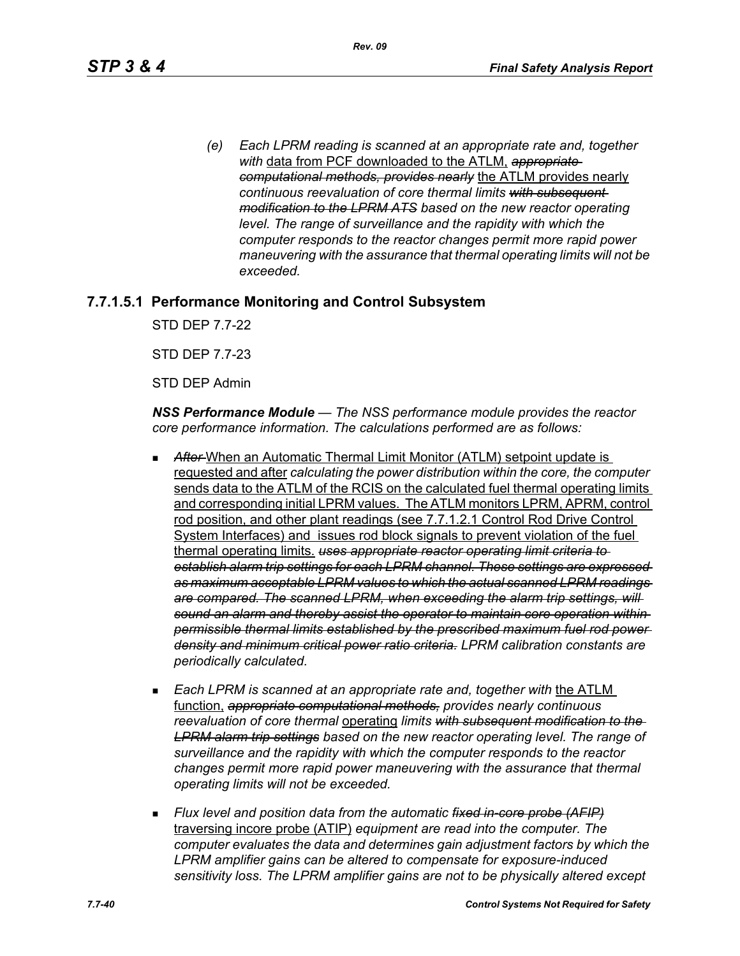*(e) Each LPRM reading is scanned at an appropriate rate and, together with* data from PCF downloaded to the ATLM, *appropriate computational methods, provides nearly* the ATLM provides nearly *continuous reevaluation of core thermal limits with subsequent modification to the LPRM ATS based on the new reactor operating level. The range of surveillance and the rapidity with which the computer responds to the reactor changes permit more rapid power maneuvering with the assurance that thermal operating limits will not be exceeded.*

# **7.7.1.5.1 Performance Monitoring and Control Subsystem**

STD DEP 7.7-22

STD DEP 7.7-23

STD DEP Admin

*NSS Performance Module — The NSS performance module provides the reactor core performance information. The calculations performed are as follows:*

- After-When an Automatic Thermal Limit Monitor (ATLM) setpoint update is requested and after *calculating the power distribution within the core, the computer*  sends data to the ATLM of the RCIS on the calculated fuel thermal operating limits and corresponding initial LPRM values. The ATLM monitors LPRM, APRM, control rod position, and other plant readings (see 7.7.1.2.1 Control Rod Drive Control System Interfaces) and issues rod block signals to prevent violation of the fuel thermal operating limits. *uses appropriate reactor operating limit criteria to establish alarm trip settings for each LPRM channel. These settings are expressed as maximum acceptable LPRM values to which the actual scanned LPRM readings are compared. The scanned LPRM, when exceeding the alarm trip settings, will sound an alarm and thereby assist the operator to maintain core operation within permissible thermal limits established by the prescribed maximum fuel rod power density and minimum critical power ratio criteria. LPRM calibration constants are periodically calculated.*
- **Each LPRM is scanned at an appropriate rate and, together with the ATLM** function, *appropriate computational methods, provides nearly continuous reevaluation of core thermal* operating *limits with subsequent modification to the LPRM alarm trip settings based on the new reactor operating level. The range of surveillance and the rapidity with which the computer responds to the reactor changes permit more rapid power maneuvering with the assurance that thermal operating limits will not be exceeded.*
- *Flux level and position data from the automatic fixed in-core probe (AFIP)* traversing incore probe (ATIP) *equipment are read into the computer. The computer evaluates the data and determines gain adjustment factors by which the LPRM amplifier gains can be altered to compensate for exposure-induced sensitivity loss. The LPRM amplifier gains are not to be physically altered except*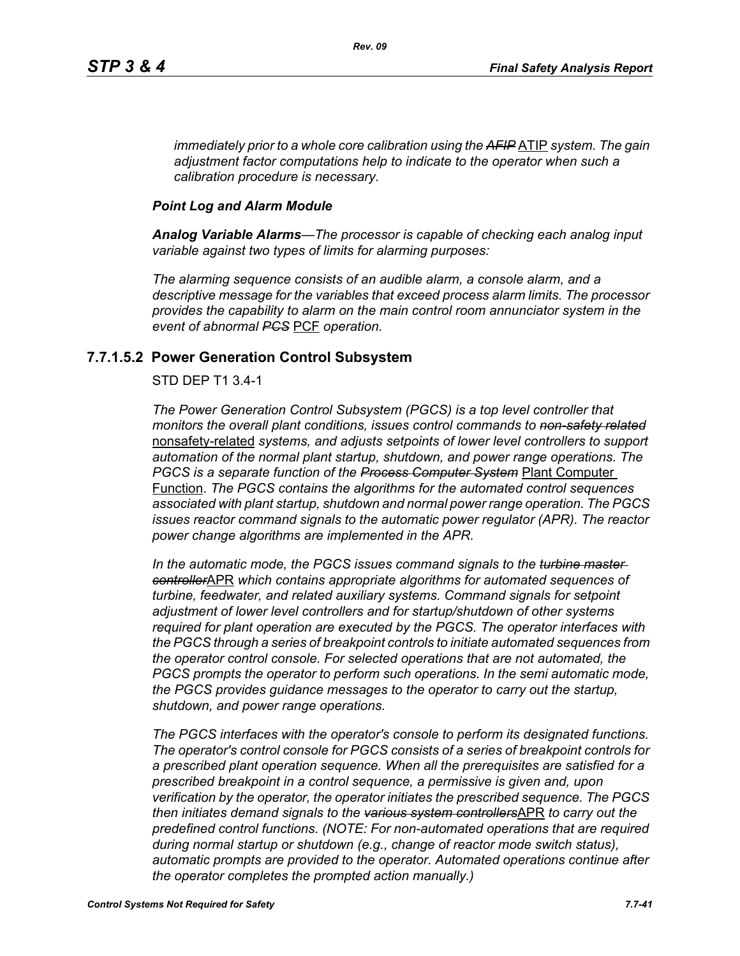*immediately prior to a whole core calibration using the AFIP* ATIP *system. The gain adjustment factor computations help to indicate to the operator when such a calibration procedure is necessary.*

#### *Point Log and Alarm Module*

*Analog Variable Alarms—The processor is capable of checking each analog input variable against two types of limits for alarming purposes:*

*The alarming sequence consists of an audible alarm, a console alarm, and a descriptive message for the variables that exceed process alarm limits. The processor provides the capability to alarm on the main control room annunciator system in the event of abnormal PCS* PCF *operation.*

## **7.7.1.5.2 Power Generation Control Subsystem**

#### STD DEP T1 3.4-1

*The Power Generation Control Subsystem (PGCS) is a top level controller that monitors the overall plant conditions, issues control commands to non-safety related* nonsafety-related *systems, and adjusts setpoints of lower level controllers to support automation of the normal plant startup, shutdown, and power range operations. The PGCS is a separate function of the Process Computer System* Plant Computer Function. *The PGCS contains the algorithms for the automated control sequences associated with plant startup, shutdown and normal power range operation. The PGCS issues reactor command signals to the automatic power regulator (APR). The reactor power change algorithms are implemented in the APR.*

*In the automatic mode, the PGCS issues command signals to the turbine master controller*APR *which contains appropriate algorithms for automated sequences of turbine, feedwater, and related auxiliary systems. Command signals for setpoint adjustment of lower level controllers and for startup/shutdown of other systems required for plant operation are executed by the PGCS. The operator interfaces with the PGCS through a series of breakpoint controls to initiate automated sequences from the operator control console. For selected operations that are not automated, the PGCS prompts the operator to perform such operations. In the semi automatic mode, the PGCS provides guidance messages to the operator to carry out the startup, shutdown, and power range operations.*

*The PGCS interfaces with the operator's console to perform its designated functions. The operator's control console for PGCS consists of a series of breakpoint controls for a prescribed plant operation sequence. When all the prerequisites are satisfied for a prescribed breakpoint in a control sequence, a permissive is given and, upon verification by the operator, the operator initiates the prescribed sequence. The PGCS then initiates demand signals to the various system controllers*APR *to carry out the predefined control functions. (NOTE: For non-automated operations that are required during normal startup or shutdown (e.g., change of reactor mode switch status), automatic prompts are provided to the operator. Automated operations continue after the operator completes the prompted action manually.)*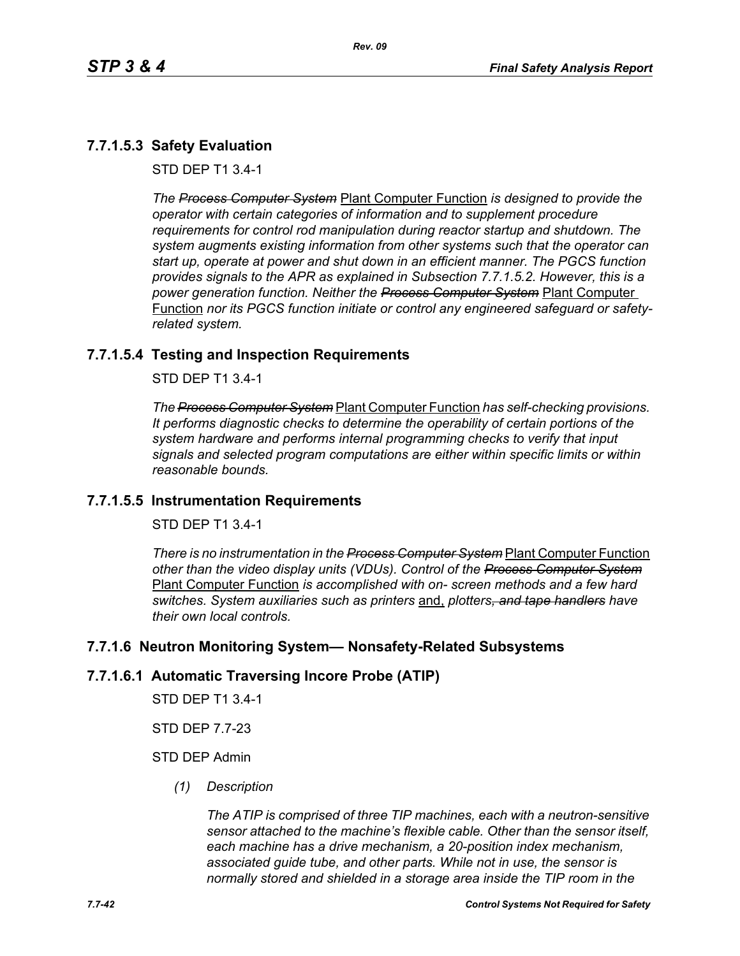# **7.7.1.5.3 Safety Evaluation**

STD DEP T1 3.4-1

*The Process Computer System* Plant Computer Function *is designed to provide the operator with certain categories of information and to supplement procedure requirements for control rod manipulation during reactor startup and shutdown. The system augments existing information from other systems such that the operator can start up, operate at power and shut down in an efficient manner. The PGCS function provides signals to the APR as explained in Subsection 7.7.1.5.2. However, this is a power generation function. Neither the Process Computer System* Plant Computer Function *nor its PGCS function initiate or control any engineered safeguard or safetyrelated system.*

# **7.7.1.5.4 Testing and Inspection Requirements**

STD DEP T1 3.4-1

*The Process Computer System* Plant Computer Function *has self-checking provisions. It performs diagnostic checks to determine the operability of certain portions of the system hardware and performs internal programming checks to verify that input signals and selected program computations are either within specific limits or within reasonable bounds.*

# **7.7.1.5.5 Instrumentation Requirements**

STD DEP T1 3.4-1

*There is no instrumentation in the Process Computer System* Plant Computer Function *other than the video display units (VDUs). Control of the Process Computer System* Plant Computer Function *is accomplished with on- screen methods and a few hard switches. System auxiliaries such as printers* and, *plotters, and tape handlers have their own local controls.*

# **7.7.1.6 Neutron Monitoring System— Nonsafety-Related Subsystems**

#### **7.7.1.6.1 Automatic Traversing Incore Probe (ATIP)**

STD DEP T1 3.4-1

STD DEP 7.7-23

## STD DEP Admin

*(1) Description*

*The ATIP is comprised of three TIP machines, each with a neutron-sensitive sensor attached to the machine's flexible cable. Other than the sensor itself, each machine has a drive mechanism, a 20-position index mechanism, associated guide tube, and other parts. While not in use, the sensor is normally stored and shielded in a storage area inside the TIP room in the*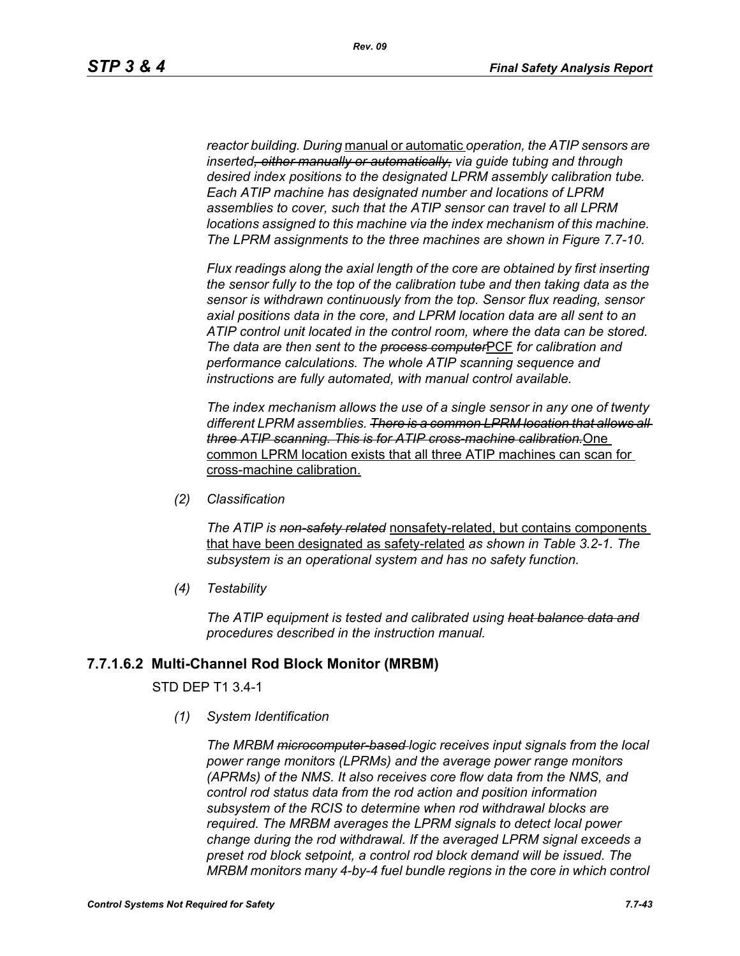*reactor building. During* manual or automatic *operation, the ATIP sensors are inserted, either manually or automatically, via guide tubing and through desired index positions to the designated LPRM assembly calibration tube. Each ATIP machine has designated number and locations of LPRM assemblies to cover, such that the ATIP sensor can travel to all LPRM locations assigned to this machine via the index mechanism of this machine. The LPRM assignments to the three machines are shown in Figure 7.7-10.*

*Flux readings along the axial length of the core are obtained by first inserting the sensor fully to the top of the calibration tube and then taking data as the sensor is withdrawn continuously from the top. Sensor flux reading, sensor axial positions data in the core, and LPRM location data are all sent to an ATIP control unit located in the control room, where the data can be stored. The data are then sent to the process computer*PCF *for calibration and performance calculations. The whole ATIP scanning sequence and instructions are fully automated, with manual control available.*

*The index mechanism allows the use of a single sensor in any one of twenty different LPRM assemblies. There is a common LPRM location that allows all three ATIP scanning. This is for ATIP cross-machine calibration.*One common LPRM location exists that all three ATIP machines can scan for cross-machine calibration.

*(2) Classification*

*The ATIP is non-safety related* nonsafety-related, but contains components that have been designated as safety-related *as shown in Table 3.2-1. The subsystem is an operational system and has no safety function.*

*(4) Testability*

*The ATIP equipment is tested and calibrated using heat balance data and procedures described in the instruction manual.*

#### **7.7.1.6.2 Multi-Channel Rod Block Monitor (MRBM)**

#### STD DEP T1 3.4-1

*(1) System Identification*

*The MRBM microcomputer-based logic receives input signals from the local power range monitors (LPRMs) and the average power range monitors (APRMs) of the NMS. It also receives core flow data from the NMS, and control rod status data from the rod action and position information subsystem of the RCIS to determine when rod withdrawal blocks are required. The MRBM averages the LPRM signals to detect local power change during the rod withdrawal. If the averaged LPRM signal exceeds a preset rod block setpoint, a control rod block demand will be issued. The MRBM monitors many 4-by-4 fuel bundle regions in the core in which control*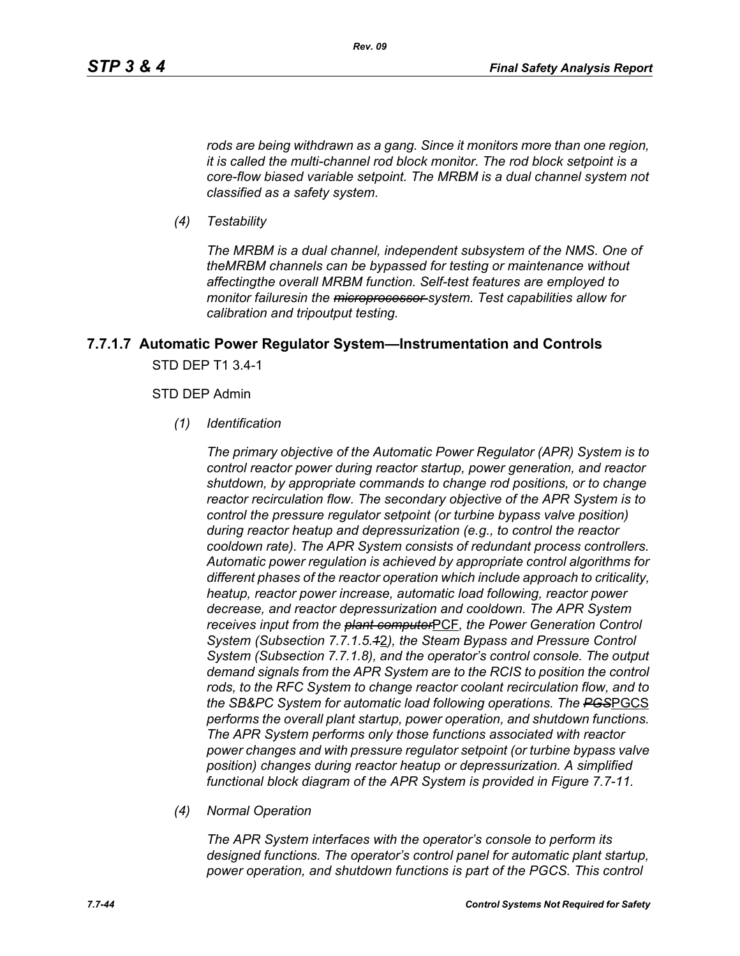*rods are being withdrawn as a gang. Since it monitors more than one region, it is called the multi-channel rod block monitor. The rod block setpoint is a core-flow biased variable setpoint. The MRBM is a dual channel system not classified as a safety system.*

*(4) Testability*

*The MRBM is a dual channel, independent subsystem of the NMS. One of theMRBM channels can be bypassed for testing or maintenance without affectingthe overall MRBM function. Self-test features are employed to monitor failuresin the microprocessor system. Test capabilities allow for calibration and tripoutput testing.*

# **7.7.1.7 Automatic Power Regulator System—Instrumentation and Controls** STD DEP T1 3.4-1

#### STD DEP Admin

*(1) Identification*

*The primary objective of the Automatic Power Regulator (APR) System is to control reactor power during reactor startup, power generation, and reactor shutdown, by appropriate commands to change rod positions, or to change reactor recirculation flow. The secondary objective of the APR System is to control the pressure regulator setpoint (or turbine bypass valve position) during reactor heatup and depressurization (e.g., to control the reactor cooldown rate). The APR System consists of redundant process controllers. Automatic power regulation is achieved by appropriate control algorithms for different phases of the reactor operation which include approach to criticality, heatup, reactor power increase, automatic load following, reactor power decrease, and reactor depressurization and cooldown. The APR System receives input from the plant computer*PCF*, the Power Generation Control System (Subsection 7.7.1.5.1*2*), the Steam Bypass and Pressure Control System (Subsection 7.7.1.8), and the operator's control console. The output demand signals from the APR System are to the RCIS to position the control rods, to the RFC System to change reactor coolant recirculation flow, and to the SB&PC System for automatic load following operations. The PGS*PGCS *performs the overall plant startup, power operation, and shutdown functions. The APR System performs only those functions associated with reactor power changes and with pressure regulator setpoint (or turbine bypass valve position) changes during reactor heatup or depressurization. A simplified functional block diagram of the APR System is provided in Figure 7.7-11.*

*(4) Normal Operation*

*The APR System interfaces with the operator's console to perform its designed functions. The operator's control panel for automatic plant startup, power operation, and shutdown functions is part of the PGCS. This control*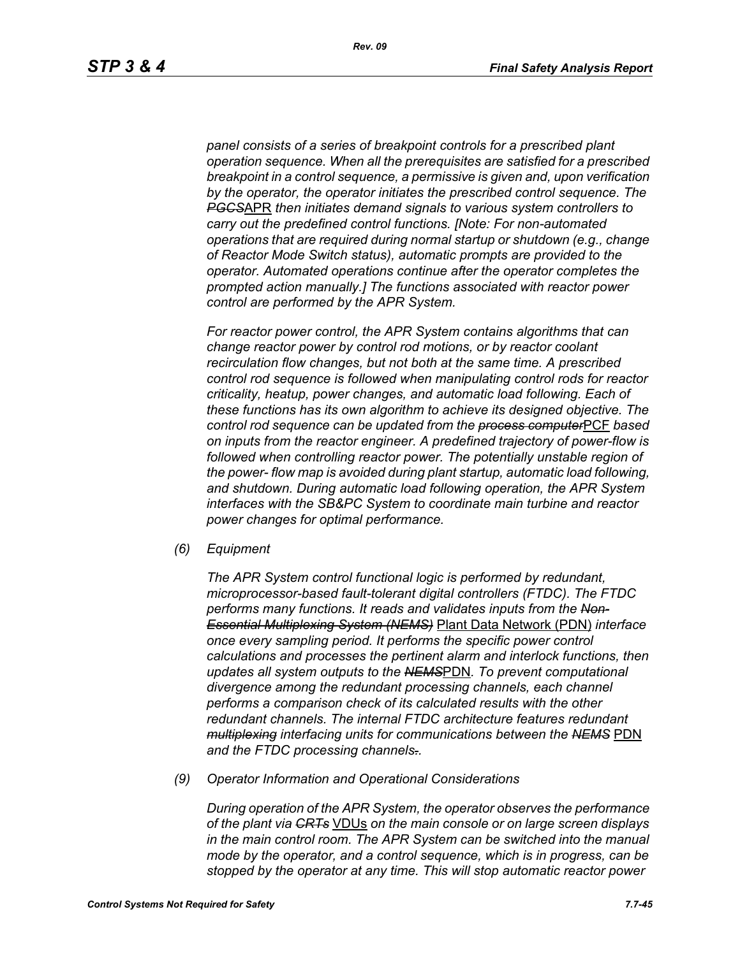*panel consists of a series of breakpoint controls for a prescribed plant operation sequence. When all the prerequisites are satisfied for a prescribed breakpoint in a control sequence, a permissive is given and, upon verification by the operator, the operator initiates the prescribed control sequence. The PGCS*APR *then initiates demand signals to various system controllers to carry out the predefined control functions. [Note: For non-automated operations that are required during normal startup or shutdown (e.g., change of Reactor Mode Switch status), automatic prompts are provided to the operator. Automated operations continue after the operator completes the prompted action manually.] The functions associated with reactor power control are performed by the APR System.*

*For reactor power control, the APR System contains algorithms that can change reactor power by control rod motions, or by reactor coolant recirculation flow changes, but not both at the same time. A prescribed control rod sequence is followed when manipulating control rods for reactor criticality, heatup, power changes, and automatic load following. Each of these functions has its own algorithm to achieve its designed objective. The control rod sequence can be updated from the process computer*PCF *based on inputs from the reactor engineer. A predefined trajectory of power-flow is followed when controlling reactor power. The potentially unstable region of the power- flow map is avoided during plant startup, automatic load following, and shutdown. During automatic load following operation, the APR System interfaces with the SB&PC System to coordinate main turbine and reactor power changes for optimal performance.*

*(6) Equipment*

*The APR System control functional logic is performed by redundant, microprocessor-based fault-tolerant digital controllers (FTDC). The FTDC performs many functions. It reads and validates inputs from the Non-Essential Multiplexing System (NEMS)* Plant Data Network (PDN) *interface once every sampling period. It performs the specific power control calculations and processes the pertinent alarm and interlock functions, then updates all system outputs to the NEMS*PDN*. To prevent computational divergence among the redundant processing channels, each channel performs a comparison check of its calculated results with the other redundant channels. The internal FTDC architecture features redundant multiplexing interfacing units for communications between the NEMS* PDN *and the FTDC processing channels..*

*(9) Operator Information and Operational Considerations*

*During operation of the APR System, the operator observes the performance of the plant via CRTs* VDUs *on the main console or on large screen displays in the main control room. The APR System can be switched into the manual mode by the operator, and a control sequence, which is in progress, can be stopped by the operator at any time. This will stop automatic reactor power*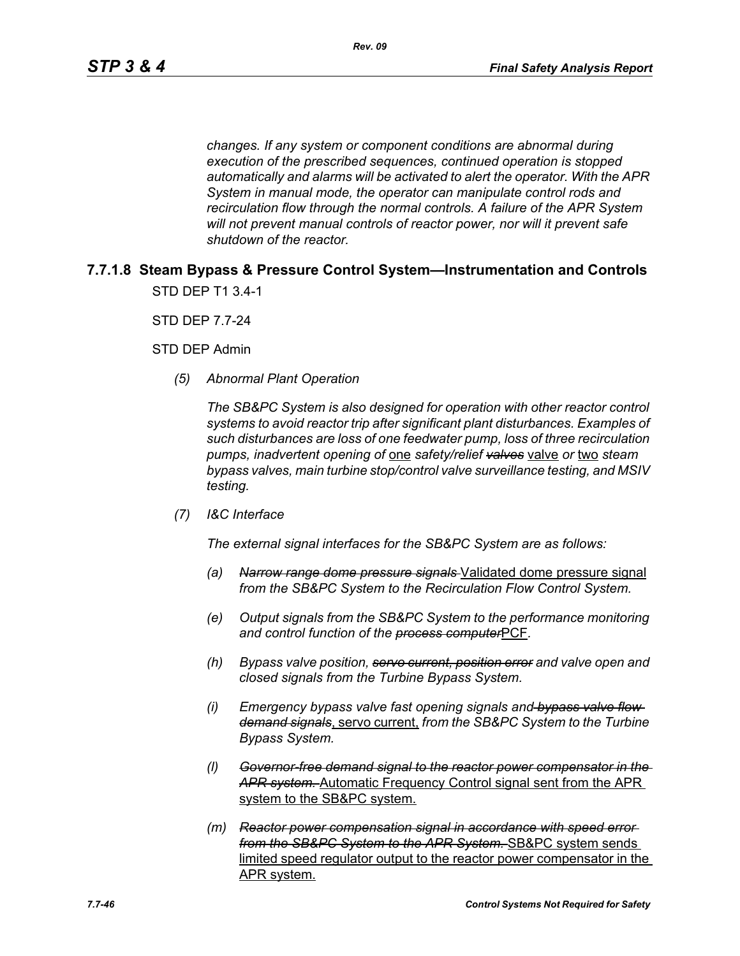*changes. If any system or component conditions are abnormal during execution of the prescribed sequences, continued operation is stopped automatically and alarms will be activated to alert the operator. With the APR System in manual mode, the operator can manipulate control rods and recirculation flow through the normal controls. A failure of the APR System will not prevent manual controls of reactor power, nor will it prevent safe shutdown of the reactor.*

# **7.7.1.8 Steam Bypass & Pressure Control System—Instrumentation and Controls** STD DEP T1 3.4-1

STD DEP 7.7-24

STD DEP Admin

*(5) Abnormal Plant Operation*

*The SB&PC System is also designed for operation with other reactor control systems to avoid reactor trip after significant plant disturbances. Examples of such disturbances are loss of one feedwater pump, loss of three recirculation pumps, inadvertent opening of* one *safety/relief valves* valve *or* two *steam bypass valves, main turbine stop/control valve surveillance testing, and MSIV testing.*

*(7) I&C Interface*

*The external signal interfaces for the SB&PC System are as follows:*

- *(a) Narrow range dome pressure signals* Validated dome pressure signal *from the SB&PC System to the Recirculation Flow Control System.*
- *(e) Output signals from the SB&PC System to the performance monitoring and control function of the process computer*PCF*.*
- *(h) Bypass valve position, servo current, position error and valve open and closed signals from the Turbine Bypass System.*
- *(i) Emergency bypass valve fast opening signals and bypass valve flow demand signals*, servo current, *from the SB&PC System to the Turbine Bypass System.*
- *(l) Governor-free demand signal to the reactor power compensator in the APR system.* Automatic Frequency Control signal sent from the APR system to the SB&PC system.
- *(m) Reactor power compensation signal in accordance with speed error from the SB&PC System to the APR System.* SB&PC system sends limited speed regulator output to the reactor power compensator in the APR system.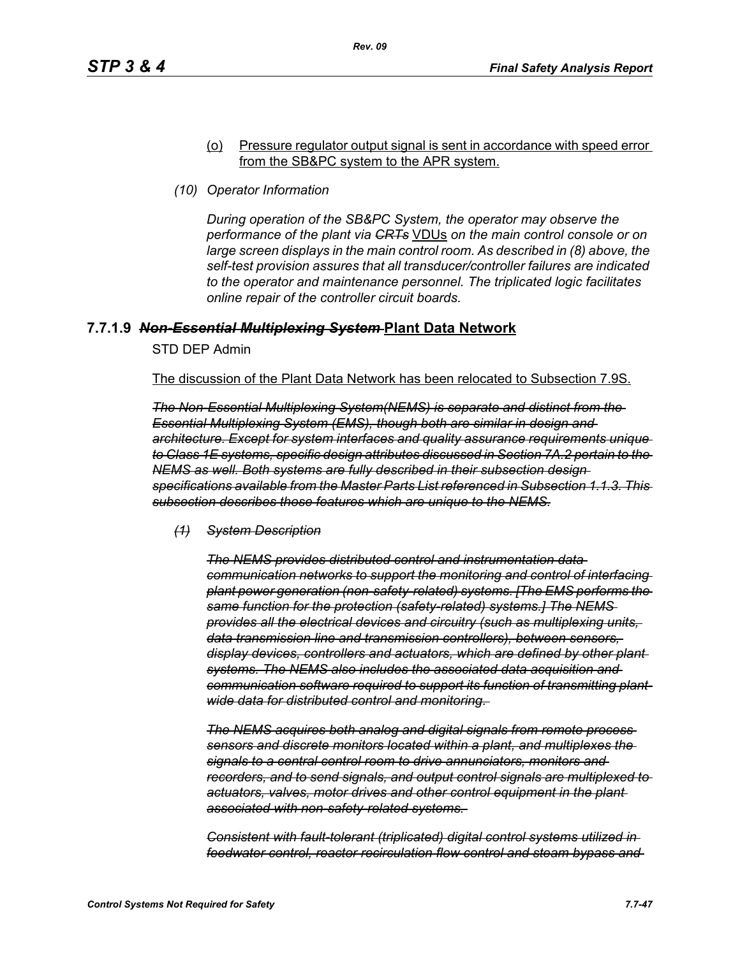#### (o) Pressure regulator output signal is sent in accordance with speed error from the SB&PC system to the APR system.

*(10) Operator Information*

*During operation of the SB&PC System, the operator may observe the performance of the plant via CRTs* VDUs *on the main control console or on large screen displays in the main control room. As described in (8) above, the self-test provision assures that all transducer/controller failures are indicated to the operator and maintenance personnel. The triplicated logic facilitates online repair of the controller circuit boards.*

## **7.7.1.9** *Non-Essential Multiplexing System* **Plant Data Network**

STD DEP Admin

The discussion of the Plant Data Network has been relocated to Subsection 7.9S.

*The Non-Essential Multiplexing System(NEMS) is separate and distinct from the Essential Multiplexing System (EMS), though both are similar in design and architecture. Except for system interfaces and quality assurance requirements unique to Class 1E systems, specific design attributes discussed in Section 7A.2 pertain to the NEMS as well. Both systems are fully described in their subsection design specifications available from the Master Parts List referenced in Subsection 1.1.3. This subsection describes those features which are unique to the NEMS.*

*(1) System Description*

*The NEMS provides distributed control and instrumentation data communication networks to support the monitoring and control of interfacing plant power generation (non-safety-related) systems. [The EMS performs the same function for the protection (safety-related) systems.] The NEMS provides all the electrical devices and circuitry (such as multiplexing units, data transmission line and transmission controllers), between sensors, display devices, controllers and actuators, which are defined by other plant systems. The NEMS also includes the associated data acquisition and communication software required to support its function of transmitting plantwide data for distributed control and monitoring.* 

*The NEMS acquires both analog and digital signals from remote process sensors and discrete monitors located within a plant, and multiplexes the signals to a central control room to drive annunciators, monitors and recorders, and to send signals, and output control signals are multiplexed to actuators, valves, motor drives and other control equipment in the plant associated with non-safety-related systems.* 

*Consistent with fault-tolerant (triplicated) digital control systems utilized in feedwater control, reactor recirculation flow control and steam bypass and*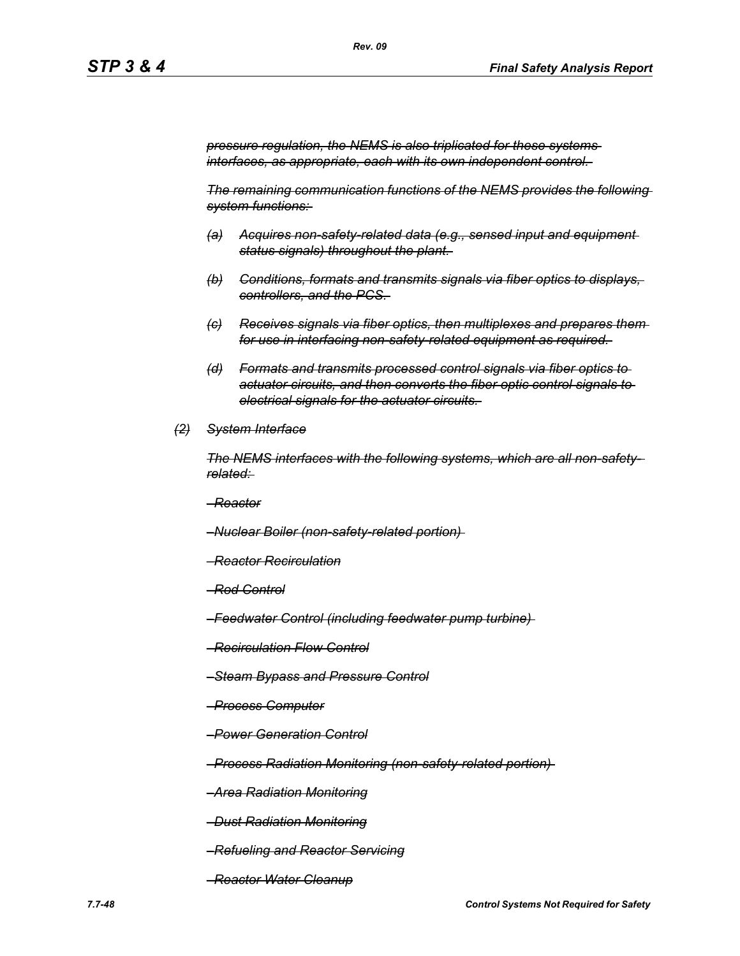*Rev. 09*

*pressure regulation, the NEMS is also triplicated for these systems interfaces, as appropriate, each with its own independent control.* 

*The remaining communication functions of the NEMS provides the following system functions:* 

- *(a) Acquires non-safety-related data (e.g., sensed input and equipment status signals) throughout the plant.*
- *(b) Conditions, formats and transmits signals via fiber optics to displays, controllers, and the PCS.*
- *(c) Receives signals via fiber optics, then multiplexes and prepares them for use in interfacing non-safety-related equipment as required.*
- *(d) Formats and transmits processed control signals via fiber optics to actuator circuits, and then converts the fiber optic control signals to electrical signals for the actuator circuits.*
- *(2) System Interface*

*The NEMS interfaces with the following systems, which are all non-safetyrelated:* 

*–Reactor*

*–Nuclear Boiler (non-safety-related portion)* 

- *–Reactor Recirculation*
- *–Rod Control*
- *–Feedwater Control (including feedwater pump turbine)*
- *–Recirculation Flow Control*
- *–Steam Bypass and Pressure Control*
- *–Process Computer*
- *–Power Generation Control*

*–Process Radiation Monitoring (non-safety-related portion)* 

*–Area Radiation Monitoring*

*–Dust Radiation Monitoring*

- *–Refueling and Reactor Servicing*
- *–Reactor Water Cleanup*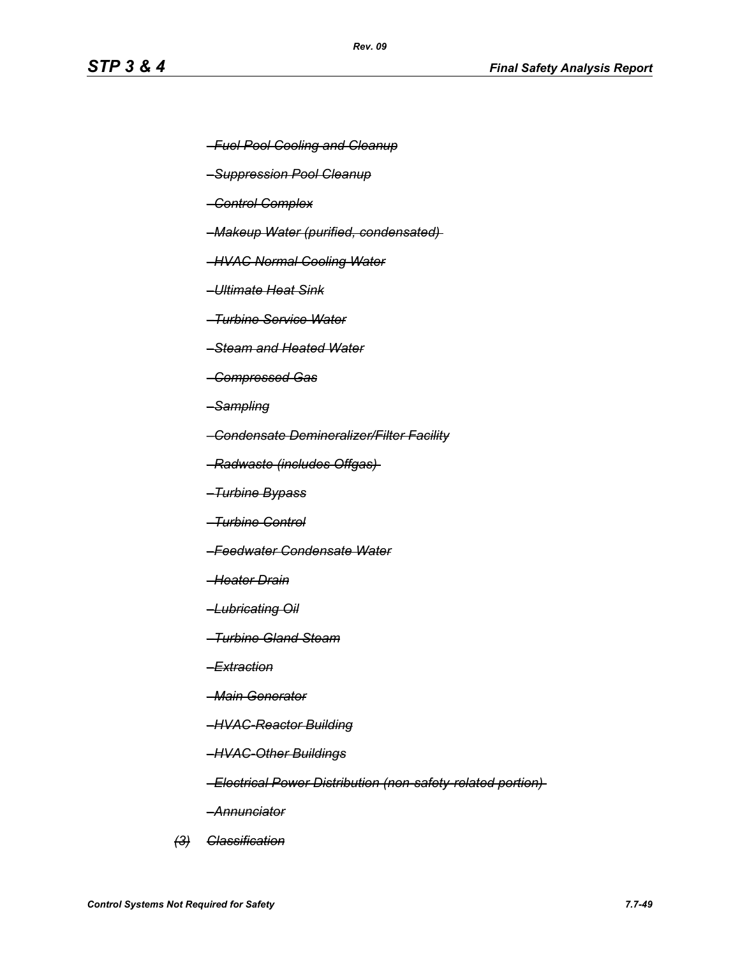- *–Fuel Pool Cooling and Cleanup*
- *–Suppression Pool Cleanup*
- *–Control Complex*
- *–Makeup Water (purified, condensated)*
- *–HVAC Normal Cooling Water*
- *–Ultimate Heat Sink*
- *–Turbine Service Water*
- *–Steam and Heated Water*
- *–Compressed Gas*
- *–Sampling*
- *–Condensate Demineralizer/Filter Facility*
- *–Radwaste (includes Offgas)*
- *–Turbine Bypass*
- *–Turbine Control*
- *–Feedwater Condensate Water*
- *–Heater Drain*
- *–Lubricating Oil*
- *–Turbine Gland Steam*
- *–Extraction*
- *–Main Generator*
- *–HVAC-Reactor Building*
- *–HVAC-Other Buildings*
- *–Electrical Power Distribution (non-safety-related portion)*
- *–Annunciator*
- *(3) Classification*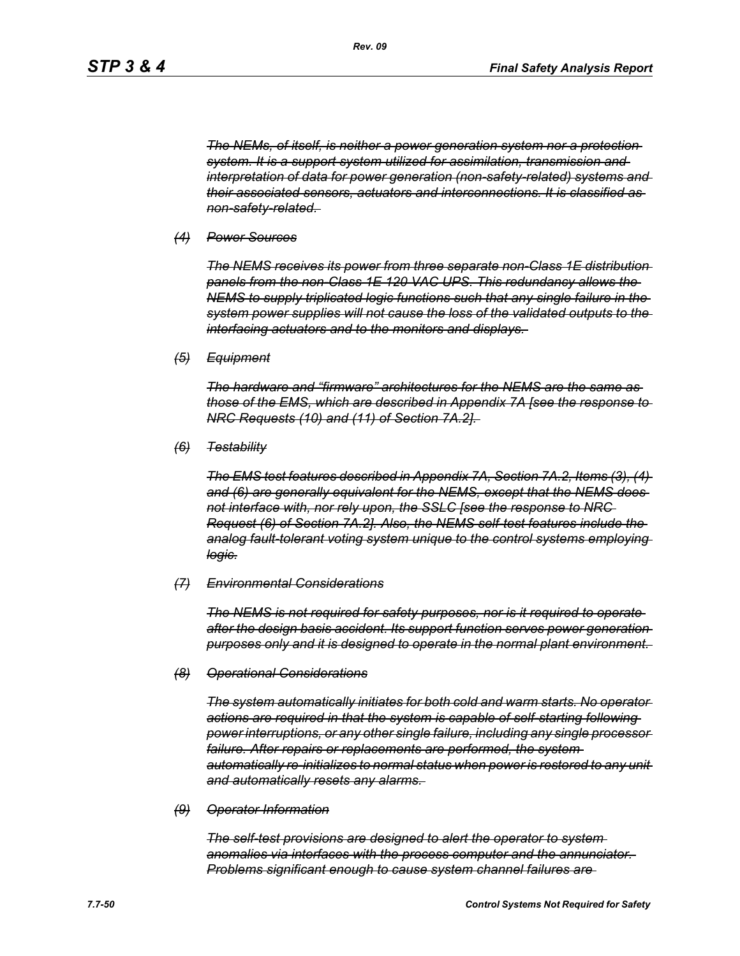*The NEMs, of itself, is neither a power generation system nor a protection system. It is a support system utilized for assimilation, transmission and interpretation of data for power generation (non-safety-related) systems and their associated sensors, actuators and interconnections. It is classified as non-safety-related.* 

#### *(4) Power Sources*

*The NEMS receives its power from three separate non-Class 1E distribution panels from the non-Class 1E 120 VAC UPS. This redundancy allows the NEMS to supply triplicated logic functions such that any single failure in the system power supplies will not cause the loss of the validated outputs to the interfacing actuators and to the monitors and displays.* 

*(5) Equipment*

*The hardware and "firmware" architectures for the NEMS are the same as those of the EMS, which are described in Appendix 7A [see the response to NRC Requests (10) and (11) of Section 7A.2].* 

*(6) Testability*

*The EMS test features described in Appendix 7A, Section 7A.2, Items (3), (4) and (6) are generally equivalent for the NEMS, except that the NEMS does not interface with, nor rely upon, the SSLC [see the response to NRC Request (6) of Section 7A.2]. Also, the NEMS self-test features include the analog fault-tolerant voting system unique to the control systems employing logic.*

#### *(7) Environmental Considerations*

*The NEMS is not required for safety purposes, nor is it required to operate after the design basis accident. Its support function serves power generation purposes only and it is designed to operate in the normal plant environment.* 

#### *(8) Operational Considerations*

*The system automatically initiates for both cold and warm starts. No operator actions are required in that the system is capable of self-starting following power interruptions, or any other single failure, including any single processor failure. After repairs or replacements are performed, the system automatically re-initializes to normal status when power is restored to any unit and automatically resets any alarms.* 

#### *(9) Operator Information*

*The self-test provisions are designed to alert the operator to system anomalies via interfaces with the process computer and the annunciator. Problems significant enough to cause system channel failures are*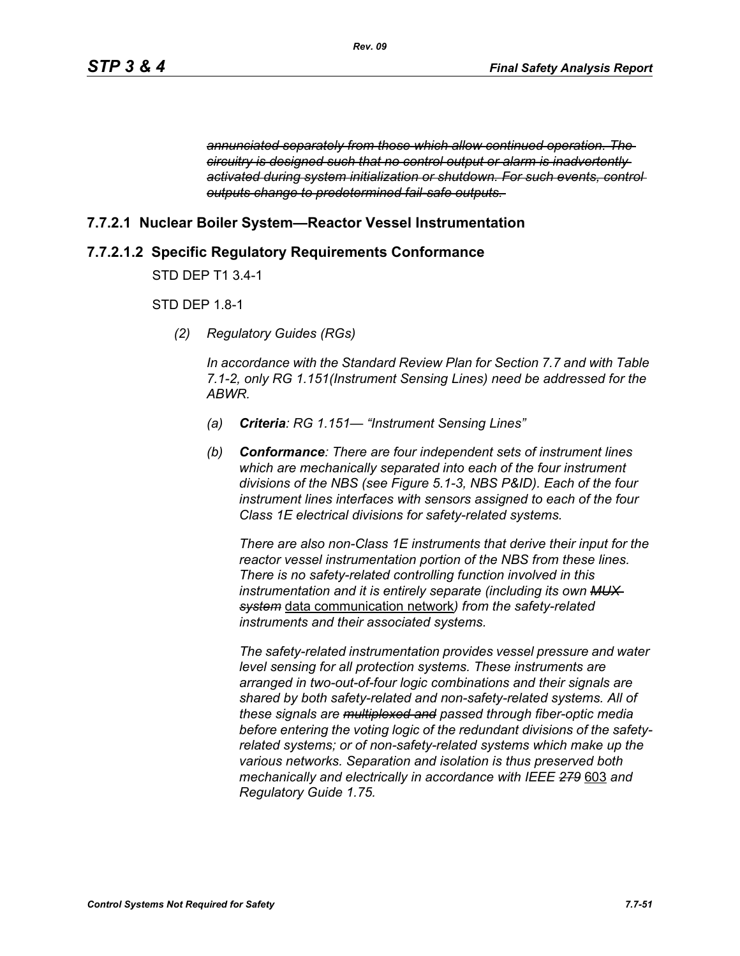*annunciated separately from those which allow continued operation. The circuitry is designed such that no control output or alarm is inadvertently activated during system initialization or shutdown. For such events, control outputs change to predetermined fail-safe outputs.* 

# **7.7.2.1 Nuclear Boiler System—Reactor Vessel Instrumentation**

# **7.7.2.1.2 Specific Regulatory Requirements Conformance**

STD DEP T1 3.4-1

# STD DEP 1.8-1

*(2) Regulatory Guides (RGs)*

*In accordance with the Standard Review Plan for Section 7.7 and with Table 7.1-2, only RG 1.151(Instrument Sensing Lines) need be addressed for the ABWR.*

- *(a) Criteria: RG 1.151— "Instrument Sensing Lines"*
- *(b) Conformance: There are four independent sets of instrument lines which are mechanically separated into each of the four instrument divisions of the NBS (see Figure 5.1-3, NBS P&ID). Each of the four instrument lines interfaces with sensors assigned to each of the four Class 1E electrical divisions for safety-related systems.*

*There are also non-Class 1E instruments that derive their input for the reactor vessel instrumentation portion of the NBS from these lines. There is no safety-related controlling function involved in this instrumentation and it is entirely separate (including its own MUX system* data communication network*) from the safety-related instruments and their associated systems.*

*The safety-related instrumentation provides vessel pressure and water level sensing for all protection systems. These instruments are arranged in two-out-of-four logic combinations and their signals are shared by both safety-related and non-safety-related systems. All of these signals are multiplexed and passed through fiber-optic media before entering the voting logic of the redundant divisions of the safetyrelated systems; or of non-safety-related systems which make up the various networks. Separation and isolation is thus preserved both mechanically and electrically in accordance with IEEE 279* 603 *and Regulatory Guide 1.75.*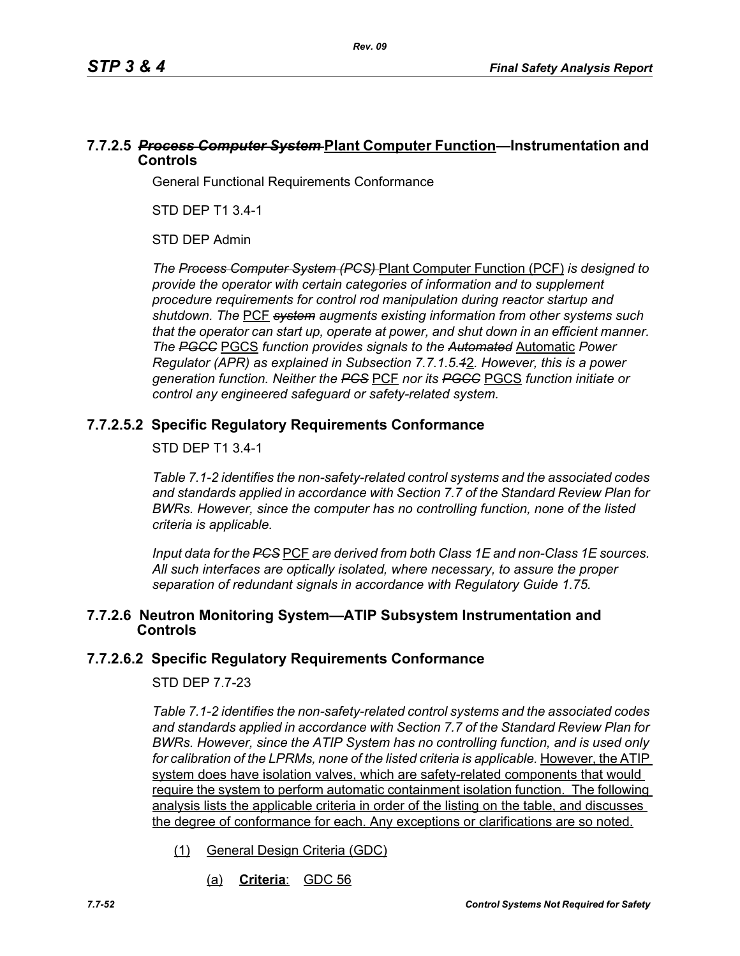# **7.7.2.5** *Process Computer System* **Plant Computer Function—Instrumentation and Controls**

General Functional Requirements Conformance

STD DEP T1 3.4-1

STD DEP Admin

*The Process Computer System (PCS)* Plant Computer Function (PCF) *is designed to provide the operator with certain categories of information and to supplement procedure requirements for control rod manipulation during reactor startup and shutdown. The* PCF *system augments existing information from other systems such that the operator can start up, operate at power, and shut down in an efficient manner. The PGCC* PGCS *function provides signals to the Automated* Automatic *Power Regulator (APR) as explained in Subsection 7.7.1.5.1*2*. However, this is a power generation function. Neither the PCS* PCF *nor its PGCC* PGCS *function initiate or control any engineered safeguard or safety-related system.*

# **7.7.2.5.2 Specific Regulatory Requirements Conformance**

## STD DEP T1 3.4-1

*Table 7.1-2 identifies the non-safety-related control systems and the associated codes and standards applied in accordance with Section 7.7 of the Standard Review Plan for BWRs. However, since the computer has no controlling function, none of the listed criteria is applicable.*

*Input data for the PCS* PCF *are derived from both Class 1E and non-Class 1E sources. All such interfaces are optically isolated, where necessary, to assure the proper separation of redundant signals in accordance with Regulatory Guide 1.75.*

## **7.7.2.6 Neutron Monitoring System—ATIP Subsystem Instrumentation and Controls**

# **7.7.2.6.2 Specific Regulatory Requirements Conformance**

#### STD DEP 7.7-23

*Table 7.1-2 identifies the non-safety-related control systems and the associated codes and standards applied in accordance with Section 7.7 of the Standard Review Plan for BWRs. However, since the ATIP System has no controlling function, and is used only*  for calibration of the LPRMs, none of the listed criteria is applicable. However, the ATIP system does have isolation valves, which are safety-related components that would require the system to perform automatic containment isolation function. The following analysis lists the applicable criteria in order of the listing on the table, and discusses the degree of conformance for each. Any exceptions or clarifications are so noted.

- (1) General Design Criteria (GDC)
	- (a) **Criteria**: GDC 56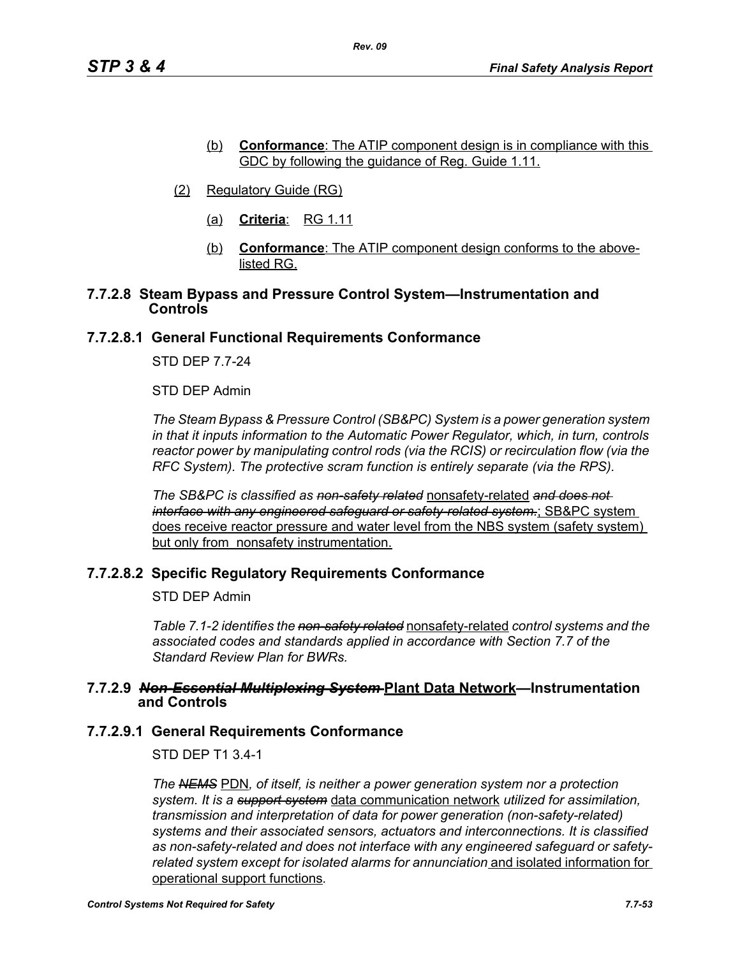- (b) **Conformance**: The ATIP component design is in compliance with this GDC by following the guidance of Reg. Guide 1.11.
- (2) Regulatory Guide (RG)
	- (a) **Criteria**: RG 1.11
	- (b) **Conformance**: The ATIP component design conforms to the abovelisted RG.

## **7.7.2.8 Steam Bypass and Pressure Control System—Instrumentation and Controls**

## **7.7.2.8.1 General Functional Requirements Conformance**

STD DEP 7.7-24

STD DEP Admin

*The Steam Bypass & Pressure Control (SB&PC) System is a power generation system in that it inputs information to the Automatic Power Regulator, which, in turn, controls reactor power by manipulating control rods (via the RCIS) or recirculation flow (via the RFC System). The protective scram function is entirely separate (via the RPS).*

*The SB&PC is classified as non-safety related* nonsafety-related *and does not interface with any engineered safeguard or safety-related system.*; SB&PC system does receive reactor pressure and water level from the NBS system (safety system) but only from nonsafety instrumentation.

# **7.7.2.8.2 Specific Regulatory Requirements Conformance**

STD DEP Admin

*Table 7.1-2 identifies the non-safety related* nonsafety-related *control systems and the associated codes and standards applied in accordance with Section 7.7 of the Standard Review Plan for BWRs.* 

#### **7.7.2.9** *Non-Essential Multiplexing System* **Plant Data Network—Instrumentation and Controls**

#### **7.7.2.9.1 General Requirements Conformance**

STD DEP T1 3.4-1

*The NEMS* PDN*, of itself, is neither a power generation system nor a protection system. It is a support system* data communication network *utilized for assimilation, transmission and interpretation of data for power generation (non-safety-related) systems and their associated sensors, actuators and interconnections. It is classified as non-safety-related and does not interface with any engineered safeguard or safetyrelated system except for isolated alarms for annunciation* and isolated information for operational support functions*.*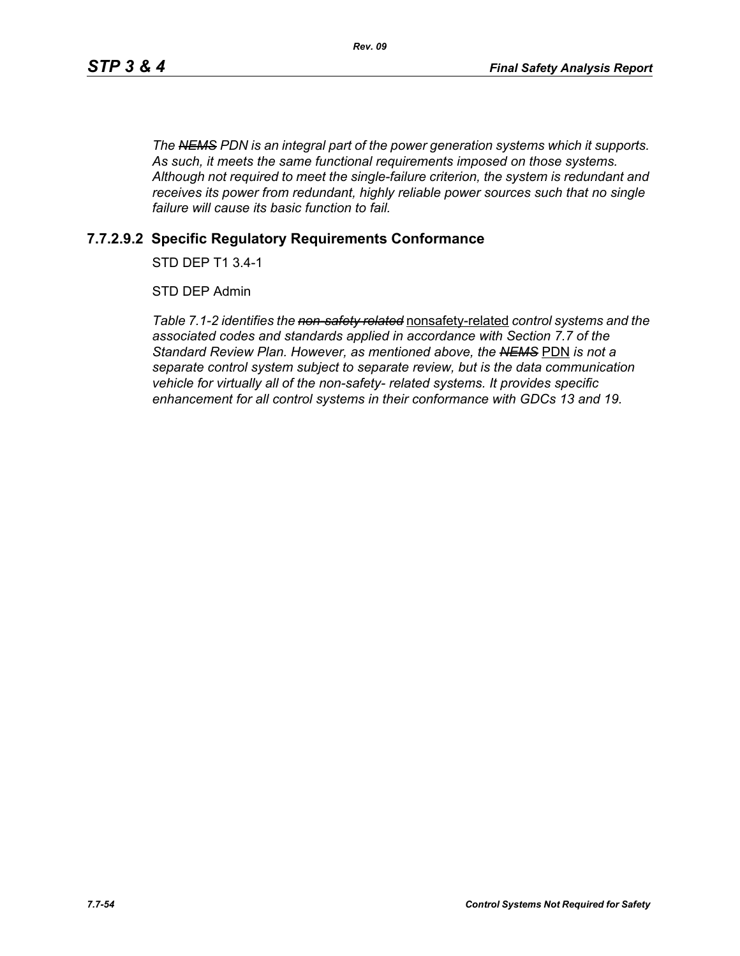*The NEMS PDN is an integral part of the power generation systems which it supports. As such, it meets the same functional requirements imposed on those systems. Although not required to meet the single-failure criterion, the system is redundant and receives its power from redundant, highly reliable power sources such that no single failure will cause its basic function to fail.*

# **7.7.2.9.2 Specific Regulatory Requirements Conformance**

STD DEP T1 3.4-1

STD DEP Admin

*Table 7.1-2 identifies the non-safety related* nonsafety-related *control systems and the associated codes and standards applied in accordance with Section 7.7 of the Standard Review Plan. However, as mentioned above, the NEMS* PDN *is not a separate control system subject to separate review, but is the data communication vehicle for virtually all of the non-safety- related systems. It provides specific enhancement for all control systems in their conformance with GDCs 13 and 19.*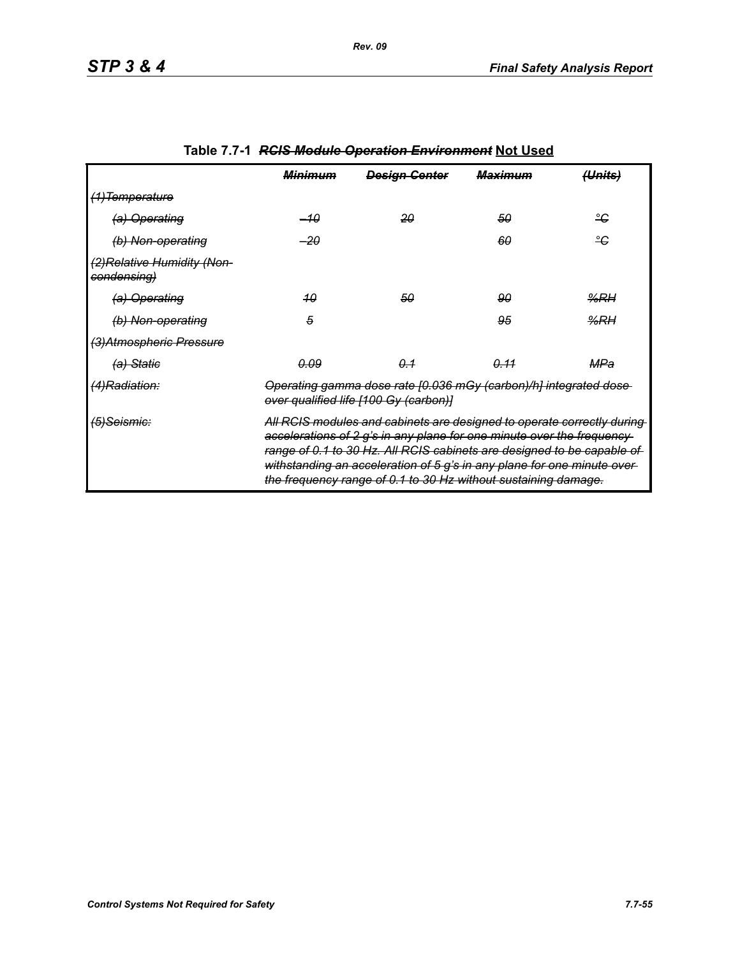|                                            | <del>Minimum</del>                                                                                                                                                                                                                                                                                                                                                      | <b>Design Genter</b> | <del>Maximum</del> | <del>(Units)</del> |
|--------------------------------------------|-------------------------------------------------------------------------------------------------------------------------------------------------------------------------------------------------------------------------------------------------------------------------------------------------------------------------------------------------------------------------|----------------------|--------------------|--------------------|
| <del>(1)Temperature</del>                  |                                                                                                                                                                                                                                                                                                                                                                         |                      |                    |                    |
| (a) Operating                              | -10                                                                                                                                                                                                                                                                                                                                                                     | 20                   | 50                 | ீ                  |
| (b) Non-operating                          | -20                                                                                                                                                                                                                                                                                                                                                                     |                      | 60                 | ீ                  |
| (2) Relative Humidity (Non-<br>condensing) |                                                                                                                                                                                                                                                                                                                                                                         |                      |                    |                    |
| (a) Operating                              | 40                                                                                                                                                                                                                                                                                                                                                                      | 50                   | 90                 | %RH                |
| (b) Non-operating                          | 5                                                                                                                                                                                                                                                                                                                                                                       |                      | 95                 | %RH                |
| (3) Atmospheric Pressure                   |                                                                                                                                                                                                                                                                                                                                                                         |                      |                    |                    |
| <del>(a) Static</del>                      | 0.09                                                                                                                                                                                                                                                                                                                                                                    | 0.1                  | 0.11               | MPa                |
| (4)Radiation:                              | Operating gamma dose rate [0.036 mGy (carbon)/h] integrated dose-<br>over qualified life [100 Gy (carbon)]                                                                                                                                                                                                                                                              |                      |                    |                    |
| <del>(5)Seismic:</del>                     | All RCIS modules and cabinets are designed to operate correctly during<br>accelerations of 2 g's in any plane for one minute over the frequency-<br>range of 0.1 to 30 Hz. All RCIS cabinets are designed to be capable of<br>withstanding an acceleration of 5 g's in any plane for one minute over-<br>the frequency range of 0.1 to 30 Hz without sustaining damage. |                      |                    |                    |

# **Table 7.7-1** *RCIS Module Operation Environment* **Not Used**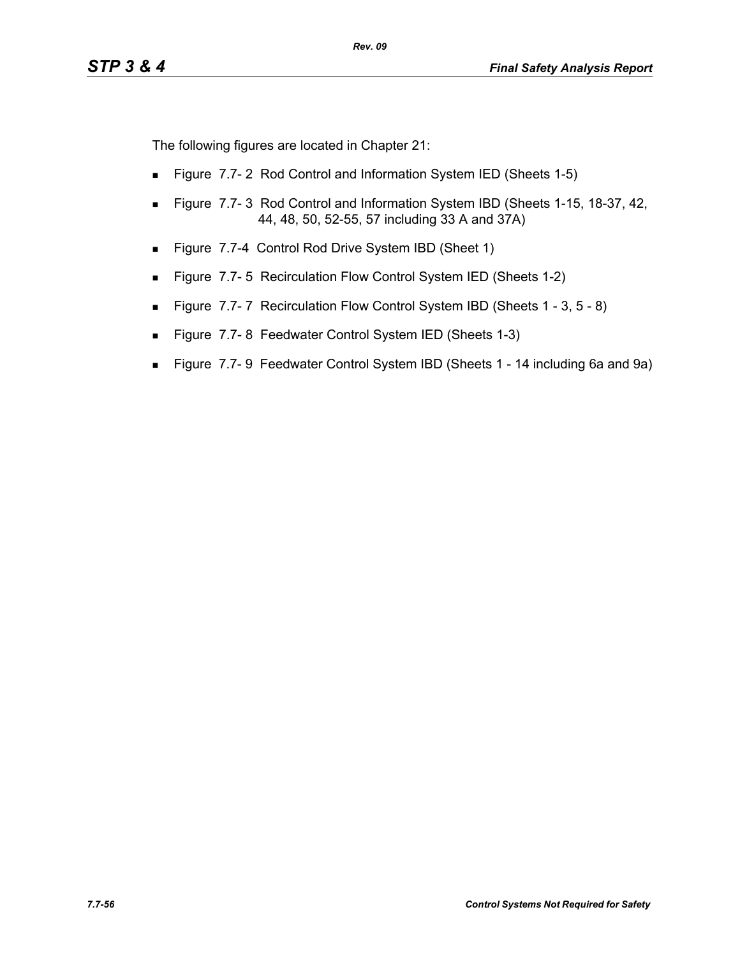The following figures are located in Chapter 21:

- **Figure 7.7-2 Rod Control and Information System IED (Sheets 1-5)**
- **Figure 7.7-3 Rod Control and Information System IBD (Sheets 1-15, 18-37, 42, 40)** 44, 48, 50, 52-55, 57 including 33 A and 37A)
- Figure 7.7-4 Control Rod Drive System IBD (Sheet 1)
- **Figure 7.7-5 Recirculation Flow Control System IED (Sheets 1-2)**
- Figure 7.7-7 Recirculation Flow Control System IBD (Sheets 1 3, 5 8)
- Figure 7.7-8 Feedwater Control System IED (Sheets 1-3)
- Figure 7.7- 9 Feedwater Control System IBD (Sheets 1 14 including 6a and 9a)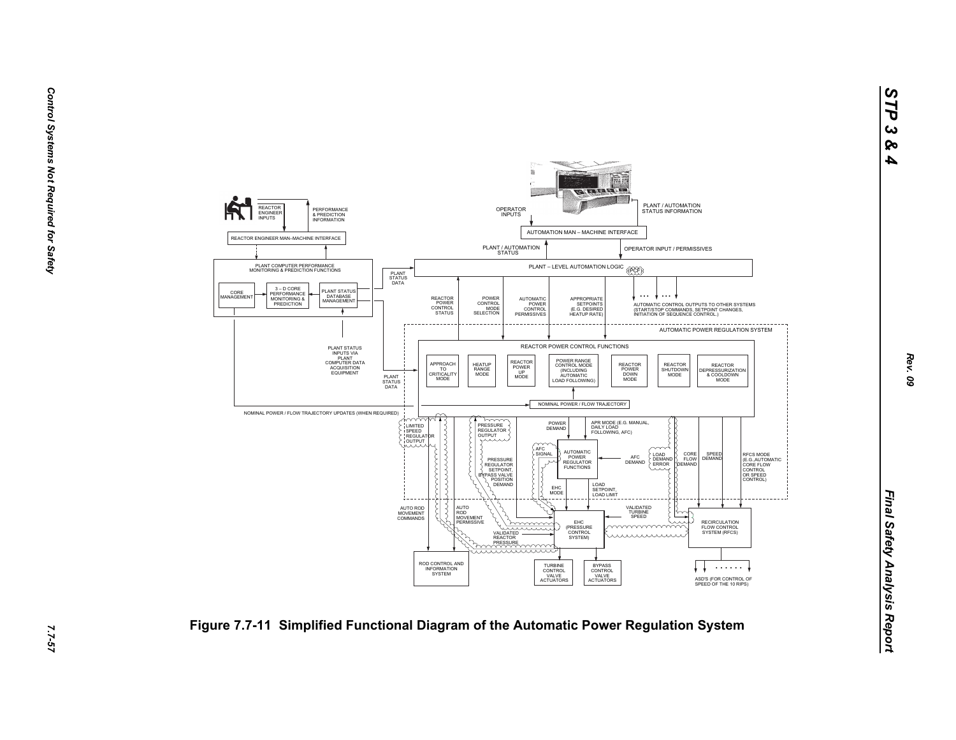

7.7-57

*Rev. 09*

*STP 3 & 4*